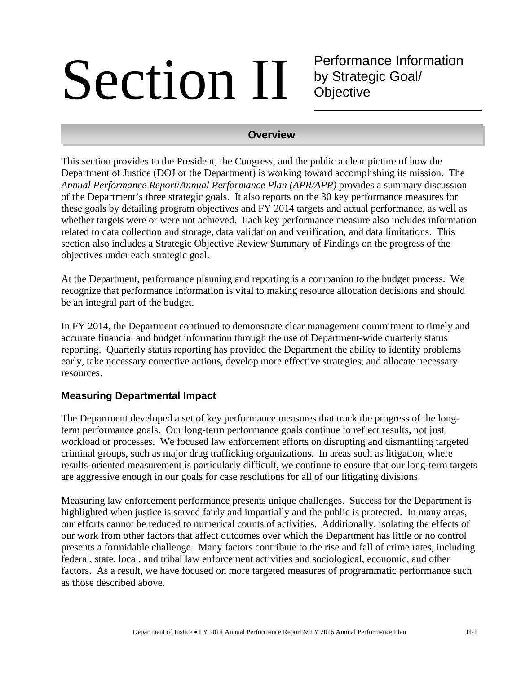## Section II

Performance Information by Strategic Goal/ **Objective** 

#### **Overview**

This section provides to the President, the Congress, and the public a clear picture of how the Department of Justice (DOJ or the Department) is working toward accomplishing its mission. The *Annual Performance Report*/*Annual Performance Plan (APR/APP)* provides a summary discussion of the Department's three strategic goals. It also reports on the 30 key performance measures for these goals by detailing program objectives and FY 2014 targets and actual performance, as well as whether targets were or were not achieved. Each key performance measure also includes information related to data collection and storage, data validation and verification, and data limitations. This section also includes a Strategic Objective Review Summary of Findings on the progress of the objectives under each strategic goal.

At the Department, performance planning and reporting is a companion to the budget process. We recognize that performance information is vital to making resource allocation decisions and should be an integral part of the budget.

In FY 2014, the Department continued to demonstrate clear management commitment to timely and accurate financial and budget information through the use of Department-wide quarterly status reporting. Quarterly status reporting has provided the Department the ability to identify problems early, take necessary corrective actions, develop more effective strategies, and allocate necessary resources.

#### **Measuring Departmental Impact**

The Department developed a set of key performance measures that track the progress of the longterm performance goals. Our long-term performance goals continue to reflect results, not just workload or processes. We focused law enforcement efforts on disrupting and dismantling targeted criminal groups, such as major drug trafficking organizations. In areas such as litigation, where results-oriented measurement is particularly difficult, we continue to ensure that our long-term targets are aggressive enough in our goals for case resolutions for all of our litigating divisions.

Measuring law enforcement performance presents unique challenges. Success for the Department is highlighted when justice is served fairly and impartially and the public is protected. In many areas, our efforts cannot be reduced to numerical counts of activities. Additionally, isolating the effects of our work from other factors that affect outcomes over which the Department has little or no control presents a formidable challenge. Many factors contribute to the rise and fall of crime rates, including federal, state, local, and tribal law enforcement activities and sociological, economic, and other factors. As a result, we have focused on more targeted measures of programmatic performance such as those described above.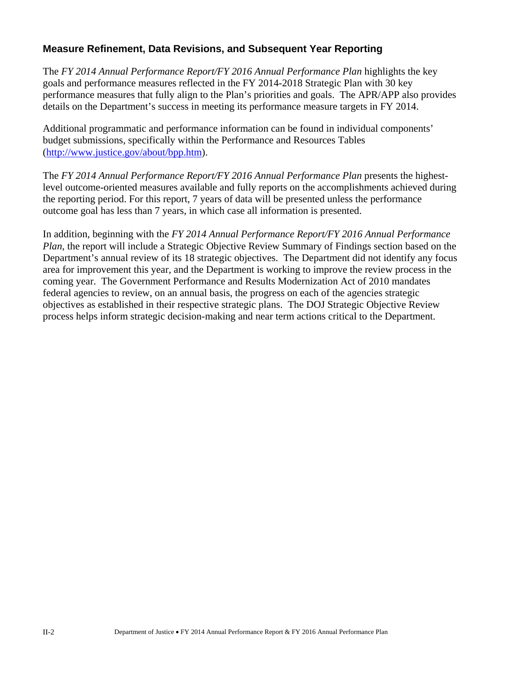#### **Measure Refinement, Data Revisions, and Subsequent Year Reporting**

The *FY 2014 Annual Performance Report/FY 2016 Annual Performance Plan* highlights the key goals and performance measures reflected in the FY 2014-2018 Strategic Plan with 30 key performance measures that fully align to the Plan's priorities and goals. The APR/APP also provides details on the Department's success in meeting its performance measure targets in FY 2014.

Additional programmatic and performance information can be found in individual components' budget submissions, specifically within the Performance and Resources Tables (http://www.justice.gov/about/bpp.htm).

The *FY 2014 Annual Performance Report/FY 2016 Annual Performance Plan* presents the highestlevel outcome-oriented measures available and fully reports on the accomplishments achieved during the reporting period. For this report, 7 years of data will be presented unless the performance outcome goal has less than 7 years, in which case all information is presented.

In addition, beginning with the *FY 2014 Annual Performance Report/FY 2016 Annual Performance Plan*, the report will include a Strategic Objective Review Summary of Findings section based on the Department's annual review of its 18 strategic objectives. The Department did not identify any focus area for improvement this year, and the Department is working to improve the review process in the coming year. The Government Performance and Results Modernization Act of 2010 mandates federal agencies to review, on an annual basis, the progress on each of the agencies strategic objectives as established in their respective strategic plans. The DOJ Strategic Objective Review process helps inform strategic decision-making and near term actions critical to the Department.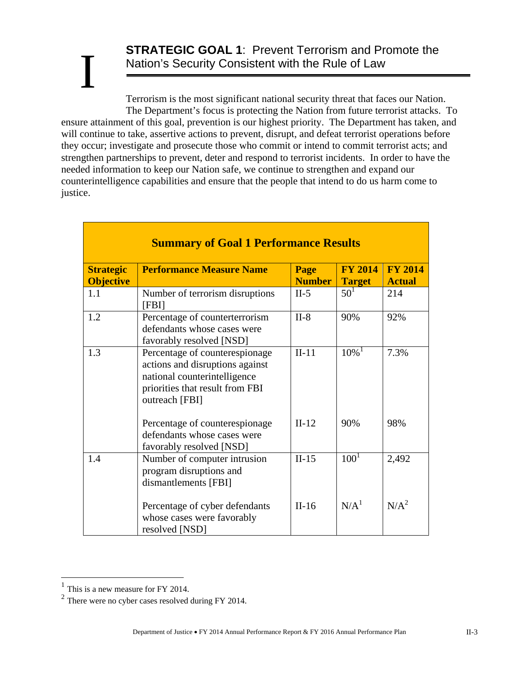## **STRATEGIC GOAL 1**: Prevent Terrorism and Promote the Nation's Security Consistent with the Rule of Law

Terrorism is the most significant national security threat that faces our Nation. The Department's focus is protecting the Nation from future terrorist attacks. To ensure attainment of this goal, prevention is our highest priority. The Department has taken, and will continue to take, assertive actions to prevent, disrupt, and defeat terrorist operations before they occur; investigate and prosecute those who commit or intend to commit terrorist acts; and strengthen partnerships to prevent, deter and respond to terrorist incidents. In order to have the needed information to keep our Nation safe, we continue to strengthen and expand our counterintelligence capabilities and ensure that the people that intend to do us harm come to justice. I

|                                      | <b>Summary of Goal 1 Performance Results</b>                                                                                                           |                       |                                 |                                 |  |  |  |  |  |  |  |
|--------------------------------------|--------------------------------------------------------------------------------------------------------------------------------------------------------|-----------------------|---------------------------------|---------------------------------|--|--|--|--|--|--|--|
| <b>Strategic</b><br><b>Objective</b> | <b>Performance Measure Name</b>                                                                                                                        | Page<br><b>Number</b> | <b>FY 2014</b><br><b>Target</b> | <b>FY 2014</b><br><b>Actual</b> |  |  |  |  |  |  |  |
| 1.1                                  | Number of terrorism disruptions<br>[FBI]                                                                                                               | $II-5$                | 50 <sup>1</sup>                 | 214                             |  |  |  |  |  |  |  |
| 1.2                                  | Percentage of counterterrorism<br>defendants whose cases were<br>favorably resolved [NSD]                                                              | $II-8$                | 90%                             | 92%                             |  |  |  |  |  |  |  |
| 1.3                                  | Percentage of counterespionage<br>actions and disruptions against<br>national counterintelligence<br>priorities that result from FBI<br>outreach [FBI] | $II-11$               | $10\%$ <sup>1</sup>             | 7.3%                            |  |  |  |  |  |  |  |
|                                      | Percentage of counterespionage<br>defendants whose cases were<br>favorably resolved [NSD]                                                              | $II-12$               | 90%                             | 98%                             |  |  |  |  |  |  |  |
| 1.4                                  | Number of computer intrusion<br>program disruptions and<br>dismantlements [FBI]                                                                        | $II-15$               | $100^{\text{T}}$                | 2,492                           |  |  |  |  |  |  |  |
|                                      | Percentage of cyber defendants<br>whose cases were favorably<br>resolved [NSD]                                                                         | $II-16$               | N/A <sup>1</sup>                | N/A <sup>2</sup>                |  |  |  |  |  |  |  |

 $\overline{a}$ 

 $<sup>1</sup>$  This is a new measure for FY 2014.</sup>

 $2$  There were no cyber cases resolved during FY 2014.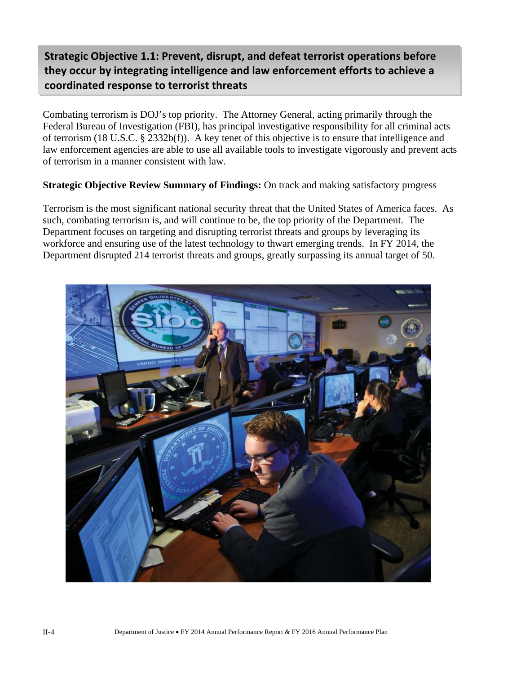## **Strategic Objective 1.1: Prevent, disrupt, and defeat terrorist operations before they occur by integrating intelligence and law enforcement efforts to achieve a coordinated response to terrorist threats**

Combating terrorism is DOJ's top priority. The Attorney General, acting primarily through the Federal Bureau of Investigation (FBI), has principal investigative responsibility for all criminal acts of terrorism (18 U.S.C. § 2332b(f)). A key tenet of this objective is to ensure that intelligence and law enforcement agencies are able to use all available tools to investigate vigorously and prevent acts of terrorism in a manner consistent with law.

**Strategic Objective Review Summary of Findings:** On track and making satisfactory progress

Terrorism is the most significant national security threat that the United States of America faces. As such, combating terrorism is, and will continue to be, the top priority of the Department. The Department focuses on targeting and disrupting terrorist threats and groups by leveraging its workforce and ensuring use of the latest technology to thwart emerging trends. In FY 2014, the Department disrupted 214 terrorist threats and groups, greatly surpassing its annual target of 50.

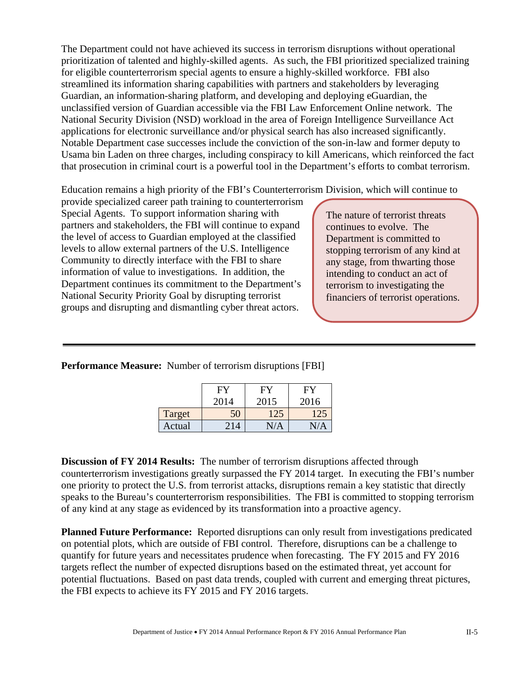The Department could not have achieved its success in terrorism disruptions without operational prioritization of talented and highly-skilled agents. As such, the FBI prioritized specialized training for eligible counterterrorism special agents to ensure a highly-skilled workforce. FBI also streamlined its information sharing capabilities with partners and stakeholders by leveraging Guardian, an information-sharing platform, and developing and deploying eGuardian, the unclassified version of Guardian accessible via the FBI Law Enforcement Online network. The National Security Division (NSD) workload in the area of Foreign Intelligence Surveillance Act applications for electronic surveillance and/or physical search has also increased significantly. Notable Department case successes include the conviction of the son-in-law and former deputy to Usama bin Laden on three charges, including conspiracy to kill Americans, which reinforced the fact that prosecution in criminal court is a powerful tool in the Department's efforts to combat terrorism.

Education remains a high priority of the FBI's Counterterrorism Division, which will continue to

provide specialized career path training to counterterrorism Special Agents. To support information sharing with partners and stakeholders, the FBI will continue to expand the level of access to Guardian employed at the classified levels to allow external partners of the U.S. Intelligence Community to directly interface with the FBI to share information of value to investigations. In addition, the Department continues its commitment to the Department's National Security Priority Goal by disrupting terrorist groups and disrupting and dismantling cyber threat actors.

The nature of terrorist threats continues to evolve. The Department is committed to stopping terrorism of any kind at any stage, from thwarting those intending to conduct an act of terrorism to investigating the financiers of terrorist operations.

**Performance Measure:** Number of terrorism disruptions [FBI]

|        |      | H.   | H١   |
|--------|------|------|------|
|        | 2014 | 2015 | 2016 |
| Target | 50   | 125  | 121  |
| Actual | 214  |      |      |

**Discussion of FY 2014 Results:** The number of terrorism disruptions affected through counterterrorism investigations greatly surpassed the FY 2014 target. In executing the FBI's number one priority to protect the U.S. from terrorist attacks, disruptions remain a key statistic that directly speaks to the Bureau's counterterrorism responsibilities. The FBI is committed to stopping terrorism of any kind at any stage as evidenced by its transformation into a proactive agency.

**Planned Future Performance:** Reported disruptions can only result from investigations predicated on potential plots, which are outside of FBI control. Therefore, disruptions can be a challenge to quantify for future years and necessitates prudence when forecasting. The FY 2015 and FY 2016 targets reflect the number of expected disruptions based on the estimated threat, yet account for potential fluctuations. Based on past data trends, coupled with current and emerging threat pictures, the FBI expects to achieve its FY 2015 and FY 2016 targets.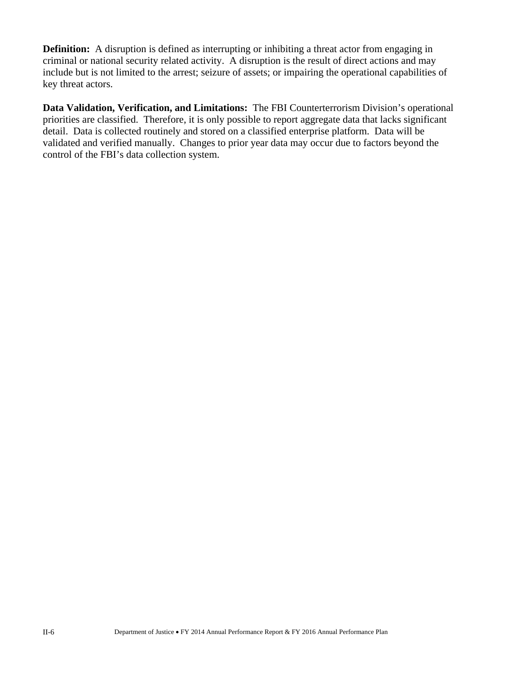**Definition:** A disruption is defined as interrupting or inhibiting a threat actor from engaging in criminal or national security related activity. A disruption is the result of direct actions and may include but is not limited to the arrest; seizure of assets; or impairing the operational capabilities of key threat actors.

**Data Validation, Verification, and Limitations:** The FBI Counterterrorism Division's operational priorities are classified. Therefore, it is only possible to report aggregate data that lacks significant detail. Data is collected routinely and stored on a classified enterprise platform. Data will be validated and verified manually. Changes to prior year data may occur due to factors beyond the control of the FBI's data collection system.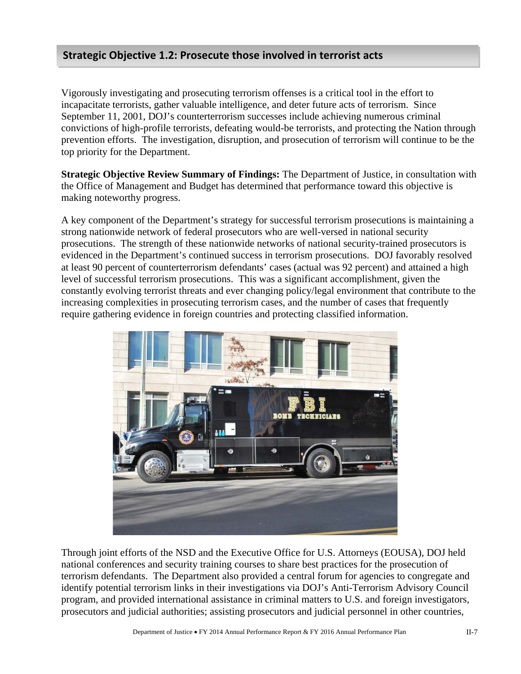### **Strategic Objective 1.2: Prosecute those involved in terrorist acts**

Vigorously investigating and prosecuting terrorism offenses is a critical tool in the effort to incapacitate terrorists, gather valuable intelligence, and deter future acts of terrorism. Since September 11, 2001, DOJ's counterterrorism successes include achieving numerous criminal convictions of high-profile terrorists, defeating would-be terrorists, and protecting the Nation through prevention efforts. The investigation, disruption, and prosecution of terrorism will continue to be the top priority for the Department.

**Strategic Objective Review Summary of Findings:** The Department of Justice, in consultation with the Office of Management and Budget has determined that performance toward this objective is making noteworthy progress.

A key component of the Department's strategy for successful terrorism prosecutions is maintaining a strong nationwide network of federal prosecutors who are well-versed in national security prosecutions. The strength of these nationwide networks of national security-trained prosecutors is evidenced in the Department's continued success in terrorism prosecutions. DOJ favorably resolved at least 90 percent of counterterrorism defendants' cases (actual was 92 percent) and attained a high level of successful terrorism prosecutions. This was a significant accomplishment, given the constantly evolving terrorist threats and ever changing policy/legal environment that contribute to the increasing complexities in prosecuting terrorism cases, and the number of cases that frequently require gathering evidence in foreign countries and protecting classified information.



Through joint efforts of the NSD and the Executive Office for U.S. Attorneys (EOUSA), DOJ held national conferences and security training courses to share best practices for the prosecution of terrorism defendants. The Department also provided a central forum for agencies to congregate and identify potential terrorism links in their investigations via DOJ's Anti-Terrorism Advisory Council program, and provided international assistance in criminal matters to U.S. and foreign investigators, prosecutors and judicial authorities; assisting prosecutors and judicial personnel in other countries,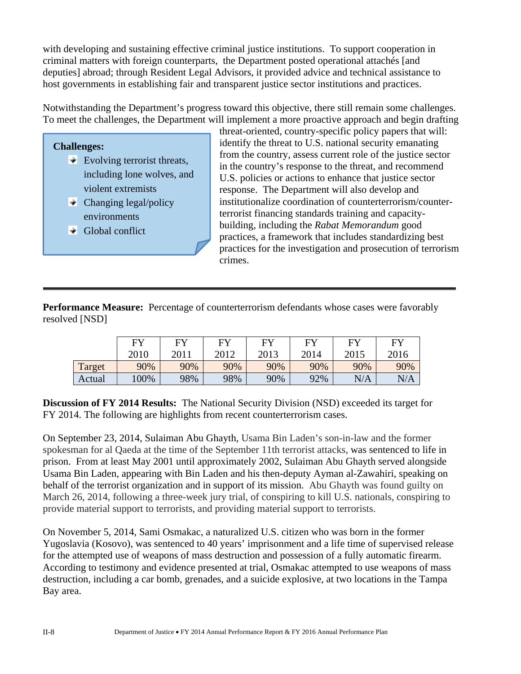with developing and sustaining effective criminal justice institutions. To support cooperation in criminal matters with foreign counterparts, the Department posted operational attachés [and deputies] abroad; through Resident Legal Advisors, it provided advice and technical assistance to host governments in establishing fair and transparent justice sector institutions and practices.

Notwithstanding the Department's progress toward this objective, there still remain some challenges. To meet the challenges, the Department will implement a more proactive approach and begin drafting

#### **Challenges:**

- $\blacktriangleright$  Evolving terrorist threats, including lone wolves, and violent extremists
- $\blacktriangleright$  Changing legal/policy environments
- $\triangleleft$  Global conflict

threat-oriented, country-specific policy papers that will: identify the threat to U.S. national security emanating from the country, assess current role of the justice sector in the country's response to the threat, and recommend U.S. policies or actions to enhance that justice sector response. The Department will also develop and institutionalize coordination of counterterrorism/counterterrorist financing standards training and capacitybuilding, including the *Rabat Memorandum* good practices, a framework that includes standardizing best practices for the investigation and prosecution of terrorism crimes.

**Performance Measure:** Percentage of counterterrorism defendants whose cases were favorably resolved [NSD]

|        | <b>EV</b> | FY   | <b>EV</b> | <b>EV</b> | FУ   | <b>EV</b> | <b>FY</b> |
|--------|-----------|------|-----------|-----------|------|-----------|-----------|
|        | 2010      | 2011 | 2012      | 2013      | 2014 | 2015      | 2016      |
| Target | 90%       | 90%  | 90%       | 90%       | 90%  | 90%       | 90%       |
| Actual | 100%      | 98%  | 98%       | 90%       | 92%  | N/A       | N/A       |

**Discussion of FY 2014 Results:** The National Security Division (NSD) exceeded its target for FY 2014. The following are highlights from recent counterterrorism cases.

On September 23, 2014, Sulaiman Abu Ghayth, Usama Bin Laden's son-in-law and the former spokesman for al Qaeda at the time of the September 11th terrorist attacks, was sentenced to life in prison. From at least May 2001 until approximately 2002, Sulaiman Abu Ghayth served alongside Usama Bin Laden, appearing with Bin Laden and his then-deputy Ayman al-Zawahiri, speaking on behalf of the terrorist organization and in support of its mission. Abu Ghayth was found guilty on March 26, 2014, following a three-week jury trial, of conspiring to kill U.S. nationals, conspiring to provide material support to terrorists, and providing material support to terrorists.

On November 5, 2014, Sami Osmakac, a naturalized U.S. citizen who was born in the former Yugoslavia (Kosovo), was sentenced to 40 years' imprisonment and a life time of supervised release for the attempted use of weapons of mass destruction and possession of a fully automatic firearm. According to testimony and evidence presented at trial, Osmakac attempted to use weapons of mass destruction, including a car bomb, grenades, and a suicide explosive, at two locations in the Tampa Bay area.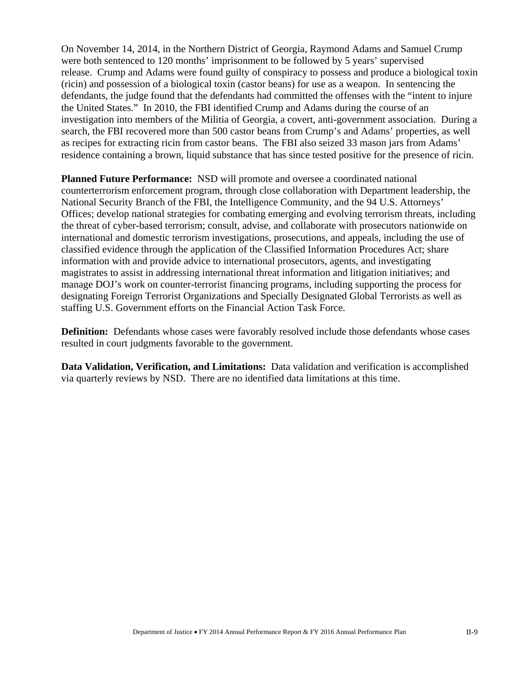On November 14, 2014, in the Northern District of Georgia, Raymond Adams and Samuel Crump were both sentenced to 120 months' imprisonment to be followed by 5 years' supervised release. Crump and Adams were found guilty of conspiracy to possess and produce a biological toxin (ricin) and possession of a biological toxin (castor beans) for use as a weapon. In sentencing the defendants, the judge found that the defendants had committed the offenses with the "intent to injure the United States." In 2010, the FBI identified Crump and Adams during the course of an investigation into members of the Militia of Georgia, a covert, anti-government association. During a search, the FBI recovered more than 500 castor beans from Crump's and Adams' properties, as well as recipes for extracting ricin from castor beans. The FBI also seized 33 mason jars from Adams' residence containing a brown, liquid substance that has since tested positive for the presence of ricin.

**Planned Future Performance:** NSD will promote and oversee a coordinated national counterterrorism enforcement program, through close collaboration with Department leadership, the National Security Branch of the FBI, the Intelligence Community, and the 94 U.S. Attorneys' Offices; develop national strategies for combating emerging and evolving terrorism threats, including the threat of cyber-based terrorism; consult, advise, and collaborate with prosecutors nationwide on international and domestic terrorism investigations, prosecutions, and appeals, including the use of classified evidence through the application of the Classified Information Procedures Act; share information with and provide advice to international prosecutors, agents, and investigating magistrates to assist in addressing international threat information and litigation initiatives; and manage DOJ's work on counter-terrorist financing programs, including supporting the process for designating Foreign Terrorist Organizations and Specially Designated Global Terrorists as well as staffing U.S. Government efforts on the Financial Action Task Force.

**Definition:** Defendants whose cases were favorably resolved include those defendants whose cases resulted in court judgments favorable to the government.

**Data Validation, Verification, and Limitations:** Data validation and verification is accomplished via quarterly reviews by NSD. There are no identified data limitations at this time.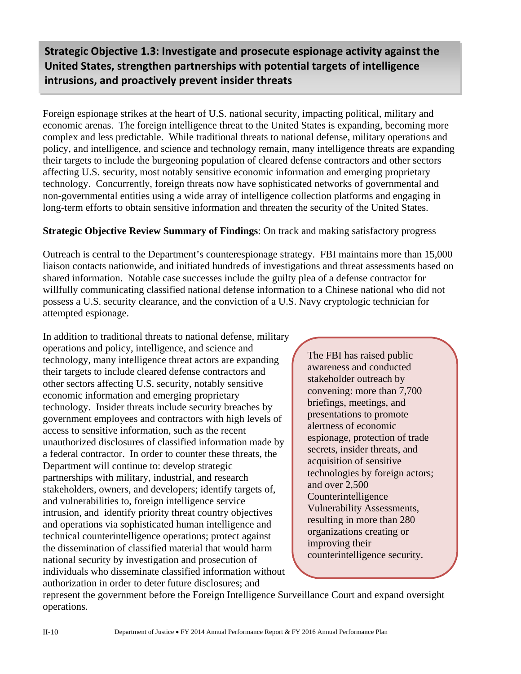## **Strategic Objective 1.3: Investigate and prosecute espionage activity against the United States, strengthen partnerships with potential targets of intelligence intrusions, and proactively prevent insider threats**

Foreign espionage strikes at the heart of U.S. national security, impacting political, military and economic arenas. The foreign intelligence threat to the United States is expanding, becoming more complex and less predictable. While traditional threats to national defense, military operations and policy, and intelligence, and science and technology remain, many intelligence threats are expanding their targets to include the burgeoning population of cleared defense contractors and other sectors affecting U.S. security, most notably sensitive economic information and emerging proprietary technology. Concurrently, foreign threats now have sophisticated networks of governmental and non-governmental entities using a wide array of intelligence collection platforms and engaging in long-term efforts to obtain sensitive information and threaten the security of the United States.

#### **Strategic Objective Review Summary of Findings**: On track and making satisfactory progress

Outreach is central to the Department's counterespionage strategy. FBI maintains more than 15,000 liaison contacts nationwide, and initiated hundreds of investigations and threat assessments based on shared information. Notable case successes include the guilty plea of a defense contractor for willfully communicating classified national defense information to a Chinese national who did not possess a U.S. security clearance, and the conviction of a U.S. Navy cryptologic technician for attempted espionage.

In addition to traditional threats to national defense, military operations and policy, intelligence, and science and technology, many intelligence threat actors are expanding their targets to include cleared defense contractors and other sectors affecting U.S. security, notably sensitive economic information and emerging proprietary technology. Insider threats include security breaches by government employees and contractors with high levels of access to sensitive information, such as the recent unauthorized disclosures of classified information made by a federal contractor. In order to counter these threats, the Department will continue to: develop strategic partnerships with military, industrial, and research stakeholders, owners, and developers; identify targets of, and vulnerabilities to, foreign intelligence service intrusion, and identify priority threat country objectives and operations via sophisticated human intelligence and technical counterintelligence operations; protect against the dissemination of classified material that would harm national security by investigation and prosecution of individuals who disseminate classified information without authorization in order to deter future disclosures; and

The FBI has raised public awareness and conducted stakeholder outreach by convening: more than 7,700 briefings, meetings, and presentations to promote alertness of economic espionage, protection of trade secrets, insider threats, and acquisition of sensitive technologies by foreign actors; and over 2,500 Counterintelligence Vulnerability Assessments, resulting in more than 280 organizations creating or improving their counterintelligence security.

represent the government before the Foreign Intelligence Surveillance Court and expand oversight operations.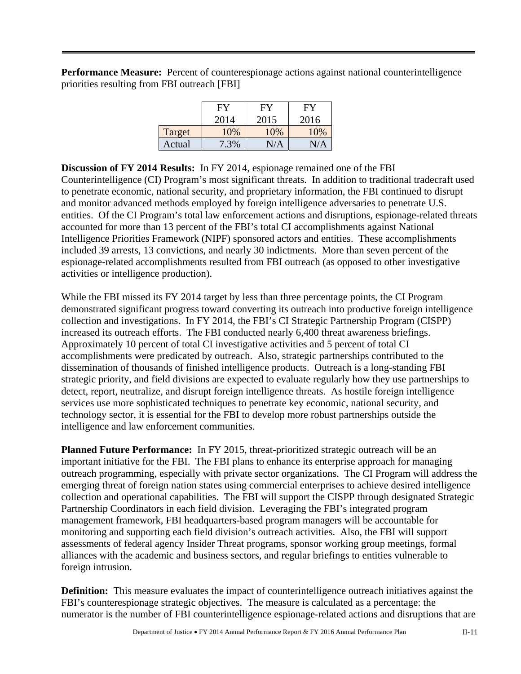**Performance Measure:** Percent of counterespionage actions against national counterintelligence priorities resulting from FBI outreach [FBI]

|        | FY   | FY   | FY   |
|--------|------|------|------|
|        | 2014 | 2015 | 2016 |
| Target | 10%  | 10%  | 10%  |
| Actual | 7.3% | N/A  | N/A  |

**Discussion of FY 2014 Results:** In FY 2014, espionage remained one of the FBI Counterintelligence (CI) Program's most significant threats. In addition to traditional tradecraft used to penetrate economic, national security, and proprietary information, the FBI continued to disrupt and monitor advanced methods employed by foreign intelligence adversaries to penetrate U.S. entities. Of the CI Program's total law enforcement actions and disruptions, espionage-related threats accounted for more than 13 percent of the FBI's total CI accomplishments against National Intelligence Priorities Framework (NIPF) sponsored actors and entities. These accomplishments included 39 arrests, 13 convictions, and nearly 30 indictments. More than seven percent of the espionage-related accomplishments resulted from FBI outreach (as opposed to other investigative activities or intelligence production).

While the FBI missed its FY 2014 target by less than three percentage points, the CI Program demonstrated significant progress toward converting its outreach into productive foreign intelligence collection and investigations. In FY 2014, the FBI's CI Strategic Partnership Program (CISPP) increased its outreach efforts. The FBI conducted nearly 6,400 threat awareness briefings. Approximately 10 percent of total CI investigative activities and 5 percent of total CI accomplishments were predicated by outreach. Also, strategic partnerships contributed to the dissemination of thousands of finished intelligence products. Outreach is a long-standing FBI strategic priority, and field divisions are expected to evaluate regularly how they use partnerships to detect, report, neutralize, and disrupt foreign intelligence threats. As hostile foreign intelligence services use more sophisticated techniques to penetrate key economic, national security, and technology sector, it is essential for the FBI to develop more robust partnerships outside the intelligence and law enforcement communities.

**Planned Future Performance:** In FY 2015, threat-prioritized strategic outreach will be an important initiative for the FBI. The FBI plans to enhance its enterprise approach for managing outreach programming, especially with private sector organizations. The CI Program will address the emerging threat of foreign nation states using commercial enterprises to achieve desired intelligence collection and operational capabilities. The FBI will support the CISPP through designated Strategic Partnership Coordinators in each field division. Leveraging the FBI's integrated program management framework, FBI headquarters-based program managers will be accountable for monitoring and supporting each field division's outreach activities. Also, the FBI will support assessments of federal agency Insider Threat programs, sponsor working group meetings, formal alliances with the academic and business sectors, and regular briefings to entities vulnerable to foreign intrusion.

**Definition:** This measure evaluates the impact of counterintelligence outreach initiatives against the FBI's counterespionage strategic objectives. The measure is calculated as a percentage: the numerator is the number of FBI counterintelligence espionage-related actions and disruptions that are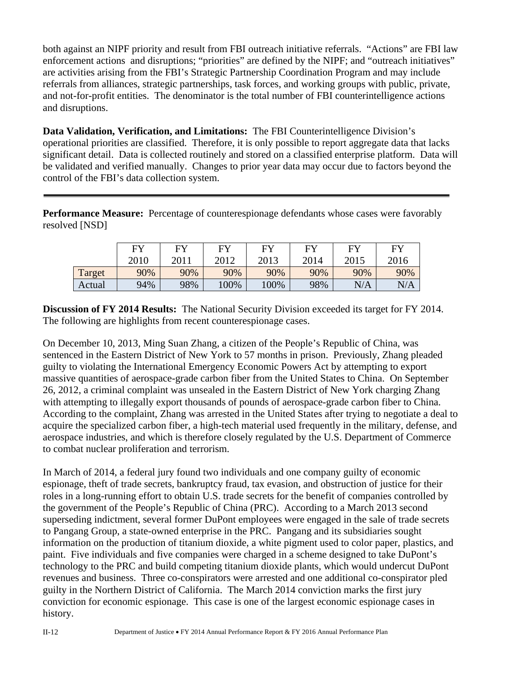both against an NIPF priority and result from FBI outreach initiative referrals. "Actions" are FBI law enforcement actions and disruptions; "priorities" are defined by the NIPF; and "outreach initiatives" are activities arising from the FBI's Strategic Partnership Coordination Program and may include referrals from alliances, strategic partnerships, task forces, and working groups with public, private, and not-for-profit entities. The denominator is the total number of FBI counterintelligence actions and disruptions.

**Data Validation, Verification, and Limitations:** The FBI Counterintelligence Division's operational priorities are classified. Therefore, it is only possible to report aggregate data that lacks significant detail. Data is collected routinely and stored on a classified enterprise platform. Data will be validated and verified manually. Changes to prior year data may occur due to factors beyond the control of the FBI's data collection system.

**Performance Measure:** Percentage of counterespionage defendants whose cases were favorably resolved [NSD]

|        | <b>EV</b> | <b>FY</b> | <b>EV</b> | FY   | EV   | FY   | FY   |
|--------|-----------|-----------|-----------|------|------|------|------|
|        | 2010      | 2011      | 2012      | 2013 | 2014 | 2015 | 2016 |
| Target | 90%       | 90%       | 90%       | 90%  | 90%  | 90%  | 90%  |
| Actual | 94%       | 98%       | 100%      | 100% | 98%  | N/A  | N/A  |

**Discussion of FY 2014 Results:** The National Security Division exceeded its target for FY 2014. The following are highlights from recent counterespionage cases.

On December 10, 2013, Ming Suan Zhang, a citizen of the People's Republic of China, was sentenced in the Eastern District of New York to 57 months in prison. Previously, Zhang pleaded guilty to violating the International Emergency Economic Powers Act by attempting to export massive quantities of aerospace-grade carbon fiber from the United States to China. On September 26, 2012, a criminal complaint was unsealed in the Eastern District of New York charging Zhang with attempting to illegally export thousands of pounds of aerospace-grade carbon fiber to China. According to the complaint, Zhang was arrested in the United States after trying to negotiate a deal to acquire the specialized carbon fiber, a high-tech material used frequently in the military, defense, and aerospace industries, and which is therefore closely regulated by the U.S. Department of Commerce to combat nuclear proliferation and terrorism.

In March of 2014, a federal jury found two individuals and one company guilty of economic espionage, theft of trade secrets, bankruptcy fraud, tax evasion, and obstruction of justice for their roles in a long-running effort to obtain U.S. trade secrets for the benefit of companies controlled by the government of the People's Republic of China (PRC). According to a March 2013 second superseding indictment, several former DuPont employees were engaged in the sale of trade secrets to Pangang Group, a state-owned enterprise in the PRC. Pangang and its subsidiaries sought information on the production of titanium dioxide, a white pigment used to color paper, plastics, and paint. Five individuals and five companies were charged in a scheme designed to take DuPont's technology to the PRC and build competing titanium dioxide plants, which would undercut DuPont revenues and business. Three co-conspirators were arrested and one additional co-conspirator pled guilty in the Northern District of California. The March 2014 conviction marks the first jury conviction for economic espionage. This case is one of the largest economic espionage cases in history.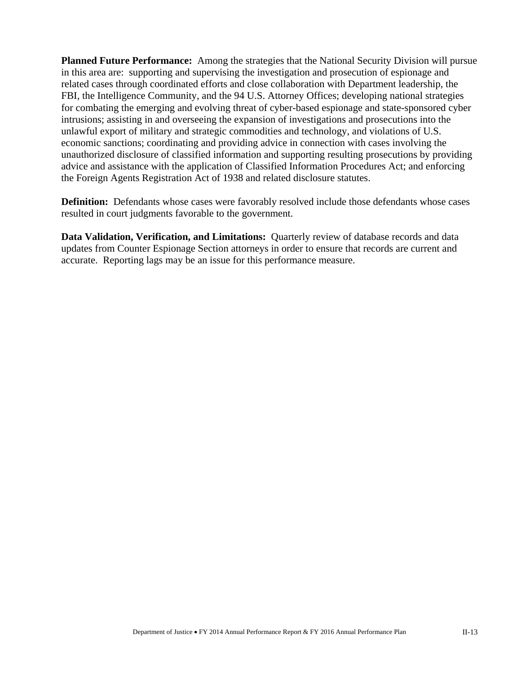**Planned Future Performance:** Among the strategies that the National Security Division will pursue in this area are: supporting and supervising the investigation and prosecution of espionage and related cases through coordinated efforts and close collaboration with Department leadership, the FBI, the Intelligence Community, and the 94 U.S. Attorney Offices; developing national strategies for combating the emerging and evolving threat of cyber-based espionage and state-sponsored cyber intrusions; assisting in and overseeing the expansion of investigations and prosecutions into the unlawful export of military and strategic commodities and technology, and violations of U.S. economic sanctions; coordinating and providing advice in connection with cases involving the unauthorized disclosure of classified information and supporting resulting prosecutions by providing advice and assistance with the application of Classified Information Procedures Act; and enforcing the Foreign Agents Registration Act of 1938 and related disclosure statutes.

**Definition:** Defendants whose cases were favorably resolved include those defendants whose cases resulted in court judgments favorable to the government.

**Data Validation, Verification, and Limitations:** Quarterly review of database records and data updates from Counter Espionage Section attorneys in order to ensure that records are current and accurate. Reporting lags may be an issue for this performance measure.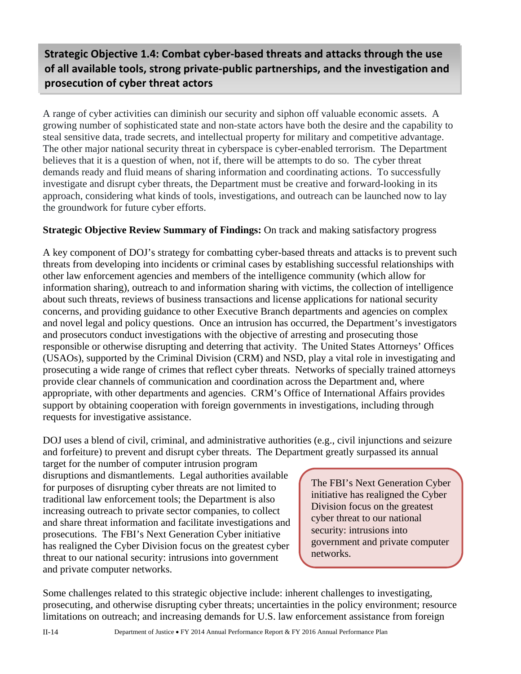## **Strategic Objective 1.4: Combat cyber‐based threats and attacks through the use of all available tools, strong private‐public partnerships, and the investigation and prosecution of cyber threat actors**

A range of cyber activities can diminish our security and siphon off valuable economic assets. A growing number of sophisticated state and non-state actors have both the desire and the capability to steal sensitive data, trade secrets, and intellectual property for military and competitive advantage. The other major national security threat in cyberspace is cyber-enabled terrorism. The Department believes that it is a question of when, not if, there will be attempts to do so. The cyber threat demands ready and fluid means of sharing information and coordinating actions. To successfully investigate and disrupt cyber threats, the Department must be creative and forward-looking in its approach, considering what kinds of tools, investigations, and outreach can be launched now to lay the groundwork for future cyber efforts.

#### **Strategic Objective Review Summary of Findings:** On track and making satisfactory progress

A key component of DOJ's strategy for combatting cyber-based threats and attacks is to prevent such threats from developing into incidents or criminal cases by establishing successful relationships with other law enforcement agencies and members of the intelligence community (which allow for information sharing), outreach to and information sharing with victims, the collection of intelligence about such threats, reviews of business transactions and license applications for national security concerns, and providing guidance to other Executive Branch departments and agencies on complex and novel legal and policy questions. Once an intrusion has occurred, the Department's investigators and prosecutors conduct investigations with the objective of arresting and prosecuting those responsible or otherwise disrupting and deterring that activity. The United States Attorneys' Offices (USAOs), supported by the Criminal Division (CRM) and NSD, play a vital role in investigating and prosecuting a wide range of crimes that reflect cyber threats. Networks of specially trained attorneys provide clear channels of communication and coordination across the Department and, where appropriate, with other departments and agencies. CRM's Office of International Affairs provides support by obtaining cooperation with foreign governments in investigations, including through requests for investigative assistance.

DOJ uses a blend of civil, criminal, and administrative authorities (e.g., civil injunctions and seizure and forfeiture) to prevent and disrupt cyber threats. The Department greatly surpassed its annual

target for the number of computer intrusion program disruptions and dismantlements. Legal authorities available for purposes of disrupting cyber threats are not limited to traditional law enforcement tools; the Department is also increasing outreach to private sector companies, to collect and share threat information and facilitate investigations and prosecutions. The FBI's Next Generation Cyber initiative has realigned the Cyber Division focus on the greatest cyber threat to our national security: intrusions into government and private computer networks.

The FBI's Next Generation Cyber initiative has realigned the Cyber Division focus on the greatest cyber threat to our national security: intrusions into government and private computer networks.

Some challenges related to this strategic objective include: inherent challenges to investigating, prosecuting, and otherwise disrupting cyber threats; uncertainties in the policy environment; resource limitations on outreach; and increasing demands for U.S. law enforcement assistance from foreign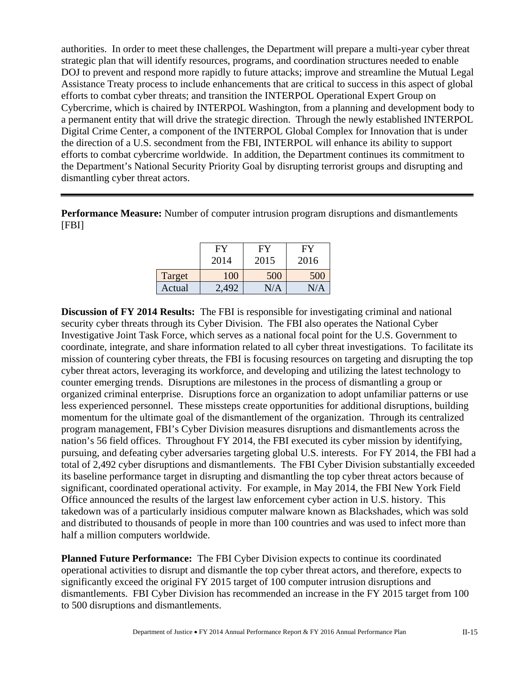authorities. In order to meet these challenges, the Department will prepare a multi-year cyber threat strategic plan that will identify resources, programs, and coordination structures needed to enable DOJ to prevent and respond more rapidly to future attacks; improve and streamline the Mutual Legal Assistance Treaty process to include enhancements that are critical to success in this aspect of global efforts to combat cyber threats; and transition the INTERPOL Operational Expert Group on Cybercrime, which is chaired by INTERPOL Washington, from a planning and development body to a permanent entity that will drive the strategic direction. Through the newly established INTERPOL Digital Crime Center, a component of the INTERPOL Global Complex for Innovation that is under the direction of a U.S. secondment from the FBI, INTERPOL will enhance its ability to support efforts to combat cybercrime worldwide. In addition, the Department continues its commitment to the Department's National Security Priority Goal by disrupting terrorist groups and disrupting and dismantling cyber threat actors.

**Performance Measure:** Number of computer intrusion program disruptions and dismantlements [FBI]

|        | FY<br>2014 | FY<br>2015 | FY<br>2016 |
|--------|------------|------------|------------|
| Target | 100        | 500        | 500        |
| Actual | 492        | N/A        | N/A        |

**Discussion of FY 2014 Results:** The FBI is responsible for investigating criminal and national security cyber threats through its Cyber Division. The FBI also operates the National Cyber Investigative Joint Task Force, which serves as a national focal point for the U.S. Government to coordinate, integrate, and share information related to all cyber threat investigations. To facilitate its mission of countering cyber threats, the FBI is focusing resources on targeting and disrupting the top cyber threat actors, leveraging its workforce, and developing and utilizing the latest technology to counter emerging trends. Disruptions are milestones in the process of dismantling a group or organized criminal enterprise. Disruptions force an organization to adopt unfamiliar patterns or use less experienced personnel. These missteps create opportunities for additional disruptions, building momentum for the ultimate goal of the dismantlement of the organization. Through its centralized program management, FBI's Cyber Division measures disruptions and dismantlements across the nation's 56 field offices. Throughout FY 2014, the FBI executed its cyber mission by identifying, pursuing, and defeating cyber adversaries targeting global U.S. interests. For FY 2014, the FBI had a total of 2,492 cyber disruptions and dismantlements. The FBI Cyber Division substantially exceeded its baseline performance target in disrupting and dismantling the top cyber threat actors because of significant, coordinated operational activity. For example, in May 2014, the FBI New York Field Office announced the results of the largest law enforcement cyber action in U.S. history. This takedown was of a particularly insidious computer malware known as Blackshades, which was sold and distributed to thousands of people in more than 100 countries and was used to infect more than half a million computers worldwide.

**Planned Future Performance:** The FBI Cyber Division expects to continue its coordinated operational activities to disrupt and dismantle the top cyber threat actors, and therefore, expects to significantly exceed the original FY 2015 target of 100 computer intrusion disruptions and dismantlements. FBI Cyber Division has recommended an increase in the FY 2015 target from 100 to 500 disruptions and dismantlements.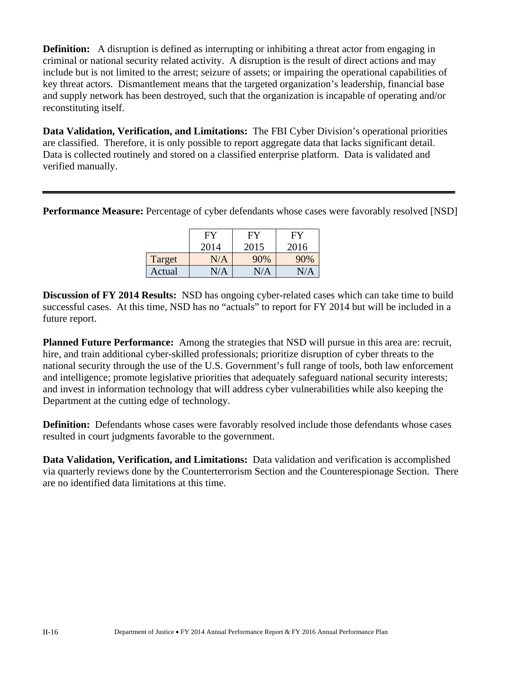**Definition:** A disruption is defined as interrupting or inhibiting a threat actor from engaging in criminal or national security related activity. A disruption is the result of direct actions and may include but is not limited to the arrest; seizure of assets; or impairing the operational capabilities of key threat actors. Dismantlement means that the targeted organization's leadership, financial base and supply network has been destroyed, such that the organization is incapable of operating and/or reconstituting itself.

**Data Validation, Verification, and Limitations:** The FBI Cyber Division's operational priorities are classified. Therefore, it is only possible to report aggregate data that lacks significant detail. Data is collected routinely and stored on a classified enterprise platform. Data is validated and verified manually.

**Performance Measure:** Percentage of cyber defendants whose cases were favorably resolved [NSD]

|        | FY        | FY   | FY   |
|--------|-----------|------|------|
|        | 2014      | 2015 | 2016 |
| Target | $\rm N/A$ | 90%  | 90%  |
| Actual | N/A       | N/A  | N/A  |

**Discussion of FY 2014 Results:** NSD has ongoing cyber-related cases which can take time to build successful cases. At this time, NSD has no "actuals" to report for FY 2014 but will be included in a future report.

**Planned Future Performance:** Among the strategies that NSD will pursue in this area are: recruit, hire, and train additional cyber-skilled professionals; prioritize disruption of cyber threats to the national security through the use of the U.S. Government's full range of tools, both law enforcement and intelligence; promote legislative priorities that adequately safeguard national security interests; and invest in information technology that will address cyber vulnerabilities while also keeping the Department at the cutting edge of technology.

**Definition:** Defendants whose cases were favorably resolved include those defendants whose cases resulted in court judgments favorable to the government.

**Data Validation, Verification, and Limitations:** Data validation and verification is accomplished via quarterly reviews done by the Counterterrorism Section and the Counterespionage Section. There are no identified data limitations at this time.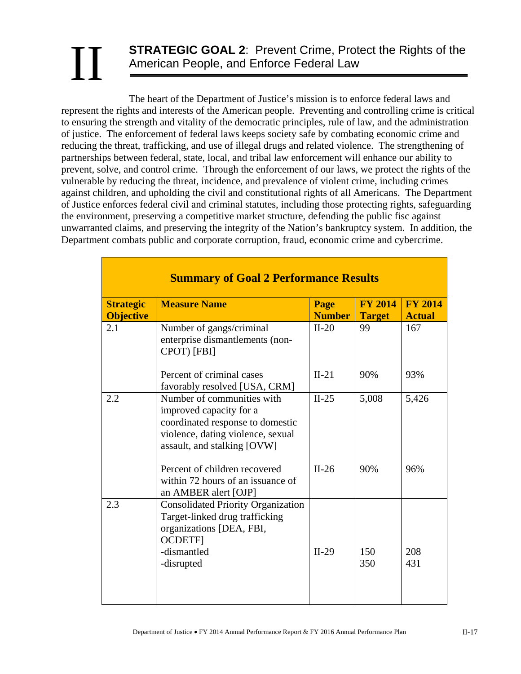## **STRATEGIC GOAL 2**: Prevent Crime, Protect the Rights of the American People, and Enforce Federal Law II

The heart of the Department of Justice's mission is to enforce federal laws and represent the rights and interests of the American people. Preventing and controlling crime is critical to ensuring the strength and vitality of the democratic principles, rule of law, and the administration of justice. The enforcement of federal laws keeps society safe by combating economic crime and reducing the threat, trafficking, and use of illegal drugs and related violence. The strengthening of partnerships between federal, state, local, and tribal law enforcement will enhance our ability to prevent, solve, and control crime. Through the enforcement of our laws, we protect the rights of the vulnerable by reducing the threat, incidence, and prevalence of violent crime, including crimes against children, and upholding the civil and constitutional rights of all Americans. The Department of Justice enforces federal civil and criminal statutes, including those protecting rights, safeguarding the environment, preserving a competitive market structure, defending the public fisc against unwarranted claims, and preserving the integrity of the Nation's bankruptcy system. In addition, the Department combats public and corporate corruption, fraud, economic crime and cybercrime.

|                                      | <b>Summary of Goal 2 Performance Results</b>                                                                                                                  |                       |                                 |                                 |  |  |  |  |  |  |  |
|--------------------------------------|---------------------------------------------------------------------------------------------------------------------------------------------------------------|-----------------------|---------------------------------|---------------------------------|--|--|--|--|--|--|--|
| <b>Strategic</b><br><b>Objective</b> | <b>Measure Name</b>                                                                                                                                           | Page<br><b>Number</b> | <b>FY 2014</b><br><b>Target</b> | <b>FY 2014</b><br><b>Actual</b> |  |  |  |  |  |  |  |
| 2.1                                  | Number of gangs/criminal<br>enterprise dismantlements (non-<br>CPOT) [FBI]                                                                                    | $II-20$               | 99                              | 167                             |  |  |  |  |  |  |  |
|                                      | Percent of criminal cases<br>favorably resolved [USA, CRM]                                                                                                    | $II-21$               | 90%                             | 93%                             |  |  |  |  |  |  |  |
| 2.2                                  | Number of communities with<br>improved capacity for a<br>coordinated response to domestic<br>violence, dating violence, sexual<br>assault, and stalking [OVW] | $II-25$               | 5,008                           | 5,426                           |  |  |  |  |  |  |  |
|                                      | Percent of children recovered<br>within 72 hours of an issuance of<br>an AMBER alert [OJP]                                                                    | $II-26$               | 90%                             | 96%                             |  |  |  |  |  |  |  |
| 2.3                                  | <b>Consolidated Priority Organization</b><br>Target-linked drug trafficking<br>organizations [DEA, FBI,<br><b>OCDETFI</b><br>-dismantled<br>-disrupted        | $II-29$               | 150<br>350                      | 208<br>431                      |  |  |  |  |  |  |  |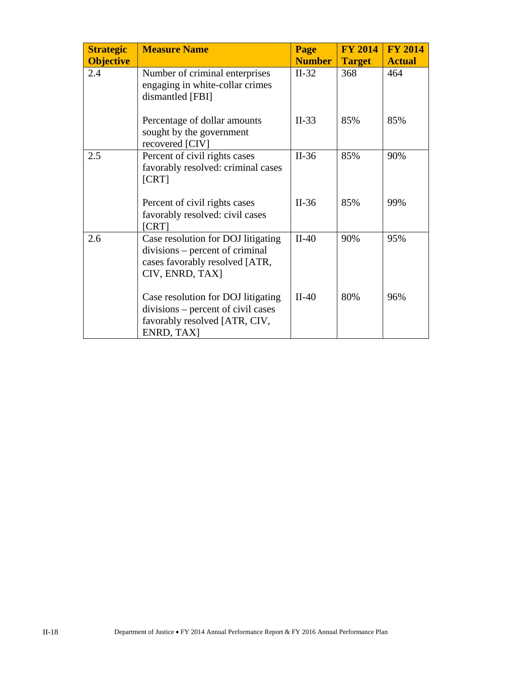| <b>Measure Name</b><br><b>Strategic</b> |                                                                                                                            | Page          | <b>FY 2014</b> | <b>FY 2014</b> |
|-----------------------------------------|----------------------------------------------------------------------------------------------------------------------------|---------------|----------------|----------------|
| <b>Objective</b>                        |                                                                                                                            | <b>Number</b> | <b>Target</b>  | <b>Actual</b>  |
| 2.4                                     | Number of criminal enterprises<br>engaging in white-collar crimes<br>dismantled [FBI]                                      | $II-32$       | 368            | 464            |
|                                         | Percentage of dollar amounts<br>sought by the government<br>recovered [CIV]                                                | $II-33$       | 85%            | 85%            |
| 2.5                                     | Percent of civil rights cases<br>favorably resolved: criminal cases<br>[CRT]                                               | $II-36$       | 85%            | 90%            |
|                                         | Percent of civil rights cases<br>favorably resolved: civil cases<br>[CRT]                                                  | $II-36$       | 85%            | 99%            |
| 2.6                                     | Case resolution for DOJ litigating<br>divisions – percent of criminal<br>cases favorably resolved [ATR,<br>CIV, ENRD, TAX] | $II-40$       | 90%            | 95%            |
|                                         | Case resolution for DOJ litigating<br>divisions – percent of civil cases<br>favorably resolved [ATR, CIV,<br>ENRD, TAX]    | $II-40$       | 80%            | 96%            |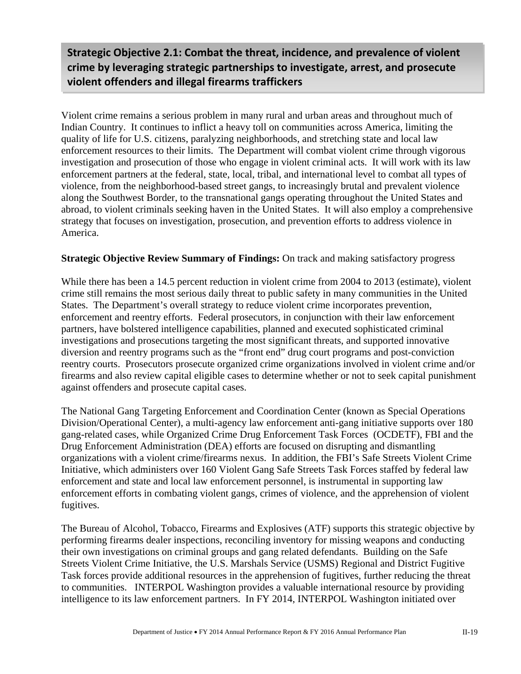**Strategic Objective 2.1: Combat the threat, incidence, and prevalence of violent crime by leveraging strategic partnerships to investigate, arrest, and prosecute violent offenders and illegal firearms traffickers**

Violent crime remains a serious problem in many rural and urban areas and throughout much of Indian Country. It continues to inflict a heavy toll on communities across America, limiting the quality of life for U.S. citizens, paralyzing neighborhoods, and stretching state and local law enforcement resources to their limits. The Department will combat violent crime through vigorous investigation and prosecution of those who engage in violent criminal acts. It will work with its law enforcement partners at the federal, state, local, tribal, and international level to combat all types of violence, from the neighborhood-based street gangs, to increasingly brutal and prevalent violence along the Southwest Border, to the transnational gangs operating throughout the United States and abroad, to violent criminals seeking haven in the United States. It will also employ a comprehensive strategy that focuses on investigation, prosecution, and prevention efforts to address violence in America.

#### **Strategic Objective Review Summary of Findings:** On track and making satisfactory progress

While there has been a 14.5 percent reduction in violent crime from 2004 to 2013 (estimate), violent crime still remains the most serious daily threat to public safety in many communities in the United States. The Department's overall strategy to reduce violent crime incorporates prevention, enforcement and reentry efforts. Federal prosecutors, in conjunction with their law enforcement partners, have bolstered intelligence capabilities, planned and executed sophisticated criminal investigations and prosecutions targeting the most significant threats, and supported innovative diversion and reentry programs such as the "front end" drug court programs and post-conviction reentry courts. Prosecutors prosecute organized crime organizations involved in violent crime and/or firearms and also review capital eligible cases to determine whether or not to seek capital punishment against offenders and prosecute capital cases.

The National Gang Targeting Enforcement and Coordination Center (known as Special Operations Division/Operational Center), a multi-agency law enforcement anti-gang initiative supports over 180 gang-related cases, while Organized Crime Drug Enforcement Task Forces (OCDETF), FBI and the Drug Enforcement Administration (DEA) efforts are focused on disrupting and dismantling organizations with a violent crime/firearms nexus. In addition, the FBI's Safe Streets Violent Crime Initiative, which administers over 160 Violent Gang Safe Streets Task Forces staffed by federal law enforcement and state and local law enforcement personnel, is instrumental in supporting law enforcement efforts in combating violent gangs, crimes of violence, and the apprehension of violent fugitives.

The Bureau of Alcohol, Tobacco, Firearms and Explosives (ATF) supports this strategic objective by performing firearms dealer inspections, reconciling inventory for missing weapons and conducting their own investigations on criminal groups and gang related defendants. Building on the Safe Streets Violent Crime Initiative, the U.S. Marshals Service (USMS) Regional and District Fugitive Task forces provide additional resources in the apprehension of fugitives, further reducing the threat to communities. INTERPOL Washington provides a valuable international resource by providing intelligence to its law enforcement partners. In FY 2014, INTERPOL Washington initiated over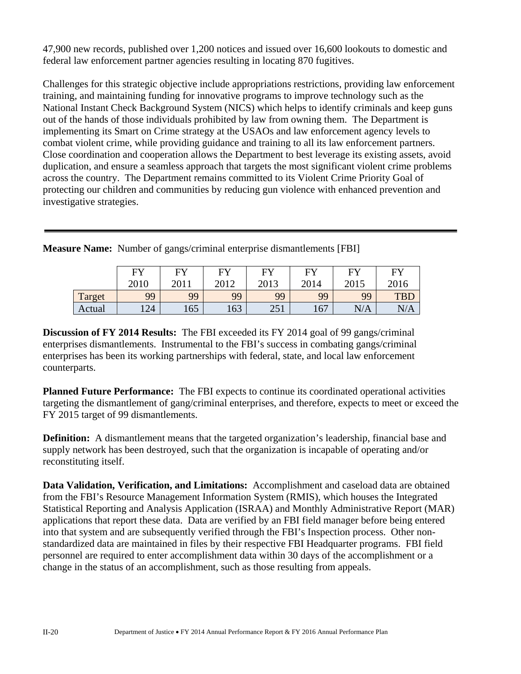47,900 new records, published over 1,200 notices and issued over 16,600 lookouts to domestic and federal law enforcement partner agencies resulting in locating 870 fugitives.

Challenges for this strategic objective include appropriations restrictions, providing law enforcement training, and maintaining funding for innovative programs to improve technology such as the National Instant Check Background System (NICS) which helps to identify criminals and keep guns out of the hands of those individuals prohibited by law from owning them. The Department is implementing its Smart on Crime strategy at the USAOs and law enforcement agency levels to combat violent crime, while providing guidance and training to all its law enforcement partners. Close coordination and cooperation allows the Department to best leverage its existing assets, avoid duplication, and ensure a seamless approach that targets the most significant violent crime problems across the country. The Department remains committed to its Violent Crime Priority Goal of protecting our children and communities by reducing gun violence with enhanced prevention and investigative strategies.

|        | FV   | EV   | FY   | FУ         | EV   | FY   | FУ         |
|--------|------|------|------|------------|------|------|------------|
|        | 2010 | 2011 | 2012 | 2013       | 2014 | 2015 | 2016       |
| Target | 99   | 99   | 99   | 99         | 99   | 99   | <b>TBL</b> |
| Actual | 124  | 165  | 163  | 251<br>2J1 | 167  | N/A  | N/A        |

**Measure Name:** Number of gangs/criminal enterprise dismantlements [FBI]

**Discussion of FY 2014 Results:** The FBI exceeded its FY 2014 goal of 99 gangs/criminal enterprises dismantlements. Instrumental to the FBI's success in combating gangs/criminal enterprises has been its working partnerships with federal, state, and local law enforcement counterparts.

**Planned Future Performance:** The FBI expects to continue its coordinated operational activities targeting the dismantlement of gang/criminal enterprises, and therefore, expects to meet or exceed the FY 2015 target of 99 dismantlements.

**Definition:** A dismantlement means that the targeted organization's leadership, financial base and supply network has been destroyed, such that the organization is incapable of operating and/or reconstituting itself.

**Data Validation, Verification, and Limitations:** Accomplishment and caseload data are obtained from the FBI's Resource Management Information System (RMIS), which houses the Integrated Statistical Reporting and Analysis Application (ISRAA) and Monthly Administrative Report (MAR) applications that report these data. Data are verified by an FBI field manager before being entered into that system and are subsequently verified through the FBI's Inspection process. Other nonstandardized data are maintained in files by their respective FBI Headquarter programs. FBI field personnel are required to enter accomplishment data within 30 days of the accomplishment or a change in the status of an accomplishment, such as those resulting from appeals.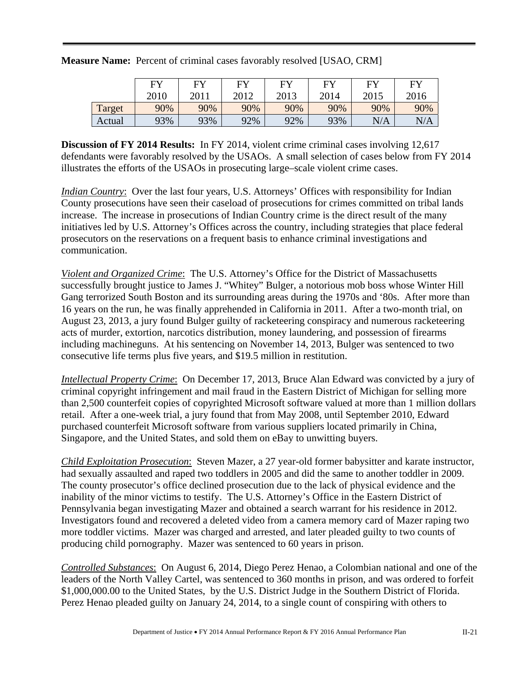|        | <b>EV</b><br>2010 | <b>FY</b><br>2011 | <b>FY</b><br>2012 | <b>FY</b><br>2013 | <b>FY</b><br>2014 | FV<br>2015 | FY<br>2016 |
|--------|-------------------|-------------------|-------------------|-------------------|-------------------|------------|------------|
| Target | 90%               | 90%               | 90%               | 90%               | 90%               | 90%        | 90%        |
| Actual | 93%               | 93%               | 92%               | 92%               | 93%               | N/A        | N/A        |

#### **Measure Name:** Percent of criminal cases favorably resolved [USAO, CRM]

**Discussion of FY 2014 Results:** In FY 2014, violent crime criminal cases involving 12,617 defendants were favorably resolved by the USAOs. A small selection of cases below from FY 2014 illustrates the efforts of the USAOs in prosecuting large–scale violent crime cases.

*Indian Country*: Over the last four years, U.S. Attorneys' Offices with responsibility for Indian County prosecutions have seen their caseload of prosecutions for crimes committed on tribal lands increase. The increase in prosecutions of Indian Country crime is the direct result of the many initiatives led by U.S. Attorney's Offices across the country, including strategies that place federal prosecutors on the reservations on a frequent basis to enhance criminal investigations and communication.

*Violent and Organized Crime*: The U.S. Attorney's Office for the District of Massachusetts successfully brought justice to James J. "Whitey" Bulger, a notorious mob boss whose Winter Hill Gang terrorized South Boston and its surrounding areas during the 1970s and '80s. After more than 16 years on the run, he was finally apprehended in California in 2011. After a two-month trial, on August 23, 2013, a jury found Bulger guilty of racketeering conspiracy and numerous racketeering acts of murder, extortion, narcotics distribution, money laundering, and possession of firearms including machineguns. At his sentencing on November 14, 2013, Bulger was sentenced to two consecutive life terms plus five years, and \$19.5 million in restitution.

*Intellectual Property Crime*: On December 17, 2013, Bruce Alan Edward was convicted by a jury of criminal copyright infringement and mail fraud in the Eastern District of Michigan for selling more than 2,500 counterfeit copies of copyrighted Microsoft software valued at more than 1 million dollars retail. After a one-week trial, a jury found that from May 2008, until September 2010, Edward purchased counterfeit Microsoft software from various suppliers located primarily in China, Singapore, and the United States, and sold them on eBay to unwitting buyers.

*Child Exploitation Prosecution*: Steven Mazer, a 27 year-old former babysitter and karate instructor, had sexually assaulted and raped two toddlers in 2005 and did the same to another toddler in 2009. The county prosecutor's office declined prosecution due to the lack of physical evidence and the inability of the minor victims to testify. The U.S. Attorney's Office in the Eastern District of Pennsylvania began investigating Mazer and obtained a search warrant for his residence in 2012. Investigators found and recovered a deleted video from a camera memory card of Mazer raping two more toddler victims. Mazer was charged and arrested, and later pleaded guilty to two counts of producing child pornography. Mazer was sentenced to 60 years in prison.

*Controlled Substances*: On August 6, 2014, Diego Perez Henao, a Colombian national and one of the leaders of the North Valley Cartel, was sentenced to 360 months in prison, and was ordered to forfeit \$1,000,000.00 to the United States, by the U.S. District Judge in the Southern District of Florida. Perez Henao pleaded guilty on January 24, 2014, to a single count of conspiring with others to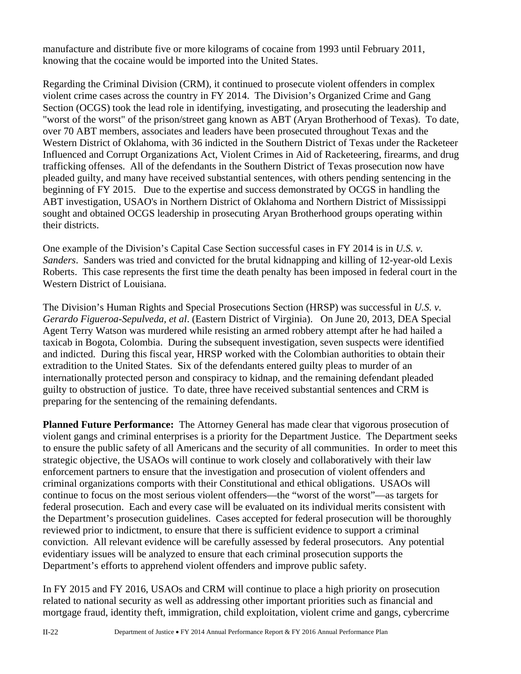manufacture and distribute five or more kilograms of cocaine from 1993 until February 2011, knowing that the cocaine would be imported into the United States.

Regarding the Criminal Division (CRM), it continued to prosecute violent offenders in complex violent crime cases across the country in FY 2014. The Division's Organized Crime and Gang Section (OCGS) took the lead role in identifying, investigating, and prosecuting the leadership and "worst of the worst" of the prison/street gang known as ABT (Aryan Brotherhood of Texas). To date, over 70 ABT members, associates and leaders have been prosecuted throughout Texas and the Western District of Oklahoma, with 36 indicted in the Southern District of Texas under the Racketeer Influenced and Corrupt Organizations Act, Violent Crimes in Aid of Racketeering, firearms, and drug trafficking offenses. All of the defendants in the Southern District of Texas prosecution now have pleaded guilty, and many have received substantial sentences, with others pending sentencing in the beginning of FY 2015. Due to the expertise and success demonstrated by OCGS in handling the ABT investigation, USAO's in Northern District of Oklahoma and Northern District of Mississippi sought and obtained OCGS leadership in prosecuting Aryan Brotherhood groups operating within their districts.

One example of the Division's Capital Case Section successful cases in FY 2014 is in *U.S. v. Sanders*. Sanders was tried and convicted for the brutal kidnapping and killing of 12-year-old Lexis Roberts. This case represents the first time the death penalty has been imposed in federal court in the Western District of Louisiana.

The Division's Human Rights and Special Prosecutions Section (HRSP) was successful in *U.S. v. Gerardo Figueroa-Sepulveda, et al*. (Eastern District of Virginia). On June 20, 2013, DEA Special Agent Terry Watson was murdered while resisting an armed robbery attempt after he had hailed a taxicab in Bogota, Colombia. During the subsequent investigation, seven suspects were identified and indicted. During this fiscal year, HRSP worked with the Colombian authorities to obtain their extradition to the United States. Six of the defendants entered guilty pleas to murder of an internationally protected person and conspiracy to kidnap, and the remaining defendant pleaded guilty to obstruction of justice. To date, three have received substantial sentences and CRM is preparing for the sentencing of the remaining defendants.

**Planned Future Performance:** The Attorney General has made clear that vigorous prosecution of violent gangs and criminal enterprises is a priority for the Department Justice. The Department seeks to ensure the public safety of all Americans and the security of all communities. In order to meet this strategic objective, the USAOs will continue to work closely and collaboratively with their law enforcement partners to ensure that the investigation and prosecution of violent offenders and criminal organizations comports with their Constitutional and ethical obligations. USAOs will continue to focus on the most serious violent offenders—the "worst of the worst"—as targets for federal prosecution. Each and every case will be evaluated on its individual merits consistent with the Department's prosecution guidelines. Cases accepted for federal prosecution will be thoroughly reviewed prior to indictment, to ensure that there is sufficient evidence to support a criminal conviction. All relevant evidence will be carefully assessed by federal prosecutors. Any potential evidentiary issues will be analyzed to ensure that each criminal prosecution supports the Department's efforts to apprehend violent offenders and improve public safety.

In FY 2015 and FY 2016, USAOs and CRM will continue to place a high priority on prosecution related to national security as well as addressing other important priorities such as financial and mortgage fraud, identity theft, immigration, child exploitation, violent crime and gangs, cybercrime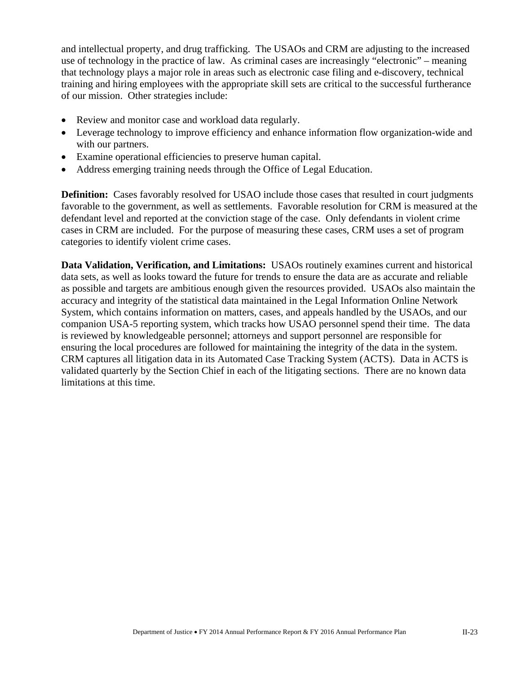and intellectual property, and drug trafficking. The USAOs and CRM are adjusting to the increased use of technology in the practice of law. As criminal cases are increasingly "electronic" – meaning that technology plays a major role in areas such as electronic case filing and e-discovery, technical training and hiring employees with the appropriate skill sets are critical to the successful furtherance of our mission. Other strategies include:

- Review and monitor case and workload data regularly.
- Leverage technology to improve efficiency and enhance information flow organization-wide and with our partners.
- Examine operational efficiencies to preserve human capital.
- Address emerging training needs through the Office of Legal Education.

**Definition:** Cases favorably resolved for USAO include those cases that resulted in court judgments favorable to the government, as well as settlements. Favorable resolution for CRM is measured at the defendant level and reported at the conviction stage of the case. Only defendants in violent crime cases in CRM are included. For the purpose of measuring these cases, CRM uses a set of program categories to identify violent crime cases.

**Data Validation, Verification, and Limitations:** USAOs routinely examines current and historical data sets, as well as looks toward the future for trends to ensure the data are as accurate and reliable as possible and targets are ambitious enough given the resources provided. USAOs also maintain the accuracy and integrity of the statistical data maintained in the Legal Information Online Network System, which contains information on matters, cases, and appeals handled by the USAOs, and our companion USA-5 reporting system, which tracks how USAO personnel spend their time. The data is reviewed by knowledgeable personnel; attorneys and support personnel are responsible for ensuring the local procedures are followed for maintaining the integrity of the data in the system. CRM captures all litigation data in its Automated Case Tracking System (ACTS). Data in ACTS is validated quarterly by the Section Chief in each of the litigating sections. There are no known data limitations at this time.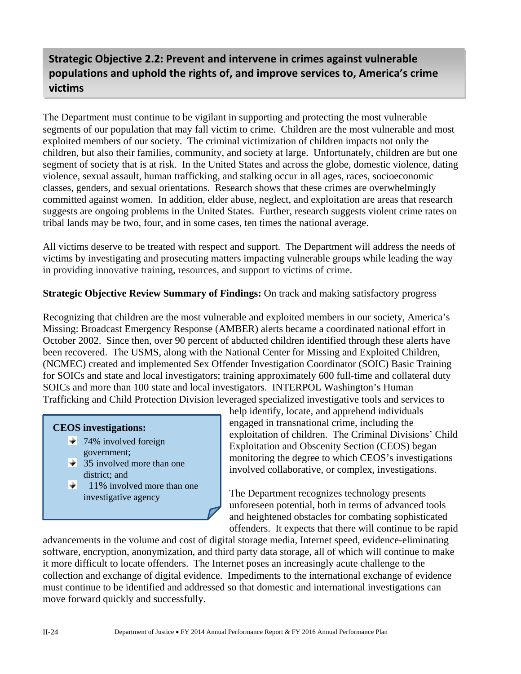## **Strategic Objective 2.2: Prevent and intervene in crimes against vulnerable populations and uphold the rights of, and improve services to, America's crime victims**

The Department must continue to be vigilant in supporting and protecting the most vulnerable segments of our population that may fall victim to crime. Children are the most vulnerable and most exploited members of our society. The criminal victimization of children impacts not only the children, but also their families, community, and society at large. Unfortunately, children are but one segment of society that is at risk. In the United States and across the globe, domestic violence, dating violence, sexual assault, human trafficking, and stalking occur in all ages, races, socioeconomic classes, genders, and sexual orientations. Research shows that these crimes are overwhelmingly committed against women. In addition, elder abuse, neglect, and exploitation are areas that research suggests are ongoing problems in the United States. Further, research suggests violent crime rates on tribal lands may be two, four, and in some cases, ten times the national average.

All victims deserve to be treated with respect and support. The Department will address the needs of victims by investigating and prosecuting matters impacting vulnerable groups while leading the way in providing innovative training, resources, and support to victims of crime.

#### **Strategic Objective Review Summary of Findings:** On track and making satisfactory progress

Recognizing that children are the most vulnerable and exploited members in our society, America's Missing: Broadcast Emergency Response (AMBER) alerts became a coordinated national effort in October 2002. Since then, over 90 percent of abducted children identified through these alerts have been recovered. The USMS, along with the National Center for Missing and Exploited Children, (NCMEC) created and implemented Sex Offender Investigation Coordinator (SOIC) Basic Training for SOICs and state and local investigators; training approximately 600 full-time and collateral duty SOICs and more than 100 state and local investigators. INTERPOL Washington's Human Trafficking and Child Protection Division leveraged specialized investigative tools and services to

#### **CEOS investigations:**

- $\overline{74\%}$  involved foreign government;
- $\overline{\smash{\big)}\}$  35 involved more than one district; and
- ÷l 11% involved more than one investigative agency

help identify, locate, and apprehend individuals engaged in transnational crime, including the exploitation of children. The Criminal Divisions' Child Exploitation and Obscenity Section (CEOS) began monitoring the degree to which CEOS's investigations involved collaborative, or complex, investigations.

The Department recognizes technology presents unforeseen potential, both in terms of advanced tools and heightened obstacles for combating sophisticated offenders. It expects that there will continue to be rapid

advancements in the volume and cost of digital storage media, Internet speed, evidence-eliminating software, encryption, anonymization, and third party data storage, all of which will continue to make it more difficult to locate offenders. The Internet poses an increasingly acute challenge to the collection and exchange of digital evidence. Impediments to the international exchange of evidence must continue to be identified and addressed so that domestic and international investigations can move forward quickly and successfully.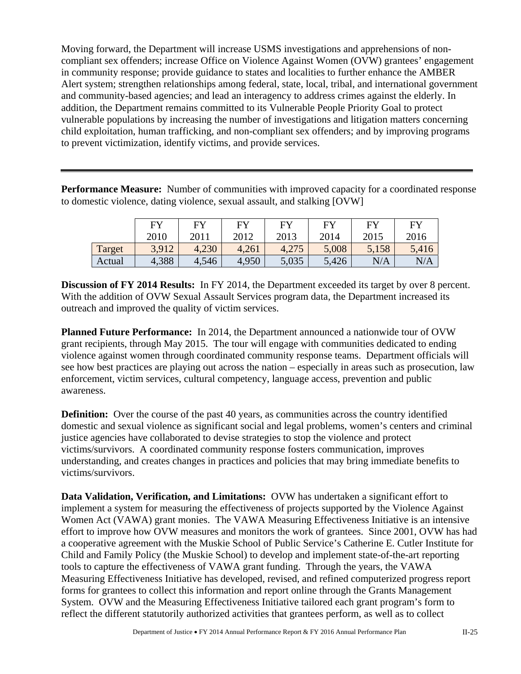Moving forward, the Department will increase USMS investigations and apprehensions of noncompliant sex offenders; increase Office on Violence Against Women (OVW) grantees' engagement in community response; provide guidance to states and localities to further enhance the AMBER Alert system; strengthen relationships among federal, state, local, tribal, and international government and community-based agencies; and lead an interagency to address crimes against the elderly. In addition, the Department remains committed to its Vulnerable People Priority Goal to protect vulnerable populations by increasing the number of investigations and litigation matters concerning child exploitation, human trafficking, and non-compliant sex offenders; and by improving programs to prevent victimization, identify victims, and provide services.

**Performance Measure:** Number of communities with improved capacity for a coordinated response to domestic violence, dating violence, sexual assault, and stalking [OVW]

|        | <b>FY</b> | EY    | $E$ V | F <sub>Y</sub> | FY    | FV    | <b>FY</b> |
|--------|-----------|-------|-------|----------------|-------|-------|-----------|
|        | 2010      | 2011  | 2012  | 2013           | 2014  | 2015  | 2016      |
| Target | 3,912     | 4,230 | 4,261 | 4,275          | 5,008 | 5,158 | 5,416     |
| Actual | 4,388     | 4,546 | 4,950 | 5,035          | 5,426 | N/A   | N/A       |

**Discussion of FY 2014 Results:** In FY 2014, the Department exceeded its target by over 8 percent. With the addition of OVW Sexual Assault Services program data, the Department increased its outreach and improved the quality of victim services.

**Planned Future Performance:** In 2014, the Department announced a nationwide tour of OVW grant recipients, through May 2015. The tour will engage with communities dedicated to ending violence against women through coordinated community response teams. Department officials will see how best practices are playing out across the nation – especially in areas such as prosecution, law enforcement, victim services, cultural competency, language access, prevention and public awareness.

**Definition:** Over the course of the past 40 years, as communities across the country identified domestic and sexual violence as significant social and legal problems, women's centers and criminal justice agencies have collaborated to devise strategies to stop the violence and protect victims/survivors. A coordinated community response fosters communication, improves understanding, and creates changes in practices and policies that may bring immediate benefits to victims/survivors.

**Data Validation, Verification, and Limitations:** OVW has undertaken a significant effort to implement a system for measuring the effectiveness of projects supported by the Violence Against Women Act (VAWA) grant monies. The VAWA Measuring Effectiveness Initiative is an intensive effort to improve how OVW measures and monitors the work of grantees. Since 2001, OVW has had a cooperative agreement with the Muskie School of Public Service's Catherine E. Cutler Institute for Child and Family Policy (the Muskie School) to develop and implement state-of-the-art reporting tools to capture the effectiveness of VAWA grant funding. Through the years, the VAWA Measuring Effectiveness Initiative has developed, revised, and refined computerized progress report forms for grantees to collect this information and report online through the Grants Management System. OVW and the Measuring Effectiveness Initiative tailored each grant program's form to reflect the different statutorily authorized activities that grantees perform, as well as to collect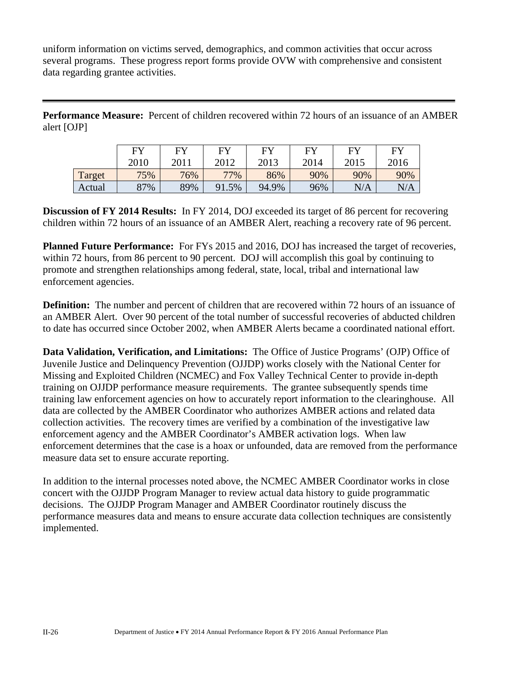uniform information on victims served, demographics, and common activities that occur across several programs. These progress report forms provide OVW with comprehensive and consistent data regarding grantee activities.

**Performance Measure:** Percent of children recovered within 72 hours of an issuance of an AMBER alert [OJP]

|        | <b>FY</b> | FУ   | FУ    | <b>FY</b> | EV   | EY   | FV   |
|--------|-----------|------|-------|-----------|------|------|------|
|        | 2010      | 2011 | 2012  | 2013      | 2014 | 2015 | 2016 |
| Target | 75%       | 76%  | 77%   | 86%       | 90%  | 90%  | 90%  |
| Actual | 87%       | 89%  | 91.5% | 94.9%     | 96%  | N/A  | N/A  |

**Discussion of FY 2014 Results:** In FY 2014, DOJ exceeded its target of 86 percent for recovering children within 72 hours of an issuance of an AMBER Alert, reaching a recovery rate of 96 percent.

**Planned Future Performance:** For FYs 2015 and 2016, DOJ has increased the target of recoveries, within 72 hours, from 86 percent to 90 percent. DOJ will accomplish this goal by continuing to promote and strengthen relationships among federal, state, local, tribal and international law enforcement agencies.

**Definition:** The number and percent of children that are recovered within 72 hours of an issuance of an AMBER Alert. Over 90 percent of the total number of successful recoveries of abducted children to date has occurred since October 2002, when AMBER Alerts became a coordinated national effort.

**Data Validation, Verification, and Limitations:** The Office of Justice Programs' (OJP) Office of Juvenile Justice and Delinquency Prevention (OJJDP) works closely with the National Center for Missing and Exploited Children (NCMEC) and Fox Valley Technical Center to provide in-depth training on OJJDP performance measure requirements. The grantee subsequently spends time training law enforcement agencies on how to accurately report information to the clearinghouse. All data are collected by the AMBER Coordinator who authorizes AMBER actions and related data collection activities. The recovery times are verified by a combination of the investigative law enforcement agency and the AMBER Coordinator's AMBER activation logs. When law enforcement determines that the case is a hoax or unfounded, data are removed from the performance measure data set to ensure accurate reporting.

In addition to the internal processes noted above, the NCMEC AMBER Coordinator works in close concert with the OJJDP Program Manager to review actual data history to guide programmatic decisions. The OJJDP Program Manager and AMBER Coordinator routinely discuss the performance measures data and means to ensure accurate data collection techniques are consistently implemented.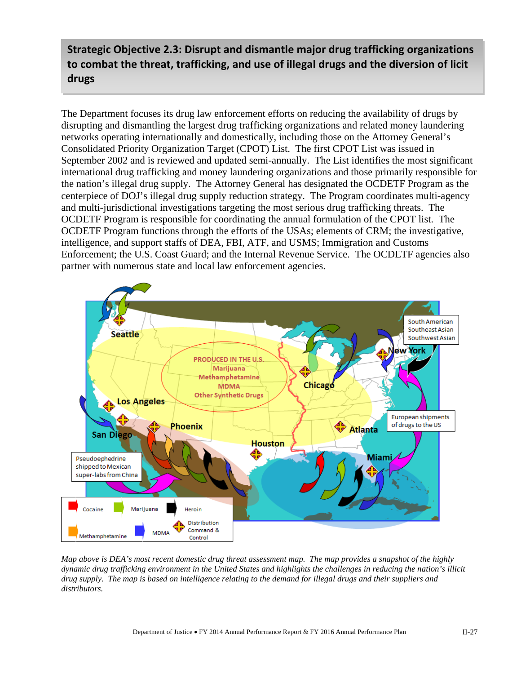## **Strategic Objective 2.3: Disrupt and dismantle major drug trafficking organizations to combat the threat, trafficking, and use of illegal drugs and the diversion of licit drugs**

The Department focuses its drug law enforcement efforts on reducing the availability of drugs by disrupting and dismantling the largest drug trafficking organizations and related money laundering networks operating internationally and domestically, including those on the Attorney General's Consolidated Priority Organization Target (CPOT) List. The first CPOT List was issued in September 2002 and is reviewed and updated semi-annually. The List identifies the most significant international drug trafficking and money laundering organizations and those primarily responsible for the nation's illegal drug supply. The Attorney General has designated the OCDETF Program as the centerpiece of DOJ's illegal drug supply reduction strategy. The Program coordinates multi-agency and multi-jurisdictional investigations targeting the most serious drug trafficking threats. The OCDETF Program is responsible for coordinating the annual formulation of the CPOT list. The OCDETF Program functions through the efforts of the USAs; elements of CRM; the investigative, intelligence, and support staffs of DEA, FBI, ATF, and USMS; Immigration and Customs Enforcement; the U.S. Coast Guard; and the Internal Revenue Service. The OCDETF agencies also partner with numerous state and local law enforcement agencies.



*Map above is DEA's most recent domestic drug threat assessment map. The map provides a snapshot of the highly dynamic drug trafficking environment in the United States and highlights the challenges in reducing the nation's illicit drug supply. The map is based on intelligence relating to the demand for illegal drugs and their suppliers and distributors.*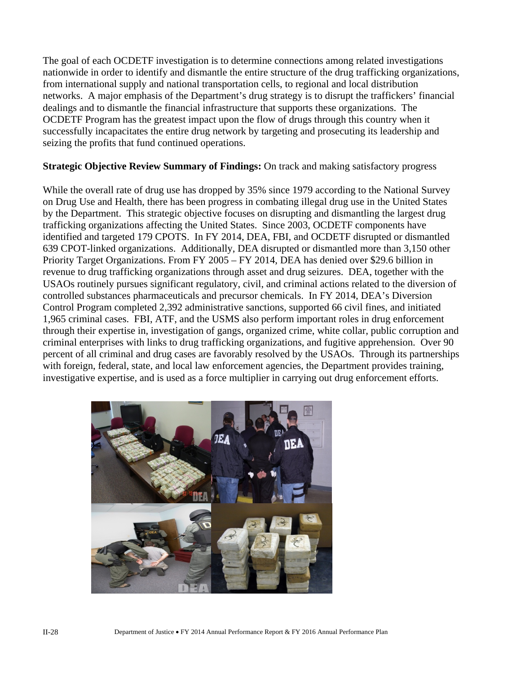The goal of each OCDETF investigation is to determine connections among related investigations nationwide in order to identify and dismantle the entire structure of the drug trafficking organizations, from international supply and national transportation cells, to regional and local distribution networks. A major emphasis of the Department's drug strategy is to disrupt the traffickers' financial dealings and to dismantle the financial infrastructure that supports these organizations. The OCDETF Program has the greatest impact upon the flow of drugs through this country when it successfully incapacitates the entire drug network by targeting and prosecuting its leadership and seizing the profits that fund continued operations.

#### **Strategic Objective Review Summary of Findings:** On track and making satisfactory progress

While the overall rate of drug use has dropped by 35% since 1979 according to the National Survey on Drug Use and Health, there has been progress in combating illegal drug use in the United States by the Department. This strategic objective focuses on disrupting and dismantling the largest drug trafficking organizations affecting the United States. Since 2003, OCDETF components have identified and targeted 179 CPOTS. In FY 2014, DEA, FBI, and OCDETF disrupted or dismantled 639 CPOT-linked organizations. Additionally, DEA disrupted or dismantled more than 3,150 other Priority Target Organizations. From FY 2005 – FY 2014, DEA has denied over \$29.6 billion in revenue to drug trafficking organizations through asset and drug seizures. DEA, together with the USAOs routinely pursues significant regulatory, civil, and criminal actions related to the diversion of controlled substances pharmaceuticals and precursor chemicals. In FY 2014, DEA's Diversion Control Program completed 2,392 administrative sanctions, supported 66 civil fines, and initiated 1,965 criminal cases. FBI, ATF, and the USMS also perform important roles in drug enforcement through their expertise in, investigation of gangs, organized crime, white collar, public corruption and criminal enterprises with links to drug trafficking organizations, and fugitive apprehension. Over 90 percent of all criminal and drug cases are favorably resolved by the USAOs. Through its partnerships with foreign, federal, state, and local law enforcement agencies, the Department provides training, investigative expertise, and is used as a force multiplier in carrying out drug enforcement efforts.

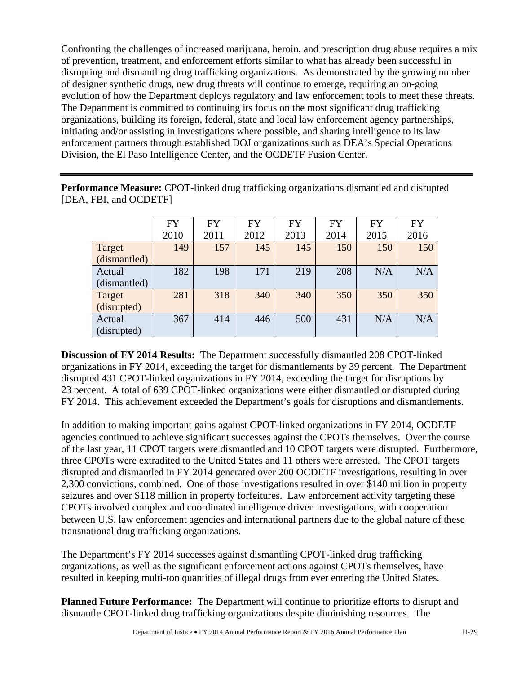Confronting the challenges of increased marijuana, heroin, and prescription drug abuse requires a mix of prevention, treatment, and enforcement efforts similar to what has already been successful in disrupting and dismantling drug trafficking organizations. As demonstrated by the growing number of designer synthetic drugs, new drug threats will continue to emerge, requiring an on-going evolution of how the Department deploys regulatory and law enforcement tools to meet these threats. The Department is committed to continuing its focus on the most significant drug trafficking organizations, building its foreign, federal, state and local law enforcement agency partnerships, initiating and/or assisting in investigations where possible, and sharing intelligence to its law enforcement partners through established DOJ organizations such as DEA's Special Operations Division, the El Paso Intelligence Center, and the OCDETF Fusion Center.

**Performance Measure:** CPOT-linked drug trafficking organizations dismantled and disrupted [DEA, FBI, and OCDETF]

|              | <b>FY</b> | <b>FY</b> | <b>FY</b> | <b>FY</b> | <b>FY</b> | <b>FY</b> | <b>FY</b> |
|--------------|-----------|-----------|-----------|-----------|-----------|-----------|-----------|
|              | 2010      | 2011      | 2012      | 2013      | 2014      | 2015      | 2016      |
| Target       | 149       | 157       | 145       | 145       | 150       | 150       | 150       |
| (dismantled) |           |           |           |           |           |           |           |
| Actual       | 182       | 198       | 171       | 219       | 208       | N/A       | N/A       |
| (dismantled) |           |           |           |           |           |           |           |
| Target       | 281       | 318       | 340       | 340       | 350       | 350       | 350       |
| (disrupted)  |           |           |           |           |           |           |           |
| Actual       | 367       | 414       | 446       | 500       | 431       | N/A       | N/A       |
| (disrupted)  |           |           |           |           |           |           |           |

**Discussion of FY 2014 Results:** The Department successfully dismantled 208 CPOT-linked organizations in FY 2014, exceeding the target for dismantlements by 39 percent. The Department disrupted 431 CPOT-linked organizations in FY 2014, exceeding the target for disruptions by 23 percent. A total of 639 CPOT-linked organizations were either dismantled or disrupted during FY 2014. This achievement exceeded the Department's goals for disruptions and dismantlements.

In addition to making important gains against CPOT-linked organizations in FY 2014, OCDETF agencies continued to achieve significant successes against the CPOTs themselves. Over the course of the last year, 11 CPOT targets were dismantled and 10 CPOT targets were disrupted. Furthermore, three CPOTs were extradited to the United States and 11 others were arrested. The CPOT targets disrupted and dismantled in FY 2014 generated over 200 OCDETF investigations, resulting in over 2,300 convictions, combined. One of those investigations resulted in over \$140 million in property seizures and over \$118 million in property forfeitures. Law enforcement activity targeting these CPOTs involved complex and coordinated intelligence driven investigations, with cooperation between U.S. law enforcement agencies and international partners due to the global nature of these transnational drug trafficking organizations.

The Department's FY 2014 successes against dismantling CPOT-linked drug trafficking organizations, as well as the significant enforcement actions against CPOTs themselves, have resulted in keeping multi-ton quantities of illegal drugs from ever entering the United States.

**Planned Future Performance:** The Department will continue to prioritize efforts to disrupt and dismantle CPOT-linked drug trafficking organizations despite diminishing resources. The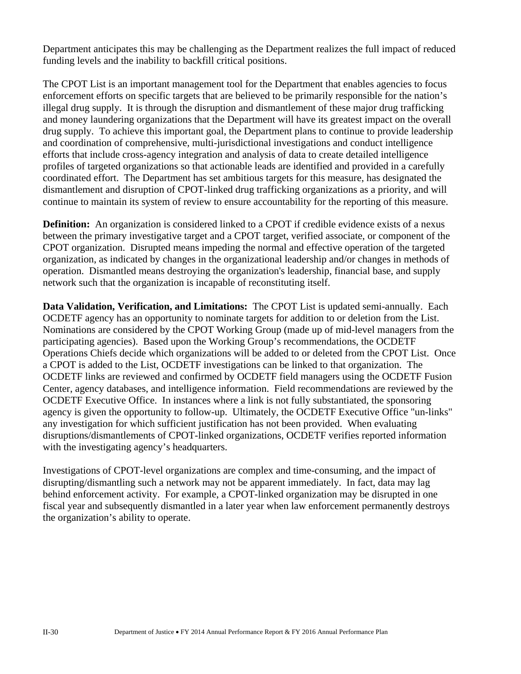Department anticipates this may be challenging as the Department realizes the full impact of reduced funding levels and the inability to backfill critical positions.

The CPOT List is an important management tool for the Department that enables agencies to focus enforcement efforts on specific targets that are believed to be primarily responsible for the nation's illegal drug supply. It is through the disruption and dismantlement of these major drug trafficking and money laundering organizations that the Department will have its greatest impact on the overall drug supply. To achieve this important goal, the Department plans to continue to provide leadership and coordination of comprehensive, multi-jurisdictional investigations and conduct intelligence efforts that include cross-agency integration and analysis of data to create detailed intelligence profiles of targeted organizations so that actionable leads are identified and provided in a carefully coordinated effort. The Department has set ambitious targets for this measure, has designated the dismantlement and disruption of CPOT-linked drug trafficking organizations as a priority, and will continue to maintain its system of review to ensure accountability for the reporting of this measure.

**Definition:** An organization is considered linked to a CPOT if credible evidence exists of a nexus between the primary investigative target and a CPOT target, verified associate, or component of the CPOT organization. Disrupted means impeding the normal and effective operation of the targeted organization, as indicated by changes in the organizational leadership and/or changes in methods of operation. Dismantled means destroying the organization's leadership, financial base, and supply network such that the organization is incapable of reconstituting itself.

**Data Validation, Verification, and Limitations:** The CPOT List is updated semi-annually. Each OCDETF agency has an opportunity to nominate targets for addition to or deletion from the List. Nominations are considered by the CPOT Working Group (made up of mid-level managers from the participating agencies). Based upon the Working Group's recommendations, the OCDETF Operations Chiefs decide which organizations will be added to or deleted from the CPOT List. Once a CPOT is added to the List, OCDETF investigations can be linked to that organization. The OCDETF links are reviewed and confirmed by OCDETF field managers using the OCDETF Fusion Center, agency databases, and intelligence information. Field recommendations are reviewed by the OCDETF Executive Office. In instances where a link is not fully substantiated, the sponsoring agency is given the opportunity to follow-up. Ultimately, the OCDETF Executive Office "un-links" any investigation for which sufficient justification has not been provided. When evaluating disruptions/dismantlements of CPOT-linked organizations, OCDETF verifies reported information with the investigating agency's headquarters.

Investigations of CPOT-level organizations are complex and time-consuming, and the impact of disrupting/dismantling such a network may not be apparent immediately. In fact, data may lag behind enforcement activity. For example, a CPOT-linked organization may be disrupted in one fiscal year and subsequently dismantled in a later year when law enforcement permanently destroys the organization's ability to operate.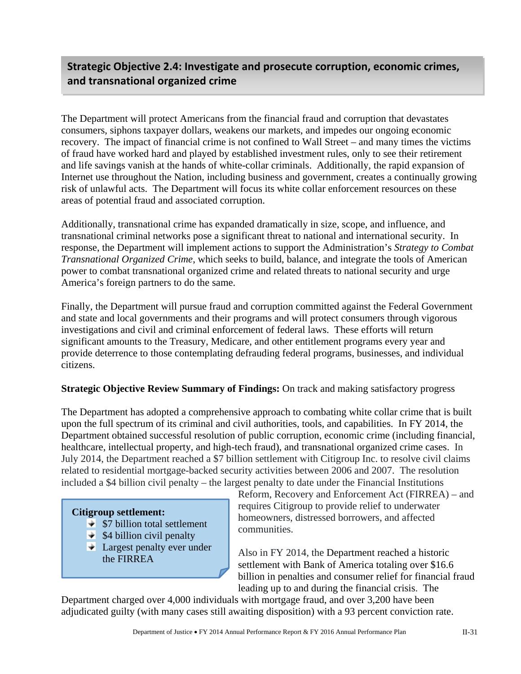## **Strategic Objective 2.4: Investigate and prosecute corruption, economic crimes, and transnational organized crime**

The Department will protect Americans from the financial fraud and corruption that devastates consumers, siphons taxpayer dollars, weakens our markets, and impedes our ongoing economic recovery. The impact of financial crime is not confined to Wall Street – and many times the victims of fraud have worked hard and played by established investment rules, only to see their retirement and life savings vanish at the hands of white-collar criminals. Additionally, the rapid expansion of Internet use throughout the Nation, including business and government, creates a continually growing risk of unlawful acts. The Department will focus its white collar enforcement resources on these areas of potential fraud and associated corruption.

Additionally, transnational crime has expanded dramatically in size, scope, and influence, and transnational criminal networks pose a significant threat to national and international security. In response, the Department will implement actions to support the Administration's *Strategy to Combat Transnational Organized Crime*, which seeks to build, balance, and integrate the tools of American power to combat transnational organized crime and related threats to national security and urge America's foreign partners to do the same.

Finally, the Department will pursue fraud and corruption committed against the Federal Government and state and local governments and their programs and will protect consumers through vigorous investigations and civil and criminal enforcement of federal laws. These efforts will return significant amounts to the Treasury, Medicare, and other entitlement programs every year and provide deterrence to those contemplating defrauding federal programs, businesses, and individual citizens.

#### **Strategic Objective Review Summary of Findings:** On track and making satisfactory progress

The Department has adopted a comprehensive approach to combating white collar crime that is built upon the full spectrum of its criminal and civil authorities, tools, and capabilities. In FY 2014, the Department obtained successful resolution of public corruption, economic crime (including financial, healthcare, intellectual property, and high-tech fraud), and transnational organized crime cases. In July 2014, the Department reached a \$7 billion settlement with Citigroup Inc. to resolve civil claims related to residential mortgage-backed security activities between 2006 and 2007. The resolution included a \$4 billion civil penalty – the largest penalty to date under the Financial Institutions

#### **Citigroup settlement:**

- $\overline{\bullet}$  \$7 billion total settlement
- $\div$  \$4 billion civil penalty
- **Largest penalty ever under** the FIRREA

Reform, Recovery and Enforcement Act (FIRREA) – and requires Citigroup to provide relief to underwater homeowners, distressed borrowers, and affected communities.

Also in FY 2014, the Department reached a historic settlement with Bank of America totaling over \$16.6 billion in penalties and consumer relief for financial fraud leading up to and during the financial crisis. The

Department charged over 4,000 individuals with mortgage fraud, and over 3,200 have been adjudicated guilty (with many cases still awaiting disposition) with a 93 percent conviction rate.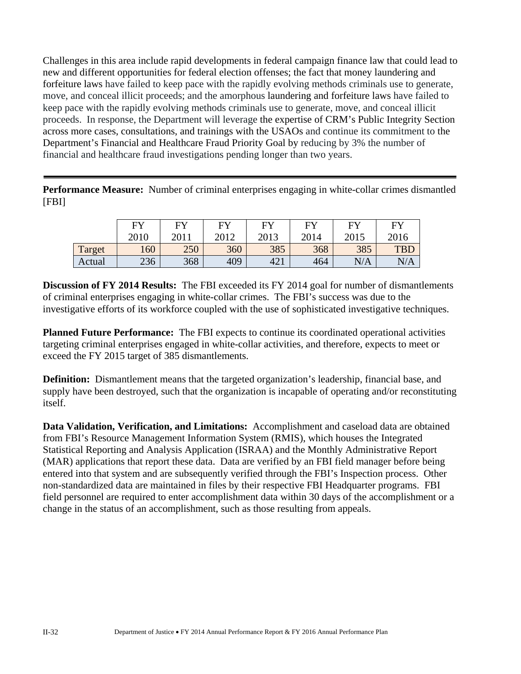Challenges in this area include rapid developments in federal campaign finance law that could lead to new and different opportunities for federal election offenses; the fact that money laundering and forfeiture laws have failed to keep pace with the rapidly evolving methods criminals use to generate, move, and conceal illicit proceeds; and the amorphous laundering and forfeiture laws have failed to keep pace with the rapidly evolving methods criminals use to generate, move, and conceal illicit proceeds. In response, the Department will leverage the expertise of CRM's Public Integrity Section across more cases, consultations, and trainings with the USAOs and continue its commitment to the Department's Financial and Healthcare Fraud Priority Goal by reducing by 3% the number of financial and healthcare fraud investigations pending longer than two years.

**Performance Measure:** Number of criminal enterprises engaging in white-collar crimes dismantled [FBI]

|        | <b>FY</b> | FY   | FY   | <b>FY</b> | EY   | EV   | <b>FY</b>  |
|--------|-----------|------|------|-----------|------|------|------------|
|        | 2010      | 2011 | 2012 | 2013      | 2014 | 2015 | 2016       |
| Target | 160       | 250  | 360  | 385       | 368  | 385  | <b>TBL</b> |
| Actual | 236       | 368  | 409  | 421       | 464  | N/A  | N/A        |

**Discussion of FY 2014 Results:** The FBI exceeded its FY 2014 goal for number of dismantlements of criminal enterprises engaging in white-collar crimes. The FBI's success was due to the investigative efforts of its workforce coupled with the use of sophisticated investigative techniques.

**Planned Future Performance:** The FBI expects to continue its coordinated operational activities targeting criminal enterprises engaged in white-collar activities, and therefore, expects to meet or exceed the FY 2015 target of 385 dismantlements.

**Definition:** Dismantlement means that the targeted organization's leadership, financial base, and supply have been destroyed, such that the organization is incapable of operating and/or reconstituting itself.

**Data Validation, Verification, and Limitations:** Accomplishment and caseload data are obtained from FBI's Resource Management Information System (RMIS), which houses the Integrated Statistical Reporting and Analysis Application (ISRAA) and the Monthly Administrative Report (MAR) applications that report these data. Data are verified by an FBI field manager before being entered into that system and are subsequently verified through the FBI's Inspection process. Other non-standardized data are maintained in files by their respective FBI Headquarter programs. FBI field personnel are required to enter accomplishment data within 30 days of the accomplishment or a change in the status of an accomplishment, such as those resulting from appeals.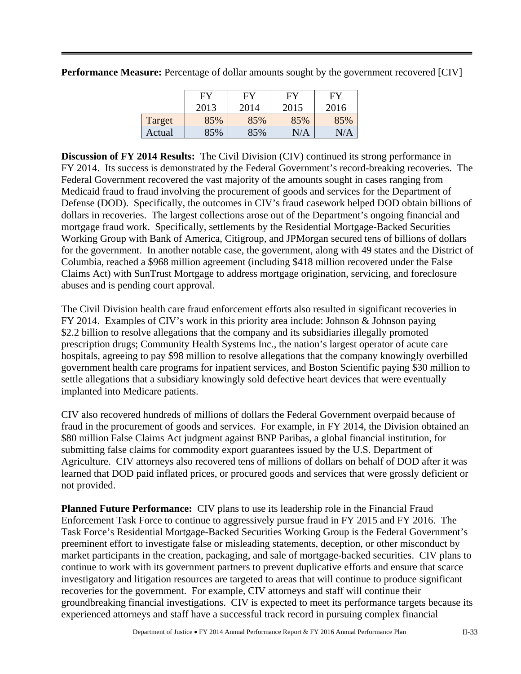|        | FY   | FY   | FY        | FY   |
|--------|------|------|-----------|------|
|        |      |      |           |      |
|        | 2013 | 2014 | 2015      | 2016 |
| Target | 85%  | 85%  | 85%       | 85%  |
| Actual | 85%  | 85%  | $\rm N/A$ | N/A  |

**Performance Measure:** Percentage of dollar amounts sought by the government recovered [CIV]

**Discussion of FY 2014 Results:** The Civil Division (CIV) continued its strong performance in FY 2014. Its success is demonstrated by the Federal Government's record-breaking recoveries. The Federal Government recovered the vast majority of the amounts sought in cases ranging from Medicaid fraud to fraud involving the procurement of goods and services for the Department of Defense (DOD). Specifically, the outcomes in CIV's fraud casework helped DOD obtain billions of dollars in recoveries. The largest collections arose out of the Department's ongoing financial and mortgage fraud work. Specifically, settlements by the Residential Mortgage-Backed Securities Working Group with Bank of America, Citigroup, and JPMorgan secured tens of billions of dollars for the government. In another notable case, the government, along with 49 states and the District of Columbia, reached a \$968 million agreement (including \$418 million recovered under the False Claims Act) with SunTrust Mortgage to address mortgage origination, servicing, and foreclosure abuses and is pending court approval.

The Civil Division health care fraud enforcement efforts also resulted in significant recoveries in FY 2014. Examples of CIV's work in this priority area include: Johnson & Johnson paying \$2.2 billion to resolve allegations that the company and its subsidiaries illegally promoted prescription drugs; Community Health Systems Inc., the nation's largest operator of acute care hospitals, agreeing to pay \$98 million to resolve allegations that the company knowingly overbilled government health care programs for inpatient services, and Boston Scientific paying \$30 million to settle allegations that a subsidiary knowingly sold defective heart devices that were eventually implanted into Medicare patients.

CIV also recovered hundreds of millions of dollars the Federal Government overpaid because of fraud in the procurement of goods and services. For example, in FY 2014, the Division obtained an \$80 million False Claims Act judgment against BNP Paribas, a global financial institution, for submitting false claims for commodity export guarantees issued by the U.S. Department of Agriculture. CIV attorneys also recovered tens of millions of dollars on behalf of DOD after it was learned that DOD paid inflated prices, or procured goods and services that were grossly deficient or not provided.

**Planned Future Performance:** CIV plans to use its leadership role in the Financial Fraud Enforcement Task Force to continue to aggressively pursue fraud in FY 2015 and FY 2016. The Task Force's Residential Mortgage-Backed Securities Working Group is the Federal Government's preeminent effort to investigate false or misleading statements, deception, or other misconduct by market participants in the creation, packaging, and sale of mortgage-backed securities. CIV plans to continue to work with its government partners to prevent duplicative efforts and ensure that scarce investigatory and litigation resources are targeted to areas that will continue to produce significant recoveries for the government. For example, CIV attorneys and staff will continue their groundbreaking financial investigations. CIV is expected to meet its performance targets because its experienced attorneys and staff have a successful track record in pursuing complex financial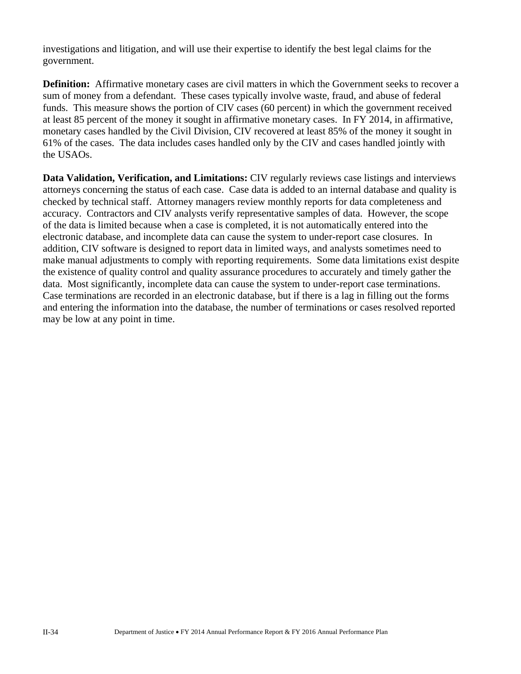investigations and litigation, and will use their expertise to identify the best legal claims for the government.

**Definition:** Affirmative monetary cases are civil matters in which the Government seeks to recover a sum of money from a defendant. These cases typically involve waste, fraud, and abuse of federal funds. This measure shows the portion of CIV cases (60 percent) in which the government received at least 85 percent of the money it sought in affirmative monetary cases. In FY 2014, in affirmative, monetary cases handled by the Civil Division, CIV recovered at least 85% of the money it sought in 61% of the cases. The data includes cases handled only by the CIV and cases handled jointly with the USAOs.

**Data Validation, Verification, and Limitations:** CIV regularly reviews case listings and interviews attorneys concerning the status of each case. Case data is added to an internal database and quality is checked by technical staff. Attorney managers review monthly reports for data completeness and accuracy. Contractors and CIV analysts verify representative samples of data. However, the scope of the data is limited because when a case is completed, it is not automatically entered into the electronic database, and incomplete data can cause the system to under-report case closures. In addition, CIV software is designed to report data in limited ways, and analysts sometimes need to make manual adjustments to comply with reporting requirements. Some data limitations exist despite the existence of quality control and quality assurance procedures to accurately and timely gather the data. Most significantly, incomplete data can cause the system to under-report case terminations. Case terminations are recorded in an electronic database, but if there is a lag in filling out the forms and entering the information into the database, the number of terminations or cases resolved reported may be low at any point in time.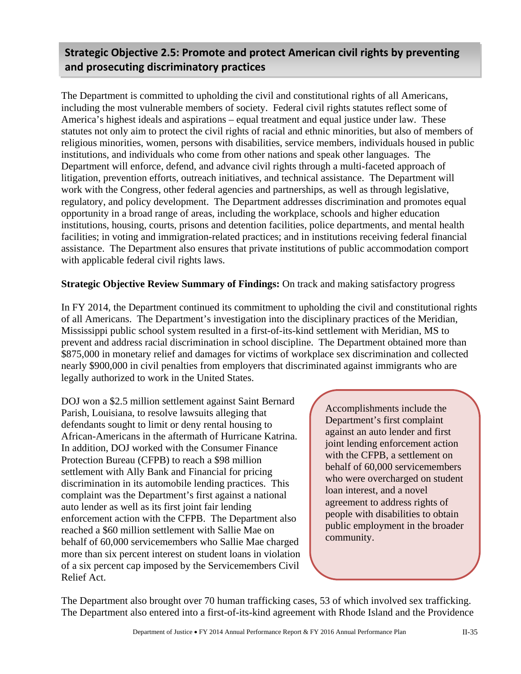## **Strategic Objective 2.5: Promote and protect American civil rights by preventing and prosecuting discriminatory practices**

The Department is committed to upholding the civil and constitutional rights of all Americans, including the most vulnerable members of society. Federal civil rights statutes reflect some of America's highest ideals and aspirations – equal treatment and equal justice under law. These statutes not only aim to protect the civil rights of racial and ethnic minorities, but also of members of religious minorities, women, persons with disabilities, service members, individuals housed in public institutions, and individuals who come from other nations and speak other languages. The Department will enforce, defend, and advance civil rights through a multi-faceted approach of litigation, prevention efforts, outreach initiatives, and technical assistance. The Department will work with the Congress, other federal agencies and partnerships, as well as through legislative, regulatory, and policy development. The Department addresses discrimination and promotes equal opportunity in a broad range of areas, including the workplace, schools and higher education institutions, housing, courts, prisons and detention facilities, police departments, and mental health facilities; in voting and immigration-related practices; and in institutions receiving federal financial assistance. The Department also ensures that private institutions of public accommodation comport with applicable federal civil rights laws.

#### **Strategic Objective Review Summary of Findings:** On track and making satisfactory progress

In FY 2014, the Department continued its commitment to upholding the civil and constitutional rights of all Americans. The Department's investigation into the disciplinary practices of the Meridian, Mississippi public school system resulted in a first-of-its-kind settlement with Meridian, MS to prevent and address racial discrimination in school discipline. The Department obtained more than \$875,000 in monetary relief and damages for victims of workplace sex discrimination and collected nearly \$900,000 in civil penalties from employers that discriminated against immigrants who are legally authorized to work in the United States.

DOJ won a \$2.5 million settlement against Saint Bernard Parish, Louisiana, to resolve lawsuits alleging that defendants sought to limit or deny rental housing to African-Americans in the aftermath of Hurricane Katrina. In addition, DOJ worked with the Consumer Finance Protection Bureau (CFPB) to reach a \$98 million settlement with Ally Bank and Financial for pricing discrimination in its automobile lending practices. This complaint was the Department's first against a national auto lender as well as its first joint fair lending enforcement action with the CFPB. The Department also reached a \$60 million settlement with Sallie Mae on behalf of 60,000 servicemembers who Sallie Mae charged more than six percent interest on student loans in violation of a six percent cap imposed by the Servicemembers Civil Relief Act.

Accomplishments include the Department's first complaint against an auto lender and first joint lending enforcement action with the CFPB, a settlement on behalf of 60,000 servicemembers who were overcharged on student loan interest, and a novel agreement to address rights of people with disabilities to obtain public employment in the broader community.

The Department also brought over 70 human trafficking cases, 53 of which involved sex trafficking. The Department also entered into a first-of-its-kind agreement with Rhode Island and the Providence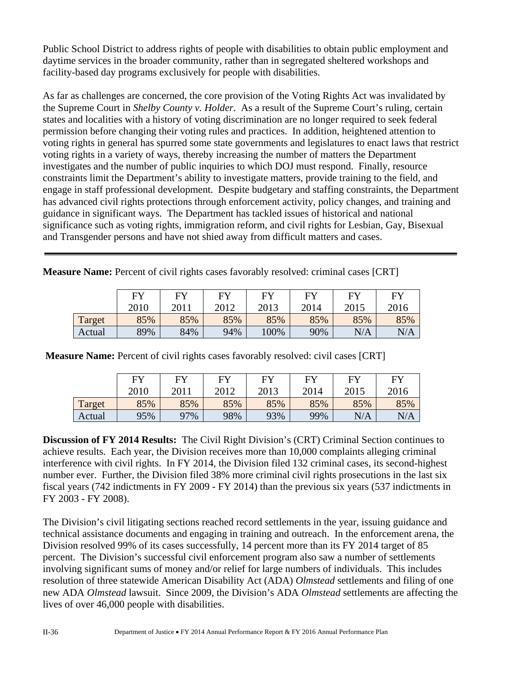Public School District to address rights of people with disabilities to obtain public employment and daytime services in the broader community, rather than in segregated sheltered workshops and facility-based day programs exclusively for people with disabilities.

As far as challenges are concerned, the core provision of the Voting Rights Act was invalidated by the Supreme Court in *Shelby County v. Holder*. As a result of the Supreme Court's ruling, certain states and localities with a history of voting discrimination are no longer required to seek federal permission before changing their voting rules and practices. In addition, heightened attention to voting rights in general has spurred some state governments and legislatures to enact laws that restrict voting rights in a variety of ways, thereby increasing the number of matters the Department investigates and the number of public inquiries to which DOJ must respond. Finally, resource constraints limit the Department's ability to investigate matters, provide training to the field, and engage in staff professional development. Despite budgetary and staffing constraints, the Department has advanced civil rights protections through enforcement activity, policy changes, and training and guidance in significant ways. The Department has tackled issues of historical and national significance such as voting rights, immigration reform, and civil rights for Lesbian, Gay, Bisexual and Transgender persons and have not shied away from difficult matters and cases.

|        | <b>EV</b> | FY   | <b>FV</b> | <b>EV</b> | EV   | FY   | FY   |
|--------|-----------|------|-----------|-----------|------|------|------|
|        | 2010      | 2011 | 2012      | 2013      | 2014 | 2015 | 2016 |
| Target | 85%       | 85%  | 85%       | 85%       | 85%  | 85%  | 85%  |
| Actual | 89%       | 84%  | 94%       | 100%      | 90%  | N/A  | N/A  |

**Measure Name:** Percent of civil rights cases favorably resolved: criminal cases [CRT]

 **Measure Name:** Percent of civil rights cases favorably resolved: civil cases [CRT]

|        | <b>FY</b> | <b>FY</b> | <b>FY</b> | <b>FY</b> | EV   | <b>FY</b> | FY   |
|--------|-----------|-----------|-----------|-----------|------|-----------|------|
|        | 2010      | 2011      | 2012      | 2013      | 2014 | 2015      | 2016 |
| Target | 85%       | 85%       | 85%       | 85%       | 85%  | 85%       | 85%  |
| Actual | 95%       | 97%       | 98%       | 93%       | 99%  | N/A       | N/A  |

**Discussion of FY 2014 Results:** The Civil Right Division's (CRT) Criminal Section continues to achieve results. Each year, the Division receives more than 10,000 complaints alleging criminal interference with civil rights. In FY 2014, the Division filed 132 criminal cases, its second-highest number ever. Further, the Division filed 38% more criminal civil rights prosecutions in the last six fiscal years (742 indictments in FY 2009 - FY 2014) than the previous six years (537 indictments in FY 2003 - FY 2008).

The Division's civil litigating sections reached record settlements in the year, issuing guidance and technical assistance documents and engaging in training and outreach. In the enforcement arena, the Division resolved 99% of its cases successfully, 14 percent more than its FY 2014 target of 85 percent. The Division's successful civil enforcement program also saw a number of settlements involving significant sums of money and/or relief for large numbers of individuals. This includes resolution of three statewide American Disability Act (ADA) *Olmstead* settlements and filing of one new ADA *Olmstead* lawsuit. Since 2009, the Division's ADA *Olmstead* settlements are affecting the lives of over 46,000 people with disabilities.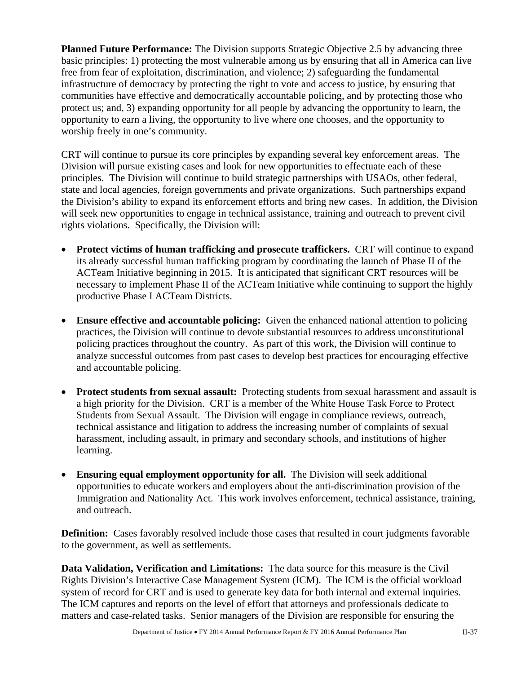**Planned Future Performance:** The Division supports Strategic Objective 2.5 by advancing three basic principles: 1) protecting the most vulnerable among us by ensuring that all in America can live free from fear of exploitation, discrimination, and violence; 2) safeguarding the fundamental infrastructure of democracy by protecting the right to vote and access to justice, by ensuring that communities have effective and democratically accountable policing, and by protecting those who protect us; and, 3) expanding opportunity for all people by advancing the opportunity to learn, the opportunity to earn a living, the opportunity to live where one chooses, and the opportunity to worship freely in one's community.

CRT will continue to pursue its core principles by expanding several key enforcement areas. The Division will pursue existing cases and look for new opportunities to effectuate each of these principles. The Division will continue to build strategic partnerships with USAOs, other federal, state and local agencies, foreign governments and private organizations. Such partnerships expand the Division's ability to expand its enforcement efforts and bring new cases. In addition, the Division will seek new opportunities to engage in technical assistance, training and outreach to prevent civil rights violations. Specifically, the Division will:

- Protect victims of human trafficking and prosecute traffickers. CRT will continue to expand its already successful human trafficking program by coordinating the launch of Phase II of the ACTeam Initiative beginning in 2015. It is anticipated that significant CRT resources will be necessary to implement Phase II of the ACTeam Initiative while continuing to support the highly productive Phase I ACTeam Districts.
- **Ensure effective and accountable policing:** Given the enhanced national attention to policing practices, the Division will continue to devote substantial resources to address unconstitutional policing practices throughout the country. As part of this work, the Division will continue to analyze successful outcomes from past cases to develop best practices for encouraging effective and accountable policing.
- **Protect students from sexual assault:** Protecting students from sexual harassment and assault is a high priority for the Division. CRT is a member of the White House Task Force to Protect Students from Sexual Assault. The Division will engage in compliance reviews, outreach, technical assistance and litigation to address the increasing number of complaints of sexual harassment, including assault, in primary and secondary schools, and institutions of higher learning.
- **Ensuring equal employment opportunity for all.** The Division will seek additional opportunities to educate workers and employers about the anti-discrimination provision of the Immigration and Nationality Act. This work involves enforcement, technical assistance, training, and outreach.

**Definition:** Cases favorably resolved include those cases that resulted in court judgments favorable to the government, as well as settlements.

**Data Validation, Verification and Limitations:** The data source for this measure is the Civil Rights Division's Interactive Case Management System (ICM). The ICM is the official workload system of record for CRT and is used to generate key data for both internal and external inquiries. The ICM captures and reports on the level of effort that attorneys and professionals dedicate to matters and case-related tasks. Senior managers of the Division are responsible for ensuring the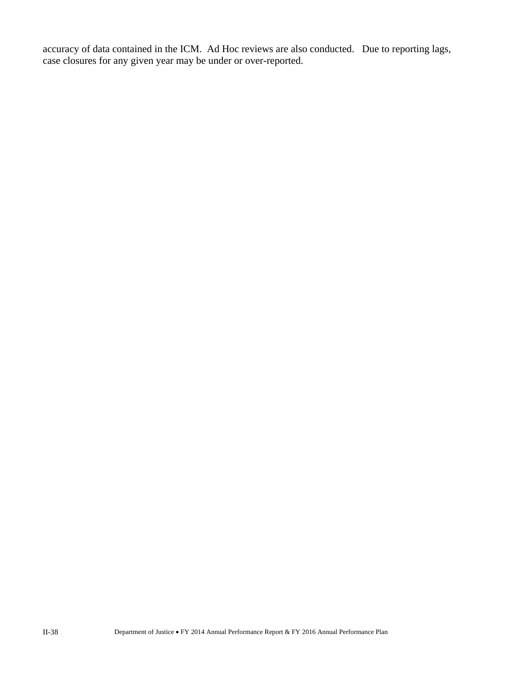accuracy of data contained in the ICM. Ad Hoc reviews are also conducted. Due to reporting lags, case closures for any given year may be under or over-reported.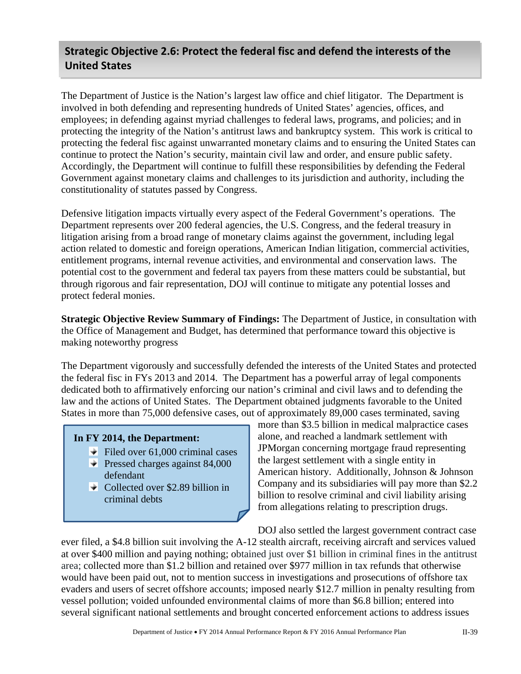## **Strategic Objective 2.6: Protect the federal fisc and defend the interests of the United States**

The Department of Justice is the Nation's largest law office and chief litigator. The Department is involved in both defending and representing hundreds of United States' agencies, offices, and employees; in defending against myriad challenges to federal laws, programs, and policies; and in protecting the integrity of the Nation's antitrust laws and bankruptcy system. This work is critical to protecting the federal fisc against unwarranted monetary claims and to ensuring the United States can continue to protect the Nation's security, maintain civil law and order, and ensure public safety. Accordingly, the Department will continue to fulfill these responsibilities by defending the Federal Government against monetary claims and challenges to its jurisdiction and authority, including the constitutionality of statutes passed by Congress.

Defensive litigation impacts virtually every aspect of the Federal Government's operations. The Department represents over 200 federal agencies, the U.S. Congress, and the federal treasury in litigation arising from a broad range of monetary claims against the government, including legal action related to domestic and foreign operations, American Indian litigation, commercial activities, entitlement programs, internal revenue activities, and environmental and conservation laws. The potential cost to the government and federal tax payers from these matters could be substantial, but through rigorous and fair representation, DOJ will continue to mitigate any potential losses and protect federal monies.

**Strategic Objective Review Summary of Findings:** The Department of Justice, in consultation with the Office of Management and Budget, has determined that performance toward this objective is making noteworthy progress

The Department vigorously and successfully defended the interests of the United States and protected the federal fisc in FYs 2013 and 2014. The Department has a powerful array of legal components dedicated both to affirmatively enforcing our nation's criminal and civil laws and to defending the law and the actions of United States. The Department obtained judgments favorable to the United States in more than 75,000 defensive cases, out of approximately 89,000 cases terminated, saving

#### **In FY 2014, the Department:**

- $\blacktriangleright$  Filed over 61,000 criminal cases
- $\blacktriangleright$  Pressed charges against 84,000 defendant
- $\bullet$  Collected over \$2.89 billion in criminal debts

more than \$3.5 billion in medical malpractice cases alone, and reached a landmark settlement with JPMorgan concerning mortgage fraud representing the largest settlement with a single entity in American history. Additionally, Johnson & Johnson Company and its subsidiaries will pay more than \$2.2 billion to resolve criminal and civil liability arising from allegations relating to prescription drugs.

DOJ also settled the largest government contract case ever filed, a \$4.8 billion suit involving the A-12 stealth aircraft, receiving aircraft and services valued at over \$400 million and paying nothing; obtained just over \$1 billion in criminal fines in the antitrust area; collected more than \$1.2 billion and retained over \$977 million in tax refunds that otherwise would have been paid out, not to mention success in investigations and prosecutions of offshore tax evaders and users of secret offshore accounts; imposed nearly \$12.7 million in penalty resulting from vessel pollution; voided unfounded environmental claims of more than \$6.8 billion; entered into several significant national settlements and brought concerted enforcement actions to address issues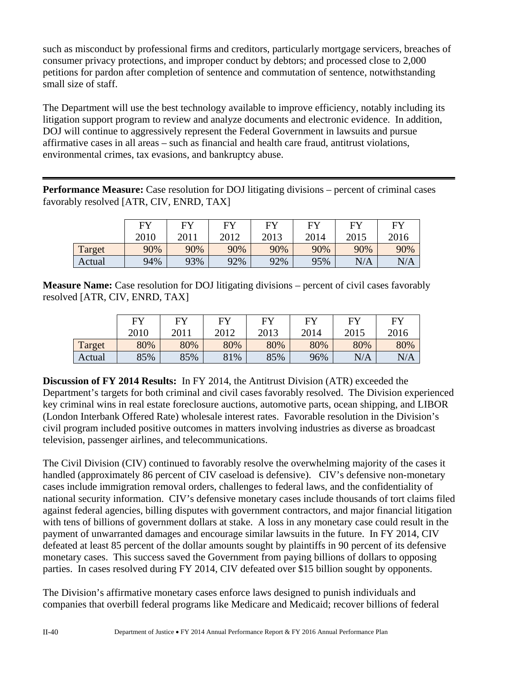such as misconduct by professional firms and creditors, particularly mortgage servicers, breaches of consumer privacy protections, and improper conduct by debtors; and processed close to 2,000 petitions for pardon after completion of sentence and commutation of sentence, notwithstanding small size of staff.

The Department will use the best technology available to improve efficiency, notably including its litigation support program to review and analyze documents and electronic evidence. In addition, DOJ will continue to aggressively represent the Federal Government in lawsuits and pursue affirmative cases in all areas – such as financial and health care fraud, antitrust violations, environmental crimes, tax evasions, and bankruptcy abuse.

**Performance Measure:** Case resolution for DOJ litigating divisions – percent of criminal cases favorably resolved [ATR, CIV, ENRD, TAX]

|        | F <sub>Y</sub> | $E$ V | $E$ V | FV   | $E$ V | EV   | <b>FY</b> |
|--------|----------------|-------|-------|------|-------|------|-----------|
|        | 2010           | 2011  | 2012  | 2013 | 2014  | 2015 | 2016      |
| Target | 90%            | 90%   | 90%   | 90%  | 90%   | 90%  | 90%       |
| Actual | 94%            | 93%   | 92%   | 92%  | 95%   | N/A  | N/A       |

**Measure Name:** Case resolution for DOJ litigating divisions – percent of civil cases favorably resolved [ATR, CIV, ENRD, TAX]

|        | <b>FY</b> | <b>FY</b> | FУ   | FV   | EV   | <b>EV</b> | FY   |
|--------|-----------|-----------|------|------|------|-----------|------|
|        | 2010      | 2011      | 2012 | 2013 | 2014 | 2015      | 2016 |
| Target | 80%       | 80%       | 80%  | 80%  | 80%  | 80%       | 80%  |
| Actual | 85%       | 85%       | 81%  | 85%  | 96%  | N/A       | N/A  |

**Discussion of FY 2014 Results:** In FY 2014, the Antitrust Division (ATR) exceeded the Department's targets for both criminal and civil cases favorably resolved. The Division experienced key criminal wins in real estate foreclosure auctions, automotive parts, ocean shipping, and LIBOR (London Interbank Offered Rate) wholesale interest rates. Favorable resolution in the Division's civil program included positive outcomes in matters involving industries as diverse as broadcast television, passenger airlines, and telecommunications.

The Civil Division (CIV) continued to favorably resolve the overwhelming majority of the cases it handled (approximately 86 percent of CIV caseload is defensive). CIV's defensive non-monetary cases include immigration removal orders, challenges to federal laws, and the confidentiality of national security information. CIV's defensive monetary cases include thousands of tort claims filed against federal agencies, billing disputes with government contractors, and major financial litigation with tens of billions of government dollars at stake. A loss in any monetary case could result in the payment of unwarranted damages and encourage similar lawsuits in the future. In FY 2014, CIV defeated at least 85 percent of the dollar amounts sought by plaintiffs in 90 percent of its defensive monetary cases. This success saved the Government from paying billions of dollars to opposing parties. In cases resolved during FY 2014, CIV defeated over \$15 billion sought by opponents.

The Division's affirmative monetary cases enforce laws designed to punish individuals and companies that overbill federal programs like Medicare and Medicaid; recover billions of federal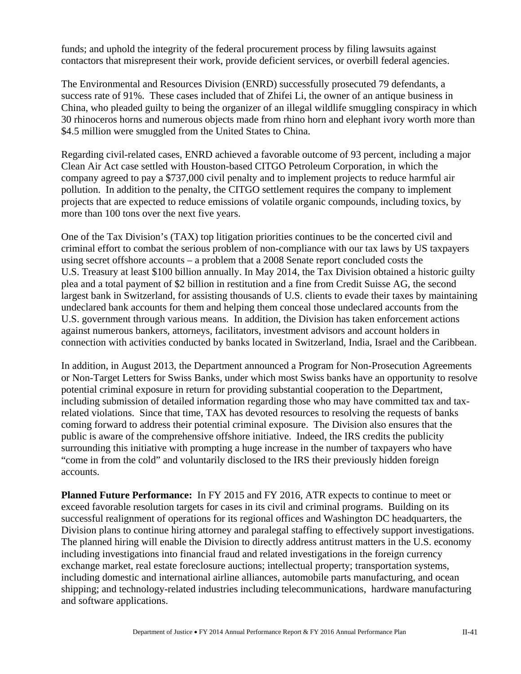funds; and uphold the integrity of the federal procurement process by filing lawsuits against contactors that misrepresent their work, provide deficient services, or overbill federal agencies.

The Environmental and Resources Division (ENRD) successfully prosecuted 79 defendants, a success rate of 91%. These cases included that of Zhifei Li, the owner of an antique business in China, who pleaded guilty to being the organizer of an illegal wildlife smuggling conspiracy in which 30 rhinoceros horns and numerous objects made from rhino horn and elephant ivory worth more than \$4.5 million were smuggled from the United States to China.

Regarding civil-related cases, ENRD achieved a favorable outcome of 93 percent, including a major Clean Air Act case settled with Houston-based CITGO Petroleum Corporation, in which the company agreed to pay a \$737,000 civil penalty and to implement projects to reduce harmful air pollution. In addition to the penalty, the CITGO settlement requires the company to implement projects that are expected to reduce emissions of volatile organic compounds, including toxics, by more than 100 tons over the next five years.

One of the Tax Division's (TAX) top litigation priorities continues to be the concerted civil and criminal effort to combat the serious problem of non-compliance with our tax laws by US taxpayers using secret offshore accounts – a problem that a 2008 Senate report concluded costs the U.S. Treasury at least \$100 billion annually. In May 2014, the Tax Division obtained a historic guilty plea and a total payment of \$2 billion in restitution and a fine from Credit Suisse AG, the second largest bank in Switzerland, for assisting thousands of U.S. clients to evade their taxes by maintaining undeclared bank accounts for them and helping them conceal those undeclared accounts from the U.S. government through various means. In addition, the Division has taken enforcement actions against numerous bankers, attorneys, facilitators, investment advisors and account holders in connection with activities conducted by banks located in Switzerland, India, Israel and the Caribbean.

In addition, in August 2013, the Department announced a Program for Non-Prosecution Agreements or Non-Target Letters for Swiss Banks, under which most Swiss banks have an opportunity to resolve potential criminal exposure in return for providing substantial cooperation to the Department, including submission of detailed information regarding those who may have committed tax and taxrelated violations. Since that time, TAX has devoted resources to resolving the requests of banks coming forward to address their potential criminal exposure. The Division also ensures that the public is aware of the comprehensive offshore initiative. Indeed, the IRS credits the publicity surrounding this initiative with prompting a huge increase in the number of taxpayers who have "come in from the cold" and voluntarily disclosed to the IRS their previously hidden foreign accounts.

**Planned Future Performance:** In FY 2015 and FY 2016, ATR expects to continue to meet or exceed favorable resolution targets for cases in its civil and criminal programs. Building on its successful realignment of operations for its regional offices and Washington DC headquarters, the Division plans to continue hiring attorney and paralegal staffing to effectively support investigations. The planned hiring will enable the Division to directly address antitrust matters in the U.S. economy including investigations into financial fraud and related investigations in the foreign currency exchange market, real estate foreclosure auctions; intellectual property; transportation systems, including domestic and international airline alliances, automobile parts manufacturing, and ocean shipping; and technology-related industries including telecommunications, hardware manufacturing and software applications.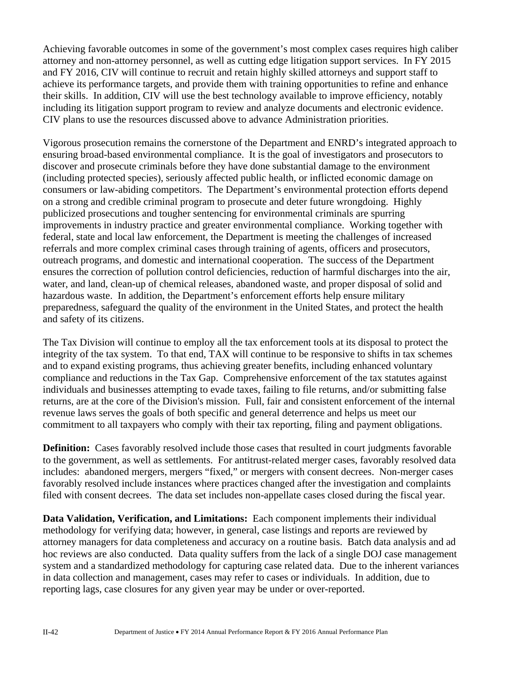Achieving favorable outcomes in some of the government's most complex cases requires high caliber attorney and non-attorney personnel, as well as cutting edge litigation support services. In FY 2015 and FY 2016, CIV will continue to recruit and retain highly skilled attorneys and support staff to achieve its performance targets, and provide them with training opportunities to refine and enhance their skills. In addition, CIV will use the best technology available to improve efficiency, notably including its litigation support program to review and analyze documents and electronic evidence. CIV plans to use the resources discussed above to advance Administration priorities.

Vigorous prosecution remains the cornerstone of the Department and ENRD's integrated approach to ensuring broad-based environmental compliance. It is the goal of investigators and prosecutors to discover and prosecute criminals before they have done substantial damage to the environment (including protected species), seriously affected public health, or inflicted economic damage on consumers or law-abiding competitors. The Department's environmental protection efforts depend on a strong and credible criminal program to prosecute and deter future wrongdoing. Highly publicized prosecutions and tougher sentencing for environmental criminals are spurring improvements in industry practice and greater environmental compliance. Working together with federal, state and local law enforcement, the Department is meeting the challenges of increased referrals and more complex criminal cases through training of agents, officers and prosecutors, outreach programs, and domestic and international cooperation. The success of the Department ensures the correction of pollution control deficiencies, reduction of harmful discharges into the air, water, and land, clean-up of chemical releases, abandoned waste, and proper disposal of solid and hazardous waste. In addition, the Department's enforcement efforts help ensure military preparedness, safeguard the quality of the environment in the United States, and protect the health and safety of its citizens.

The Tax Division will continue to employ all the tax enforcement tools at its disposal to protect the integrity of the tax system. To that end, TAX will continue to be responsive to shifts in tax schemes and to expand existing programs, thus achieving greater benefits, including enhanced voluntary compliance and reductions in the Tax Gap. Comprehensive enforcement of the tax statutes against individuals and businesses attempting to evade taxes, failing to file returns, and/or submitting false returns, are at the core of the Division's mission. Full, fair and consistent enforcement of the internal revenue laws serves the goals of both specific and general deterrence and helps us meet our commitment to all taxpayers who comply with their tax reporting, filing and payment obligations.

**Definition:** Cases favorably resolved include those cases that resulted in court judgments favorable to the government, as well as settlements. For antitrust-related merger cases, favorably resolved data includes: abandoned mergers, mergers "fixed," or mergers with consent decrees. Non-merger cases favorably resolved include instances where practices changed after the investigation and complaints filed with consent decrees. The data set includes non-appellate cases closed during the fiscal year.

**Data Validation, Verification, and Limitations:** Each component implements their individual methodology for verifying data; however, in general, case listings and reports are reviewed by attorney managers for data completeness and accuracy on a routine basis. Batch data analysis and ad hoc reviews are also conducted. Data quality suffers from the lack of a single DOJ case management system and a standardized methodology for capturing case related data. Due to the inherent variances in data collection and management, cases may refer to cases or individuals. In addition, due to reporting lags, case closures for any given year may be under or over-reported.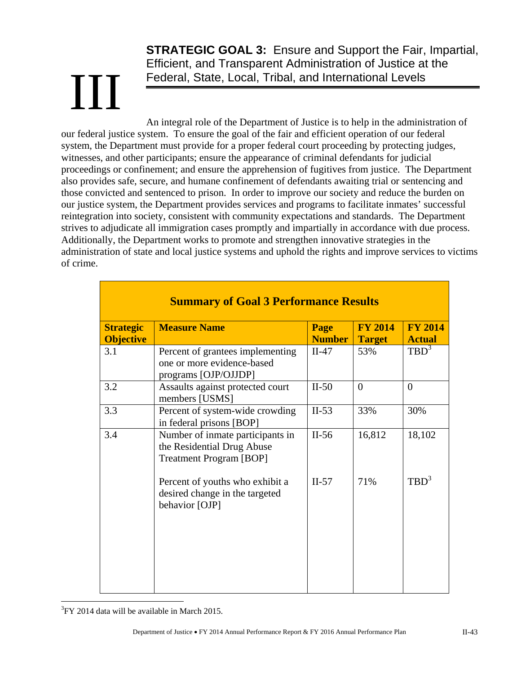# III

**STRATEGIC GOAL 3:** Ensure and Support the Fair, Impartial, Efficient, and Transparent Administration of Justice at the Federal, State, Local, Tribal, and International Levels

An integral role of the Department of Justice is to help in the administration of our federal justice system. To ensure the goal of the fair and efficient operation of our federal system, the Department must provide for a proper federal court proceeding by protecting judges, witnesses, and other participants; ensure the appearance of criminal defendants for judicial proceedings or confinement; and ensure the apprehension of fugitives from justice. The Department also provides safe, secure, and humane confinement of defendants awaiting trial or sentencing and those convicted and sentenced to prison. In order to improve our society and reduce the burden on our justice system, the Department provides services and programs to facilitate inmates' successful reintegration into society, consistent with community expectations and standards. The Department strives to adjudicate all immigration cases promptly and impartially in accordance with due process. Additionally, the Department works to promote and strengthen innovative strategies in the administration of state and local justice systems and uphold the rights and improve services to victims of crime.

| <b>Summary of Goal 3 Performance Results</b> |                                                                                                  |                       |                                 |                                 |  |  |  |  |  |  |
|----------------------------------------------|--------------------------------------------------------------------------------------------------|-----------------------|---------------------------------|---------------------------------|--|--|--|--|--|--|
| <b>Strategic</b><br><b>Objective</b>         | <b>Measure Name</b>                                                                              | Page<br><b>Number</b> | <b>FY 2014</b><br><b>Target</b> | <b>FY 2014</b><br><b>Actual</b> |  |  |  |  |  |  |
| 3.1                                          | Percent of grantees implementing<br>one or more evidence-based<br>programs [OJP/OJJDP]           | $II-47$               | 53%                             | $TBD^3$                         |  |  |  |  |  |  |
| 3.2                                          | Assaults against protected court<br>members [USMS]                                               | $II-50$               | $\theta$                        | $\overline{0}$                  |  |  |  |  |  |  |
| 3.3                                          | Percent of system-wide crowding<br>in federal prisons [BOP]                                      | $II-53$               | 33%                             | 30%                             |  |  |  |  |  |  |
| 3.4                                          | Number of inmate participants in<br>the Residential Drug Abuse<br><b>Treatment Program [BOP]</b> | $II-56$               | 16,812                          | 18,102                          |  |  |  |  |  |  |
|                                              | Percent of youths who exhibit a<br>desired change in the targeted<br>behavior [OJP]              | $II-57$               | 71%                             | $TBD^3$                         |  |  |  |  |  |  |

 $\overline{a}$  ${}^{3}$ FY 2014 data will be available in March 2015.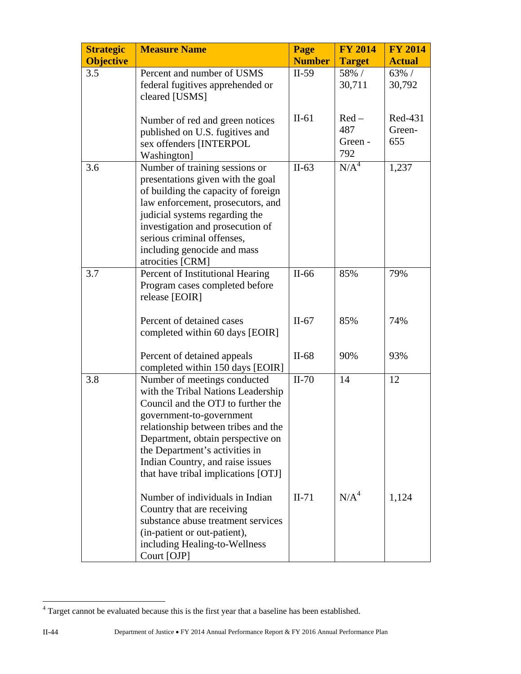| <b>Strategic</b> | <b>Measure Name</b>                                                                                                                                                                                                                                                                                                           | Page               | <b>FY 2014</b>                  | <b>FY 2014</b>           |
|------------------|-------------------------------------------------------------------------------------------------------------------------------------------------------------------------------------------------------------------------------------------------------------------------------------------------------------------------------|--------------------|---------------------------------|--------------------------|
| <b>Objective</b> |                                                                                                                                                                                                                                                                                                                               | <b>Number</b>      | <b>Target</b>                   | <b>Actual</b>            |
| 3.5              | Percent and number of USMS<br>federal fugitives apprehended or<br>cleared [USMS]                                                                                                                                                                                                                                              | $II-59$            | 58% /<br>30,711                 | $63\%$ /<br>30,792       |
|                  | Number of red and green notices<br>published on U.S. fugitives and<br>sex offenders [INTERPOL<br>Washington]                                                                                                                                                                                                                  | $II-61$            | $Red-$<br>487<br>Green -<br>792 | Red-431<br>Green-<br>655 |
| 3.6              | Number of training sessions or<br>presentations given with the goal<br>of building the capacity of foreign<br>law enforcement, prosecutors, and<br>judicial systems regarding the<br>investigation and prosecution of<br>serious criminal offenses,<br>including genocide and mass<br>atrocities [CRM]                        | $II-63$            | N/A <sup>4</sup>                | 1,237                    |
| 3.7              | Percent of Institutional Hearing<br>Program cases completed before<br>release [EOIR]<br>Percent of detained cases<br>completed within 60 days [EOIR]                                                                                                                                                                          | $II-66$<br>$II-67$ | 85%<br>85%                      | 79%<br>74%               |
|                  | Percent of detained appeals<br>completed within 150 days [EOIR]                                                                                                                                                                                                                                                               | $II-68$            | 90%                             | 93%                      |
| 3.8              | Number of meetings conducted<br>with the Tribal Nations Leadership<br>Council and the OTJ to further the<br>government-to-government<br>relationship between tribes and the<br>Department, obtain perspective on<br>the Department's activities in<br>Indian Country, and raise issues<br>that have tribal implications [OTJ] | $II-70$            | 14                              | 12                       |
|                  | Number of individuals in Indian<br>Country that are receiving<br>substance abuse treatment services<br>(in-patient or out-patient),<br>including Healing-to-Wellness<br>Court [OJP]                                                                                                                                           | $II-71$            | N/A <sup>4</sup>                | 1,124                    |

<sup>&</sup>lt;sup>4</sup> Target cannot be evaluated because this is the first year that a baseline has been established.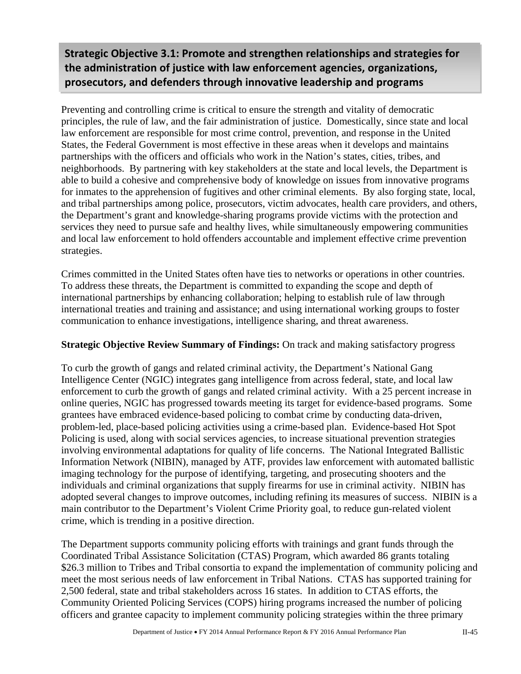**Strategic Objective 3.1: Promote and strengthen relationships and strategies for the administration of justice with law enforcement agencies, organizations, prosecutors, and defenders through innovative leadership and programs**

Preventing and controlling crime is critical to ensure the strength and vitality of democratic principles, the rule of law, and the fair administration of justice. Domestically, since state and local law enforcement are responsible for most crime control, prevention, and response in the United States, the Federal Government is most effective in these areas when it develops and maintains partnerships with the officers and officials who work in the Nation's states, cities, tribes, and neighborhoods. By partnering with key stakeholders at the state and local levels, the Department is able to build a cohesive and comprehensive body of knowledge on issues from innovative programs for inmates to the apprehension of fugitives and other criminal elements. By also forging state, local, and tribal partnerships among police, prosecutors, victim advocates, health care providers, and others, the Department's grant and knowledge-sharing programs provide victims with the protection and services they need to pursue safe and healthy lives, while simultaneously empowering communities and local law enforcement to hold offenders accountable and implement effective crime prevention strategies.

Crimes committed in the United States often have ties to networks or operations in other countries. To address these threats, the Department is committed to expanding the scope and depth of international partnerships by enhancing collaboration; helping to establish rule of law through international treaties and training and assistance; and using international working groups to foster communication to enhance investigations, intelligence sharing, and threat awareness.

#### **Strategic Objective Review Summary of Findings:** On track and making satisfactory progress

To curb the growth of gangs and related criminal activity, the Department's National Gang Intelligence Center (NGIC) integrates gang intelligence from across federal, state, and local law enforcement to curb the growth of gangs and related criminal activity. With a 25 percent increase in online queries, NGIC has progressed towards meeting its target for evidence-based programs. Some grantees have embraced evidence-based policing to combat crime by conducting data-driven, problem-led, place-based policing activities using a crime-based plan. Evidence-based Hot Spot Policing is used, along with social services agencies, to increase situational prevention strategies involving environmental adaptations for quality of life concerns. The National Integrated Ballistic Information Network (NIBIN), managed by ATF, provides law enforcement with automated ballistic imaging technology for the purpose of identifying, targeting, and prosecuting shooters and the individuals and criminal organizations that supply firearms for use in criminal activity. NIBIN has adopted several changes to improve outcomes, including refining its measures of success. NIBIN is a main contributor to the Department's Violent Crime Priority goal, to reduce gun-related violent crime, which is trending in a positive direction.

The Department supports community policing efforts with trainings and grant funds through the Coordinated Tribal Assistance Solicitation (CTAS) Program, which awarded 86 grants totaling \$26.3 million to Tribes and Tribal consortia to expand the implementation of community policing and meet the most serious needs of law enforcement in Tribal Nations. CTAS has supported training for 2,500 federal, state and tribal stakeholders across 16 states. In addition to CTAS efforts, the Community Oriented Policing Services (COPS) hiring programs increased the number of policing officers and grantee capacity to implement community policing strategies within the three primary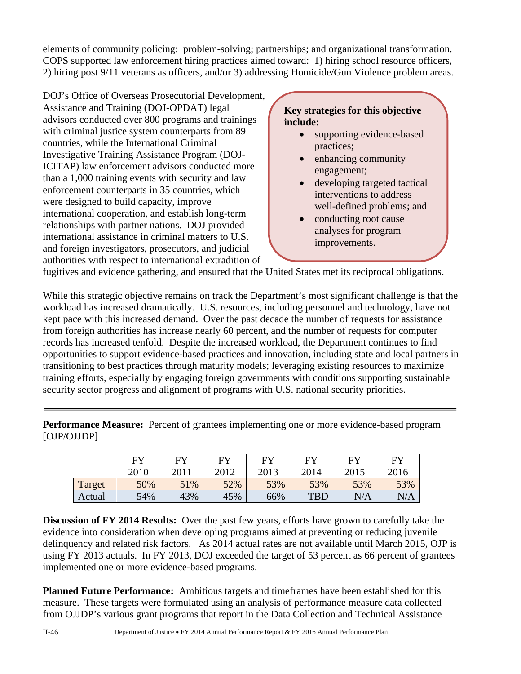elements of community policing: problem-solving; partnerships; and organizational transformation. COPS supported law enforcement hiring practices aimed toward: 1) hiring school resource officers, 2) hiring post 9/11 veterans as officers, and/or 3) addressing Homicide/Gun Violence problem areas.

DOJ's Office of Overseas Prosecutorial Development, Assistance and Training (DOJ-OPDAT) legal advisors conducted over 800 programs and trainings with criminal justice system counterparts from 89 countries, while the International Criminal Investigative Training Assistance Program (DOJ-ICITAP) law enforcement advisors conducted more than a 1,000 training events with security and law enforcement counterparts in 35 countries, which were designed to build capacity, improve international cooperation, and establish long-term relationships with partner nations. DOJ provided international assistance in criminal matters to U.S. and foreign investigators, prosecutors, and judicial authorities with respect to international extradition of

#### **Key strategies for this objective include:**

- supporting evidence-based practices;
- enhancing community engagement;
- developing targeted tactical interventions to address well-defined problems; and
- conducting root cause analyses for program improvements.

fugitives and evidence gathering, and ensured that the United States met its reciprocal obligations.

While this strategic objective remains on track the Department's most significant challenge is that the workload has increased dramatically. U.S. resources, including personnel and technology, have not kept pace with this increased demand. Over the past decade the number of requests for assistance from foreign authorities has increase nearly 60 percent, and the number of requests for computer records has increased tenfold. Despite the increased workload, the Department continues to find opportunities to support evidence-based practices and innovation, including state and local partners in transitioning to best practices through maturity models; leveraging existing resources to maximize training efforts, especially by engaging foreign governments with conditions supporting sustainable security sector progress and alignment of programs with U.S. national security priorities.

**Performance Measure:** Percent of grantees implementing one or more evidence-based program [OJP/OJJDP]

|        | F <sub>N</sub> | F <sub>Y</sub> | <b>FY</b> | FV   | F <sub>V</sub> | FY   | <b>FY</b> |
|--------|----------------|----------------|-----------|------|----------------|------|-----------|
|        | 2010           | 2011           | 2012      | 2013 | 2014           | 2015 | 2016      |
| Target | 50%            | 51%            | 52%       | 53%  | 53%            | 53%  | 53%       |
| Actual | 54%            | 43%            | 45%       | 66%  | <b>TBD</b>     | N/A  | N/A       |

**Discussion of FY 2014 Results:** Over the past few years, efforts have grown to carefully take the evidence into consideration when developing programs aimed at preventing or reducing juvenile delinquency and related risk factors. As 2014 actual rates are not available until March 2015, OJP is using FY 2013 actuals. In FY 2013, DOJ exceeded the target of 53 percent as 66 percent of grantees implemented one or more evidence-based programs.

**Planned Future Performance:** Ambitious targets and timeframes have been established for this measure. These targets were formulated using an analysis of performance measure data collected from OJJDP's various grant programs that report in the Data Collection and Technical Assistance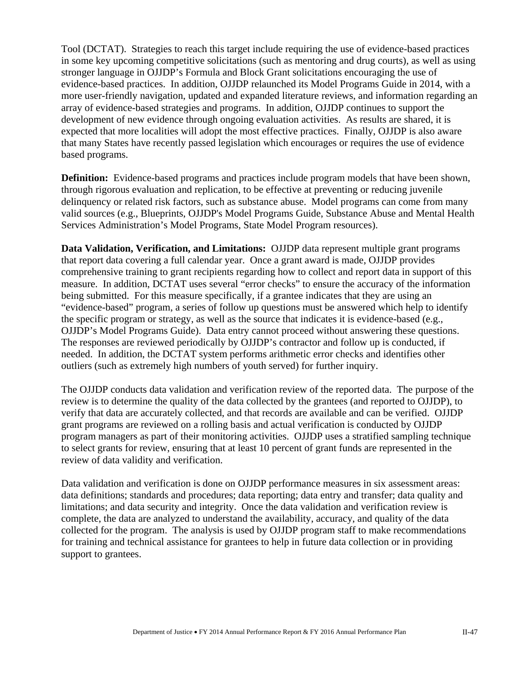Tool (DCTAT). Strategies to reach this target include requiring the use of evidence-based practices in some key upcoming competitive solicitations (such as mentoring and drug courts), as well as using stronger language in OJJDP's Formula and Block Grant solicitations encouraging the use of evidence-based practices. In addition, OJJDP relaunched its Model Programs Guide in 2014, with a more user-friendly navigation, updated and expanded literature reviews, and information regarding an array of evidence-based strategies and programs. In addition, OJJDP continues to support the development of new evidence through ongoing evaluation activities. As results are shared, it is expected that more localities will adopt the most effective practices. Finally, OJJDP is also aware that many States have recently passed legislation which encourages or requires the use of evidence based programs.

**Definition:** Evidence-based programs and practices include program models that have been shown, through rigorous evaluation and replication, to be effective at preventing or reducing juvenile delinquency or related risk factors, such as substance abuse. Model programs can come from many valid sources (e.g., Blueprints, OJJDP's Model Programs Guide, Substance Abuse and Mental Health Services Administration's Model Programs, State Model Program resources).

**Data Validation, Verification, and Limitations:** OJJDP data represent multiple grant programs that report data covering a full calendar year. Once a grant award is made, OJJDP provides comprehensive training to grant recipients regarding how to collect and report data in support of this measure. In addition, DCTAT uses several "error checks" to ensure the accuracy of the information being submitted. For this measure specifically, if a grantee indicates that they are using an "evidence-based" program, a series of follow up questions must be answered which help to identify the specific program or strategy, as well as the source that indicates it is evidence-based (e.g., OJJDP's Model Programs Guide). Data entry cannot proceed without answering these questions. The responses are reviewed periodically by OJJDP's contractor and follow up is conducted, if needed. In addition, the DCTAT system performs arithmetic error checks and identifies other outliers (such as extremely high numbers of youth served) for further inquiry.

The OJJDP conducts data validation and verification review of the reported data. The purpose of the review is to determine the quality of the data collected by the grantees (and reported to OJJDP), to verify that data are accurately collected, and that records are available and can be verified. OJJDP grant programs are reviewed on a rolling basis and actual verification is conducted by OJJDP program managers as part of their monitoring activities. OJJDP uses a stratified sampling technique to select grants for review, ensuring that at least 10 percent of grant funds are represented in the review of data validity and verification.

Data validation and verification is done on OJJDP performance measures in six assessment areas: data definitions; standards and procedures; data reporting; data entry and transfer; data quality and limitations; and data security and integrity. Once the data validation and verification review is complete, the data are analyzed to understand the availability, accuracy, and quality of the data collected for the program. The analysis is used by OJJDP program staff to make recommendations for training and technical assistance for grantees to help in future data collection or in providing support to grantees.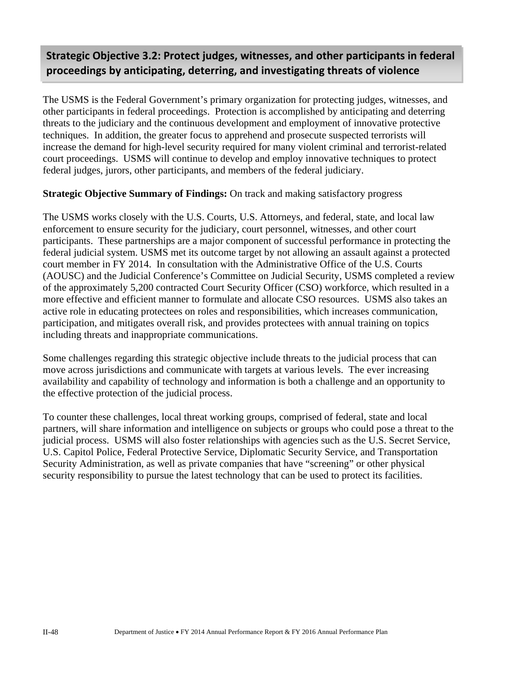## **Strategic Objective 3.2: Protect judges, witnesses, and other participants in federal proceedings by anticipating, deterring, and investigating threats of violence**

The USMS is the Federal Government's primary organization for protecting judges, witnesses, and other participants in federal proceedings. Protection is accomplished by anticipating and deterring threats to the judiciary and the continuous development and employment of innovative protective techniques. In addition, the greater focus to apprehend and prosecute suspected terrorists will increase the demand for high-level security required for many violent criminal and terrorist-related court proceedings. USMS will continue to develop and employ innovative techniques to protect federal judges, jurors, other participants, and members of the federal judiciary.

#### **Strategic Objective Summary of Findings:** On track and making satisfactory progress

The USMS works closely with the U.S. Courts, U.S. Attorneys, and federal, state, and local law enforcement to ensure security for the judiciary, court personnel, witnesses, and other court participants. These partnerships are a major component of successful performance in protecting the federal judicial system. USMS met its outcome target by not allowing an assault against a protected court member in FY 2014. In consultation with the Administrative Office of the U.S. Courts (AOUSC) and the Judicial Conference's Committee on Judicial Security, USMS completed a review of the approximately 5,200 contracted Court Security Officer (CSO) workforce, which resulted in a more effective and efficient manner to formulate and allocate CSO resources. USMS also takes an active role in educating protectees on roles and responsibilities, which increases communication, participation, and mitigates overall risk, and provides protectees with annual training on topics including threats and inappropriate communications.

Some challenges regarding this strategic objective include threats to the judicial process that can move across jurisdictions and communicate with targets at various levels. The ever increasing availability and capability of technology and information is both a challenge and an opportunity to the effective protection of the judicial process.

To counter these challenges, local threat working groups, comprised of federal, state and local partners, will share information and intelligence on subjects or groups who could pose a threat to the judicial process. USMS will also foster relationships with agencies such as the U.S. Secret Service, U.S. Capitol Police, Federal Protective Service, Diplomatic Security Service, and Transportation Security Administration, as well as private companies that have "screening" or other physical security responsibility to pursue the latest technology that can be used to protect its facilities.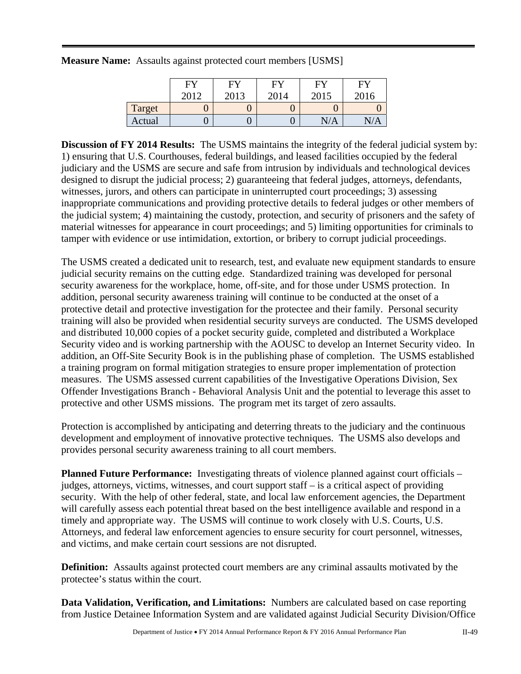|        | FY   | FY   | FY   | FY   | FY         |
|--------|------|------|------|------|------------|
|        | 2012 | 2013 | 2014 | 2015 | 2016       |
| Target |      |      |      |      |            |
| Actual |      |      |      | N/A  | $\sqrt{A}$ |

**Measure Name:** Assaults against protected court members [USMS]

**Discussion of FY 2014 Results:** The USMS maintains the integrity of the federal judicial system by: 1) ensuring that U.S. Courthouses, federal buildings, and leased facilities occupied by the federal judiciary and the USMS are secure and safe from intrusion by individuals and technological devices designed to disrupt the judicial process; 2) guaranteeing that federal judges, attorneys, defendants, witnesses, jurors, and others can participate in uninterrupted court proceedings; 3) assessing inappropriate communications and providing protective details to federal judges or other members of the judicial system; 4) maintaining the custody, protection, and security of prisoners and the safety of material witnesses for appearance in court proceedings; and 5) limiting opportunities for criminals to tamper with evidence or use intimidation, extortion, or bribery to corrupt judicial proceedings.

The USMS created a dedicated unit to research, test, and evaluate new equipment standards to ensure judicial security remains on the cutting edge. Standardized training was developed for personal security awareness for the workplace, home, off-site, and for those under USMS protection. In addition, personal security awareness training will continue to be conducted at the onset of a protective detail and protective investigation for the protectee and their family. Personal security training will also be provided when residential security surveys are conducted. The USMS developed and distributed 10,000 copies of a pocket security guide, completed and distributed a Workplace Security video and is working partnership with the AOUSC to develop an Internet Security video. In addition, an Off-Site Security Book is in the publishing phase of completion. The USMS established a training program on formal mitigation strategies to ensure proper implementation of protection measures. The USMS assessed current capabilities of the Investigative Operations Division, Sex Offender Investigations Branch - Behavioral Analysis Unit and the potential to leverage this asset to protective and other USMS missions. The program met its target of zero assaults.

Protection is accomplished by anticipating and deterring threats to the judiciary and the continuous development and employment of innovative protective techniques. The USMS also develops and provides personal security awareness training to all court members.

**Planned Future Performance:** Investigating threats of violence planned against court officials – judges, attorneys, victims, witnesses, and court support staff – is a critical aspect of providing security. With the help of other federal, state, and local law enforcement agencies, the Department will carefully assess each potential threat based on the best intelligence available and respond in a timely and appropriate way. The USMS will continue to work closely with U.S. Courts, U.S. Attorneys, and federal law enforcement agencies to ensure security for court personnel, witnesses, and victims, and make certain court sessions are not disrupted.

**Definition:** Assaults against protected court members are any criminal assaults motivated by the protectee's status within the court.

**Data Validation, Verification, and Limitations:** Numbers are calculated based on case reporting from Justice Detainee Information System and are validated against Judicial Security Division/Office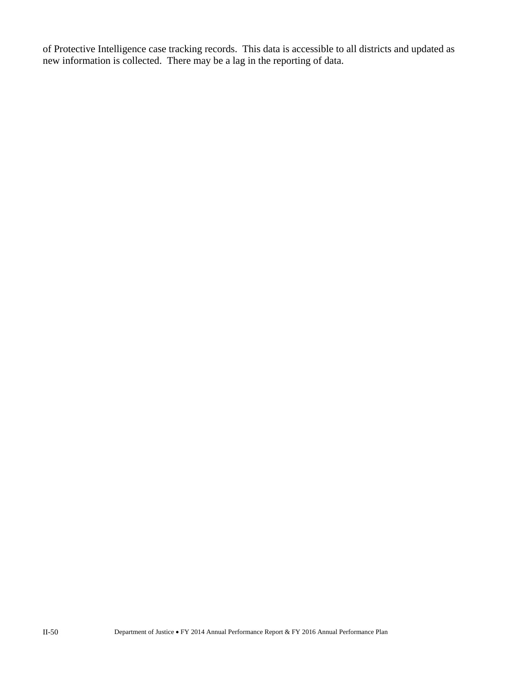of Protective Intelligence case tracking records. This data is accessible to all districts and updated as new information is collected. There may be a lag in the reporting of data.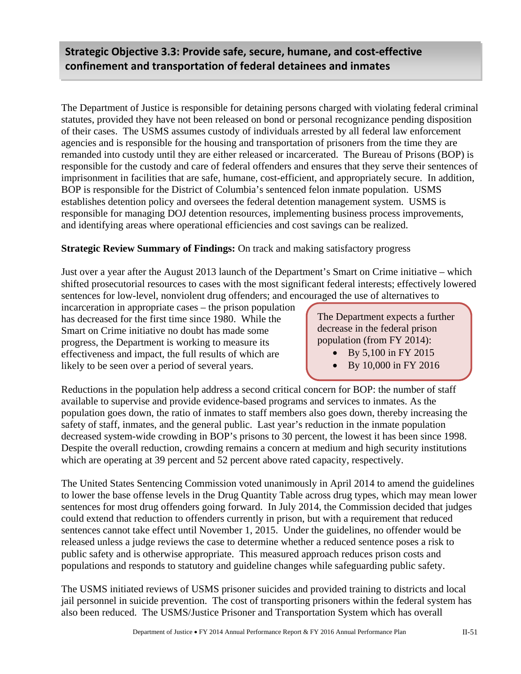### **Strategic Objective 3.3: Provide safe, secure, humane, and cost‐effective confinement and transportation of federal detainees and inmates**

The Department of Justice is responsible for detaining persons charged with violating federal criminal statutes, provided they have not been released on bond or personal recognizance pending disposition of their cases. The USMS assumes custody of individuals arrested by all federal law enforcement agencies and is responsible for the housing and transportation of prisoners from the time they are remanded into custody until they are either released or incarcerated. The Bureau of Prisons (BOP) is responsible for the custody and care of federal offenders and ensures that they serve their sentences of imprisonment in facilities that are safe, humane, cost-efficient, and appropriately secure. In addition, BOP is responsible for the District of Columbia's sentenced felon inmate population. USMS establishes detention policy and oversees the federal detention management system. USMS is responsible for managing DOJ detention resources, implementing business process improvements, and identifying areas where operational efficiencies and cost savings can be realized.

#### **Strategic Review Summary of Findings:** On track and making satisfactory progress

Just over a year after the August 2013 launch of the Department's Smart on Crime initiative – which shifted prosecutorial resources to cases with the most significant federal interests; effectively lowered sentences for low-level, nonviolent drug offenders; and encouraged the use of alternatives to

incarceration in appropriate cases – the prison population has decreased for the first time since 1980. While the Smart on Crime initiative no doubt has made some progress, the Department is working to measure its effectiveness and impact, the full results of which are likely to be seen over a period of several years.

The Department expects a further decrease in the federal prison population (from FY 2014):

- By 5,100 in FY 2015
- By 10,000 in FY 2016

Reductions in the population help address a second critical concern for BOP: the number of staff available to supervise and provide evidence-based programs and services to inmates. As the population goes down, the ratio of inmates to staff members also goes down, thereby increasing the safety of staff, inmates, and the general public. Last year's reduction in the inmate population decreased system-wide crowding in BOP's prisons to 30 percent, the lowest it has been since 1998. Despite the overall reduction, crowding remains a concern at medium and high security institutions which are operating at 39 percent and 52 percent above rated capacity, respectively.

The United States Sentencing Commission voted unanimously in April 2014 to amend the guidelines to lower the base offense levels in the Drug Quantity Table across drug types, which may mean lower sentences for most drug offenders going forward. In July 2014, the Commission decided that judges could extend that reduction to offenders currently in prison, but with a requirement that reduced sentences cannot take effect until November 1, 2015. Under the guidelines, no offender would be released unless a judge reviews the case to determine whether a reduced sentence poses a risk to public safety and is otherwise appropriate. This measured approach reduces prison costs and populations and responds to statutory and guideline changes while safeguarding public safety.

The USMS initiated reviews of USMS prisoner suicides and provided training to districts and local jail personnel in suicide prevention. The cost of transporting prisoners within the federal system has also been reduced. The USMS/Justice Prisoner and Transportation System which has overall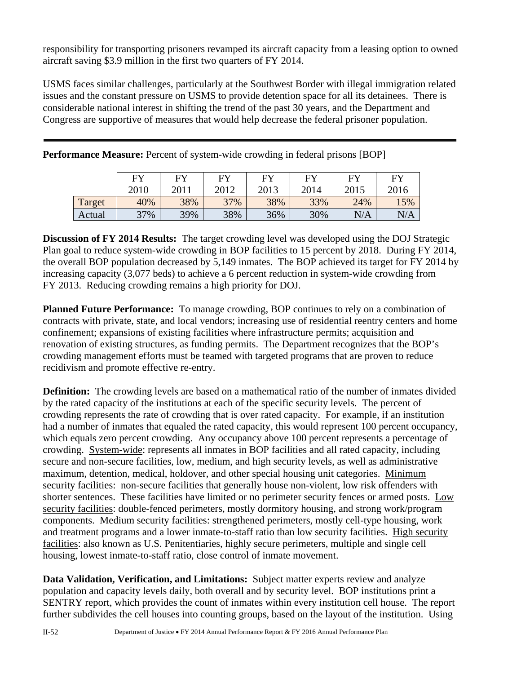responsibility for transporting prisoners revamped its aircraft capacity from a leasing option to owned aircraft saving \$3.9 million in the first two quarters of FY 2014.

USMS faces similar challenges, particularly at the Southwest Border with illegal immigration related issues and the constant pressure on USMS to provide detention space for all its detainees. There is considerable national interest in shifting the trend of the past 30 years, and the Department and Congress are supportive of measures that would help decrease the federal prisoner population.

|        | <b>EV</b> | F <sub>N</sub> | EY   | EV   | <b>FY</b> | EV   | FY   |
|--------|-----------|----------------|------|------|-----------|------|------|
|        | 2010      | 2011           | 2012 | 2013 | 2014      | 2015 | 2016 |
| Target | 40%       | 38%            | 37%  | 38%  | 33%       | 24%  | 15%  |
| Actual | 37%       | 39%            | 38%  | 36%  | 30%       | N/A  | N/A  |

**Performance Measure:** Percent of system-wide crowding in federal prisons [BOP]

**Discussion of FY 2014 Results:** The target crowding level was developed using the DOJ Strategic Plan goal to reduce system-wide crowding in BOP facilities to 15 percent by 2018. During FY 2014, the overall BOP population decreased by 5,149 inmates. The BOP achieved its target for FY 2014 by increasing capacity (3,077 beds) to achieve a 6 percent reduction in system-wide crowding from FY 2013. Reducing crowding remains a high priority for DOJ.

**Planned Future Performance:** To manage crowding, BOP continues to rely on a combination of contracts with private, state, and local vendors; increasing use of residential reentry centers and home confinement; expansions of existing facilities where infrastructure permits; acquisition and renovation of existing structures, as funding permits. The Department recognizes that the BOP's crowding management efforts must be teamed with targeted programs that are proven to reduce recidivism and promote effective re-entry.

**Definition:** The crowding levels are based on a mathematical ratio of the number of inmates divided by the rated capacity of the institutions at each of the specific security levels. The percent of crowding represents the rate of crowding that is over rated capacity. For example, if an institution had a number of inmates that equaled the rated capacity, this would represent 100 percent occupancy, which equals zero percent crowding. Any occupancy above 100 percent represents a percentage of crowding. System-wide: represents all inmates in BOP facilities and all rated capacity, including secure and non-secure facilities, low, medium, and high security levels, as well as administrative maximum, detention, medical, holdover, and other special housing unit categories. Minimum security facilities: non-secure facilities that generally house non-violent, low risk offenders with shorter sentences. These facilities have limited or no perimeter security fences or armed posts. Low security facilities: double-fenced perimeters, mostly dormitory housing, and strong work/program components. Medium security facilities: strengthened perimeters, mostly cell-type housing, work and treatment programs and a lower inmate-to-staff ratio than low security facilities. High security facilities: also known as U.S. Penitentiaries, highly secure perimeters, multiple and single cell housing, lowest inmate-to-staff ratio, close control of inmate movement.

**Data Validation, Verification, and Limitations:** Subject matter experts review and analyze population and capacity levels daily, both overall and by security level. BOP institutions print a SENTRY report, which provides the count of inmates within every institution cell house. The report further subdivides the cell houses into counting groups, based on the layout of the institution. Using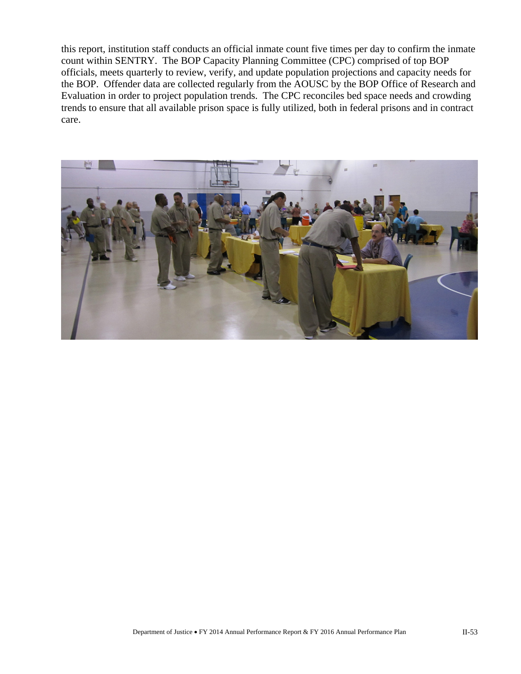this report, institution staff conducts an official inmate count five times per day to confirm the inmate count within SENTRY. The BOP Capacity Planning Committee (CPC) comprised of top BOP officials, meets quarterly to review, verify, and update population projections and capacity needs for the BOP. Offender data are collected regularly from the AOUSC by the BOP Office of Research and Evaluation in order to project population trends. The CPC reconciles bed space needs and crowding trends to ensure that all available prison space is fully utilized, both in federal prisons and in contract care.

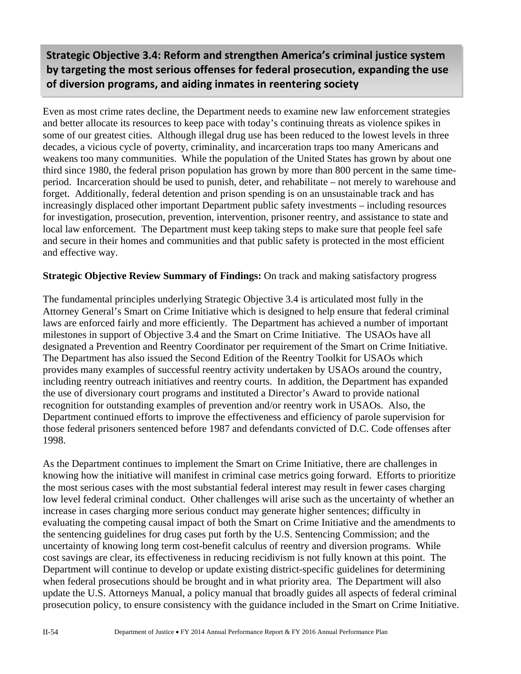**Strategic Objective 3.4: Reform and strengthen America's criminal justice system by targeting the most serious offenses for federal prosecution, expanding the use of diversion programs, and aiding inmates in reentering society**

Even as most crime rates decline, the Department needs to examine new law enforcement strategies and better allocate its resources to keep pace with today's continuing threats as violence spikes in some of our greatest cities. Although illegal drug use has been reduced to the lowest levels in three decades, a vicious cycle of poverty, criminality, and incarceration traps too many Americans and weakens too many communities. While the population of the United States has grown by about one third since 1980, the federal prison population has grown by more than 800 percent in the same timeperiod. Incarceration should be used to punish, deter, and rehabilitate – not merely to warehouse and forget. Additionally, federal detention and prison spending is on an unsustainable track and has increasingly displaced other important Department public safety investments – including resources for investigation, prosecution, prevention, intervention, prisoner reentry, and assistance to state and local law enforcement. The Department must keep taking steps to make sure that people feel safe and secure in their homes and communities and that public safety is protected in the most efficient and effective way.

#### **Strategic Objective Review Summary of Findings:** On track and making satisfactory progress

The fundamental principles underlying Strategic Objective 3.4 is articulated most fully in the Attorney General's Smart on Crime Initiative which is designed to help ensure that federal criminal laws are enforced fairly and more efficiently. The Department has achieved a number of important milestones in support of Objective 3.4 and the Smart on Crime Initiative. The USAOs have all designated a Prevention and Reentry Coordinator per requirement of the Smart on Crime Initiative. The Department has also issued the Second Edition of the Reentry Toolkit for USAOs which provides many examples of successful reentry activity undertaken by USAOs around the country, including reentry outreach initiatives and reentry courts. In addition, the Department has expanded the use of diversionary court programs and instituted a Director's Award to provide national recognition for outstanding examples of prevention and/or reentry work in USAOs. Also, the Department continued efforts to improve the effectiveness and efficiency of parole supervision for those federal prisoners sentenced before 1987 and defendants convicted of D.C. Code offenses after 1998.

As the Department continues to implement the Smart on Crime Initiative, there are challenges in knowing how the initiative will manifest in criminal case metrics going forward. Efforts to prioritize the most serious cases with the most substantial federal interest may result in fewer cases charging low level federal criminal conduct. Other challenges will arise such as the uncertainty of whether an increase in cases charging more serious conduct may generate higher sentences; difficulty in evaluating the competing causal impact of both the Smart on Crime Initiative and the amendments to the sentencing guidelines for drug cases put forth by the U.S. Sentencing Commission; and the uncertainty of knowing long term cost-benefit calculus of reentry and diversion programs. While cost savings are clear, its effectiveness in reducing recidivism is not fully known at this point. The Department will continue to develop or update existing district-specific guidelines for determining when federal prosecutions should be brought and in what priority area. The Department will also update the U.S. Attorneys Manual, a policy manual that broadly guides all aspects of federal criminal prosecution policy, to ensure consistency with the guidance included in the Smart on Crime Initiative.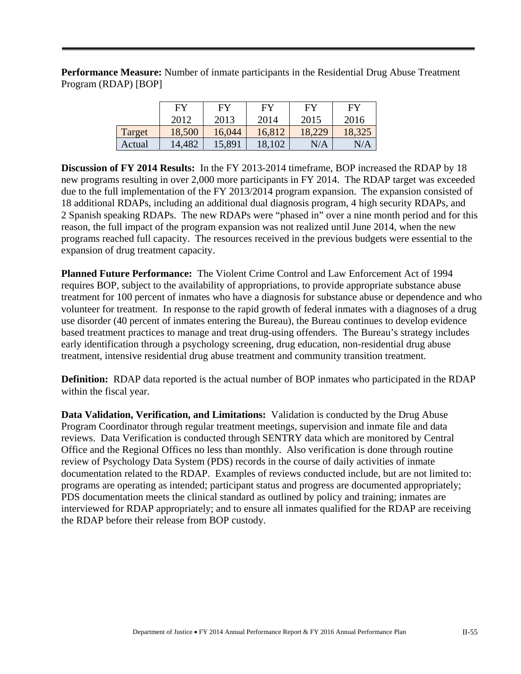**Performance Measure:** Number of inmate participants in the Residential Drug Abuse Treatment Program (RDAP) [BOP]

|        | FY     | FY     | FY     | FY        | FY     |
|--------|--------|--------|--------|-----------|--------|
|        | 2012   | 2013   | 2014   | 2015      | 2016   |
| Target | 18,500 | 16,044 | 16,812 | 18,229    | 18,325 |
| Actual | 14,482 | 15,891 | 18,102 | $\rm N/A$ | N/A    |

**Discussion of FY 2014 Results:** In the FY 2013-2014 timeframe, BOP increased the RDAP by 18 new programs resulting in over 2,000 more participants in FY 2014. The RDAP target was exceeded due to the full implementation of the FY 2013/2014 program expansion.The expansion consisted of 18 additional RDAPs, including an additional dual diagnosis program, 4 high security RDAPs, and 2 Spanish speaking RDAPs. The new RDAPs were "phased in" over a nine month period and for this reason, the full impact of the program expansion was not realized until June 2014, when the new programs reached full capacity. The resources received in the previous budgets were essential to the expansion of drug treatment capacity.

**Planned Future Performance:** The Violent Crime Control and Law Enforcement Act of 1994 requires BOP, subject to the availability of appropriations, to provide appropriate substance abuse treatment for 100 percent of inmates who have a diagnosis for substance abuse or dependence and who volunteer for treatment. In response to the rapid growth of federal inmates with a diagnoses of a drug use disorder (40 percent of inmates entering the Bureau), the Bureau continues to develop evidence based treatment practices to manage and treat drug-using offenders. The Bureau's strategy includes early identification through a psychology screening, drug education, non-residential drug abuse treatment, intensive residential drug abuse treatment and community transition treatment.

**Definition:** RDAP data reported is the actual number of BOP inmates who participated in the RDAP within the fiscal year.

**Data Validation, Verification, and Limitations:** Validation is conducted by the Drug Abuse Program Coordinator through regular treatment meetings, supervision and inmate file and data reviews. Data Verification is conducted through SENTRY data which are monitored by Central Office and the Regional Offices no less than monthly. Also verification is done through routine review of Psychology Data System (PDS) records in the course of daily activities of inmate documentation related to the RDAP. Examples of reviews conducted include, but are not limited to: programs are operating as intended; participant status and progress are documented appropriately; PDS documentation meets the clinical standard as outlined by policy and training; inmates are interviewed for RDAP appropriately; and to ensure all inmates qualified for the RDAP are receiving the RDAP before their release from BOP custody.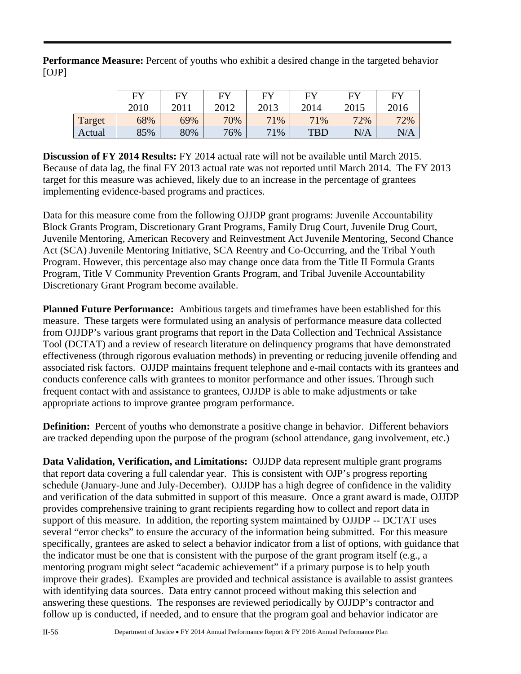**Performance Measure:** Percent of youths who exhibit a desired change in the targeted behavior [OJP]

|        | <b>FY</b> | FV   | EV   | $E$ V | EV         | EV   | FY   |
|--------|-----------|------|------|-------|------------|------|------|
|        | 2010      | 2011 | 2012 | 2013  | 2014       | 2015 | 2016 |
| Target | 68%       | 69%  | 70%  | 71%   | 71%        | 72%  | 72%  |
| Actual | 85%       | 80%  | 76%  | 71%   | <b>TBD</b> | N/A  | N/A  |

**Discussion of FY 2014 Results:** FY 2014 actual rate will not be available until March 2015. Because of data lag, the final FY 2013 actual rate was not reported until March 2014. The FY 2013 target for this measure was achieved, likely due to an increase in the percentage of grantees implementing evidence-based programs and practices.

Data for this measure come from the following OJJDP grant programs: Juvenile Accountability Block Grants Program, Discretionary Grant Programs, Family Drug Court, Juvenile Drug Court, Juvenile Mentoring, American Recovery and Reinvestment Act Juvenile Mentoring, Second Chance Act (SCA) Juvenile Mentoring Initiative, SCA Reentry and Co-Occurring, and the Tribal Youth Program. However, this percentage also may change once data from the Title II Formula Grants Program, Title V Community Prevention Grants Program, and Tribal Juvenile Accountability Discretionary Grant Program become available.

**Planned Future Performance:** Ambitious targets and timeframes have been established for this measure. These targets were formulated using an analysis of performance measure data collected from OJJDP's various grant programs that report in the Data Collection and Technical Assistance Tool (DCTAT) and a review of research literature on delinquency programs that have demonstrated effectiveness (through rigorous evaluation methods) in preventing or reducing juvenile offending and associated risk factors. OJJDP maintains frequent telephone and e-mail contacts with its grantees and conducts conference calls with grantees to monitor performance and other issues. Through such frequent contact with and assistance to grantees, OJJDP is able to make adjustments or take appropriate actions to improve grantee program performance.

**Definition:** Percent of youths who demonstrate a positive change in behavior. Different behaviors are tracked depending upon the purpose of the program (school attendance, gang involvement, etc.)

**Data Validation, Verification, and Limitations:** OJJDP data represent multiple grant programs that report data covering a full calendar year. This is consistent with OJP's progress reporting schedule (January-June and July-December). OJJDP has a high degree of confidence in the validity and verification of the data submitted in support of this measure. Once a grant award is made, OJJDP provides comprehensive training to grant recipients regarding how to collect and report data in support of this measure. In addition, the reporting system maintained by OJJDP -- DCTAT uses several "error checks" to ensure the accuracy of the information being submitted. For this measure specifically, grantees are asked to select a behavior indicator from a list of options, with guidance that the indicator must be one that is consistent with the purpose of the grant program itself (e.g., a mentoring program might select "academic achievement" if a primary purpose is to help youth improve their grades). Examples are provided and technical assistance is available to assist grantees with identifying data sources. Data entry cannot proceed without making this selection and answering these questions. The responses are reviewed periodically by OJJDP's contractor and follow up is conducted, if needed, and to ensure that the program goal and behavior indicator are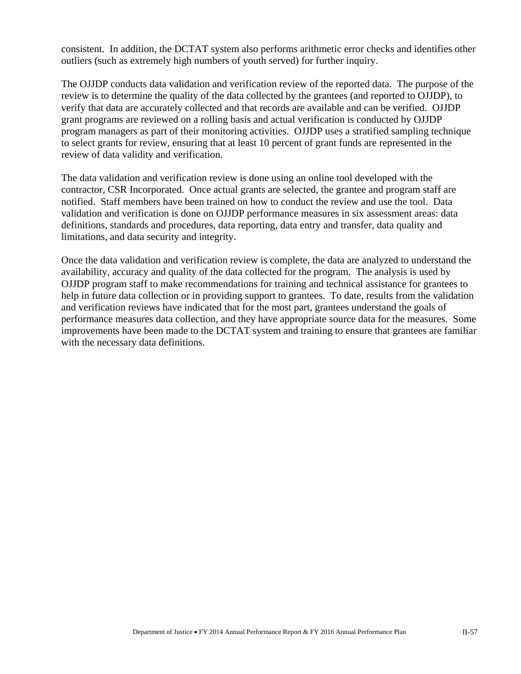consistent. In addition, the DCTAT system also performs arithmetic error checks and identifies other outliers (such as extremely high numbers of youth served) for further inquiry.

The OJJDP conducts data validation and verification review of the reported data. The purpose of the review is to determine the quality of the data collected by the grantees (and reported to OJJDP), to verify that data are accurately collected and that records are available and can be verified. OJJDP grant programs are reviewed on a rolling basis and actual verification is conducted by OJJDP program managers as part of their monitoring activities. OJJDP uses a stratified sampling technique to select grants for review, ensuring that at least 10 percent of grant funds are represented in the review of data validity and verification.

The data validation and verification review is done using an online tool developed with the contractor, CSR Incorporated. Once actual grants are selected, the grantee and program staff are notified. Staff members have been trained on how to conduct the review and use the tool. Data validation and verification is done on OJJDP performance measures in six assessment areas: data definitions, standards and procedures, data reporting, data entry and transfer, data quality and limitations, and data security and integrity.

Once the data validation and verification review is complete, the data are analyzed to understand the availability, accuracy and quality of the data collected for the program. The analysis is used by OJJDP program staff to make recommendations for training and technical assistance for grantees to help in future data collection or in providing support to grantees. To date, results from the validation and verification reviews have indicated that for the most part, grantees understand the goals of performance measures data collection, and they have appropriate source data for the measures. Some improvements have been made to the DCTAT system and training to ensure that grantees are familiar with the necessary data definitions.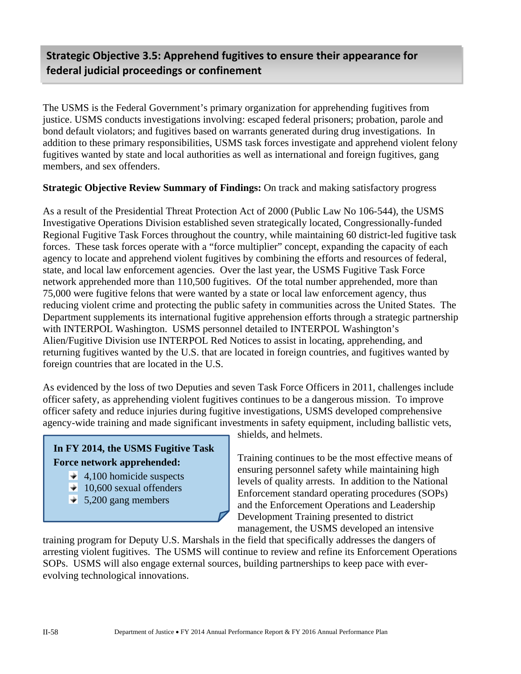## **Strategic Objective 3.5: Apprehend fugitives to ensure their appearance for federal judicial proceedings or confinement**

The USMS is the Federal Government's primary organization for apprehending fugitives from justice. USMS conducts investigations involving: escaped federal prisoners; probation, parole and bond default violators; and fugitives based on warrants generated during drug investigations. In addition to these primary responsibilities, USMS task forces investigate and apprehend violent felony fugitives wanted by state and local authorities as well as international and foreign fugitives, gang members, and sex offenders.

#### **Strategic Objective Review Summary of Findings:** On track and making satisfactory progress

As a result of the Presidential Threat Protection Act of 2000 (Public Law No 106-544), the USMS Investigative Operations Division established seven strategically located, Congressionally-funded Regional Fugitive Task Forces throughout the country, while maintaining 60 district-led fugitive task forces. These task forces operate with a "force multiplier" concept, expanding the capacity of each agency to locate and apprehend violent fugitives by combining the efforts and resources of federal, state, and local law enforcement agencies. Over the last year, the USMS Fugitive Task Force network apprehended more than 110,500 fugitives. Of the total number apprehended, more than 75,000 were fugitive felons that were wanted by a state or local law enforcement agency, thus reducing violent crime and protecting the public safety in communities across the United States. The Department supplements its international fugitive apprehension efforts through a strategic partnership with INTERPOL Washington. USMS personnel detailed to INTERPOL Washington's Alien/Fugitive Division use INTERPOL Red Notices to assist in locating, apprehending, and returning fugitives wanted by the U.S. that are located in foreign countries, and fugitives wanted by foreign countries that are located in the U.S.

As evidenced by the loss of two Deputies and seven Task Force Officers in 2011, challenges include officer safety, as apprehending violent fugitives continues to be a dangerous mission. To improve officer safety and reduce injuries during fugitive investigations, USMS developed comprehensive agency-wide training and made significant investments in safety equipment, including ballistic vets,

#### **In FY 2014, the USMS Fugitive Task Force network apprehended:**

- $\div$  4,100 homicide suspects
- $\div$  10,600 sexual offenders
- $\div$  5,200 gang members

shields, and helmets.

Training continues to be the most effective means of ensuring personnel safety while maintaining high levels of quality arrests. In addition to the National Enforcement standard operating procedures (SOPs) and the Enforcement Operations and Leadership Development Training presented to district management, the USMS developed an intensive

training program for Deputy U.S. Marshals in the field that specifically addresses the dangers of arresting violent fugitives. The USMS will continue to review and refine its Enforcement Operations SOPs. USMS will also engage external sources, building partnerships to keep pace with everevolving technological innovations.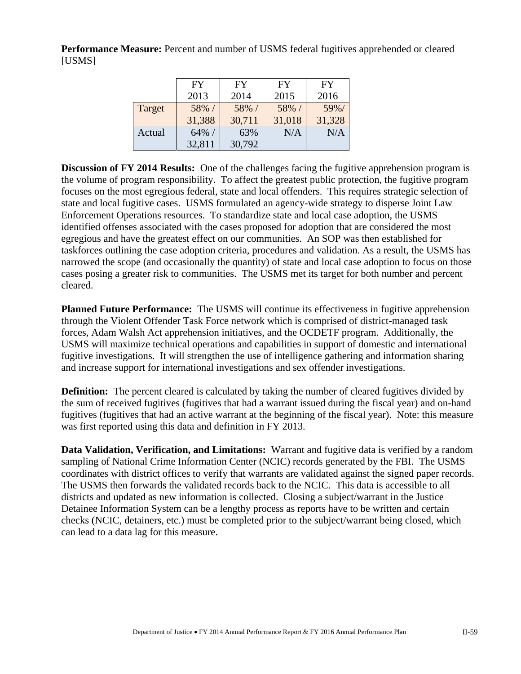**Performance Measure:** Percent and number of USMS federal fugitives apprehended or cleared [USMS]

|        | <b>FY</b> | FY     | FY     | <b>FY</b> |
|--------|-----------|--------|--------|-----------|
|        | 2013      | 2014   | 2015   | 2016      |
| Target | 58% /     | 58% /  | 58% /  | 59%/      |
|        | 31,388    | 30,711 | 31,018 | 31,328    |
| Actual | $64\%$ /  | 63%    | N/A    | N/A       |
|        | 32,811    | 30,792 |        |           |

**Discussion of FY 2014 Results:** One of the challenges facing the fugitive apprehension program is the volume of program responsibility. To affect the greatest public protection, the fugitive program focuses on the most egregious federal, state and local offenders. This requires strategic selection of state and local fugitive cases. USMS formulated an agency-wide strategy to disperse Joint Law Enforcement Operations resources. To standardize state and local case adoption, the USMS identified offenses associated with the cases proposed for adoption that are considered the most egregious and have the greatest effect on our communities. An SOP was then established for taskforces outlining the case adoption criteria, procedures and validation. As a result, the USMS has narrowed the scope (and occasionally the quantity) of state and local case adoption to focus on those cases posing a greater risk to communities. The USMS met its target for both number and percent cleared.

**Planned Future Performance:** The USMS will continue its effectiveness in fugitive apprehension through the Violent Offender Task Force network which is comprised of district-managed task forces, Adam Walsh Act apprehension initiatives, and the OCDETF program. Additionally, the USMS will maximize technical operations and capabilities in support of domestic and international fugitive investigations. It will strengthen the use of intelligence gathering and information sharing and increase support for international investigations and sex offender investigations.

**Definition:** The percent cleared is calculated by taking the number of cleared fugitives divided by the sum of received fugitives (fugitives that had a warrant issued during the fiscal year) and on-hand fugitives (fugitives that had an active warrant at the beginning of the fiscal year). Note: this measure was first reported using this data and definition in FY 2013.

**Data Validation, Verification, and Limitations:** Warrant and fugitive data is verified by a random sampling of National Crime Information Center (NCIC) records generated by the FBI. The USMS coordinates with district offices to verify that warrants are validated against the signed paper records. The USMS then forwards the validated records back to the NCIC. This data is accessible to all districts and updated as new information is collected. Closing a subject/warrant in the Justice Detainee Information System can be a lengthy process as reports have to be written and certain checks (NCIC, detainers, etc.) must be completed prior to the subject/warrant being closed, which can lead to a data lag for this measure.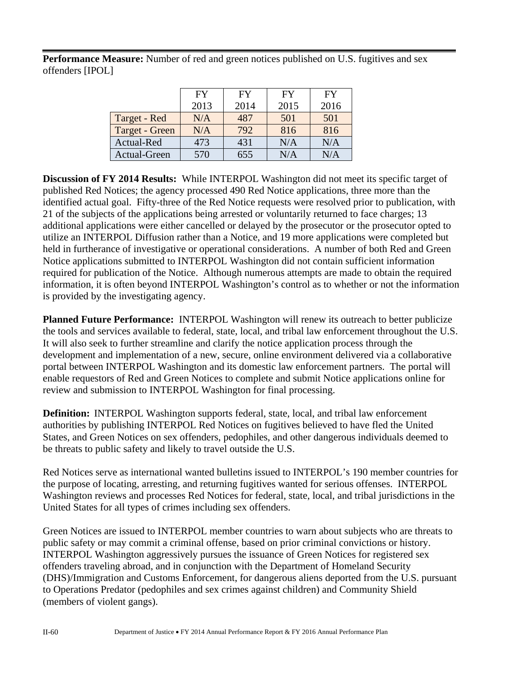Performance Measure: Number of red and green notices published on U.S. fugitives and sex offenders [IPOL]

|                | <b>FY</b> | <b>FY</b> | FY   | <b>FY</b> |
|----------------|-----------|-----------|------|-----------|
|                | 2013      | 2014      | 2015 | 2016      |
| Target - Red   | N/A       | 487       | 501  | 501       |
| Target - Green | N/A       | 792       | 816  | 816       |
| Actual-Red     | 473       | 431       | N/A  | N/A       |
| Actual-Green   | 570       | 655       | N/A  | N/A       |

**Discussion of FY 2014 Results:** While INTERPOL Washington did not meet its specific target of published Red Notices; the agency processed 490 Red Notice applications, three more than the identified actual goal. Fifty-three of the Red Notice requests were resolved prior to publication, with 21 of the subjects of the applications being arrested or voluntarily returned to face charges; 13 additional applications were either cancelled or delayed by the prosecutor or the prosecutor opted to utilize an INTERPOL Diffusion rather than a Notice, and 19 more applications were completed but held in furtherance of investigative or operational considerations. A number of both Red and Green Notice applications submitted to INTERPOL Washington did not contain sufficient information required for publication of the Notice. Although numerous attempts are made to obtain the required information, it is often beyond INTERPOL Washington's control as to whether or not the information is provided by the investigating agency.

**Planned Future Performance:** INTERPOL Washington will renew its outreach to better publicize the tools and services available to federal, state, local, and tribal law enforcement throughout the U.S. It will also seek to further streamline and clarify the notice application process through the development and implementation of a new, secure, online environment delivered via a collaborative portal between INTERPOL Washington and its domestic law enforcement partners. The portal will enable requestors of Red and Green Notices to complete and submit Notice applications online for review and submission to INTERPOL Washington for final processing.

**Definition:** INTERPOL Washington supports federal, state, local, and tribal law enforcement authorities by publishing INTERPOL Red Notices on fugitives believed to have fled the United States, and Green Notices on sex offenders, pedophiles, and other dangerous individuals deemed to be threats to public safety and likely to travel outside the U.S.

Red Notices serve as international wanted bulletins issued to INTERPOL's 190 member countries for the purpose of locating, arresting, and returning fugitives wanted for serious offenses. INTERPOL Washington reviews and processes Red Notices for federal, state, local, and tribal jurisdictions in the United States for all types of crimes including sex offenders.

Green Notices are issued to INTERPOL member countries to warn about subjects who are threats to public safety or may commit a criminal offense, based on prior criminal convictions or history. INTERPOL Washington aggressively pursues the issuance of Green Notices for registered sex offenders traveling abroad, and in conjunction with the Department of Homeland Security (DHS)/Immigration and Customs Enforcement, for dangerous aliens deported from the U.S. pursuant to Operations Predator (pedophiles and sex crimes against children) and Community Shield (members of violent gangs).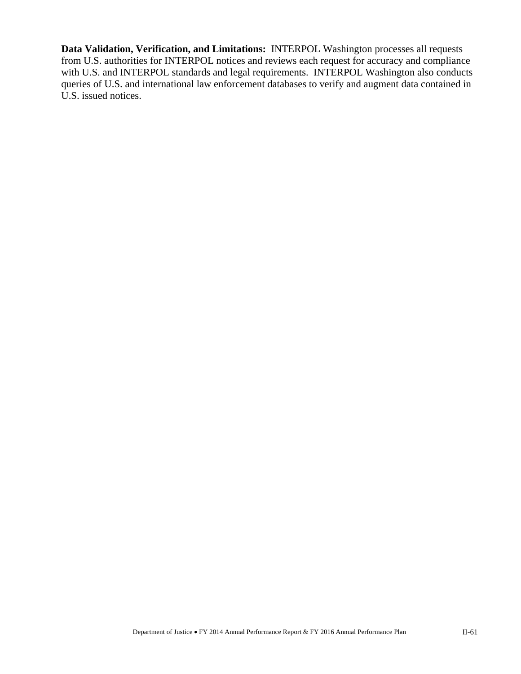**Data Validation, Verification, and Limitations:** INTERPOL Washington processes all requests from U.S. authorities for INTERPOL notices and reviews each request for accuracy and compliance with U.S. and INTERPOL standards and legal requirements. INTERPOL Washington also conducts queries of U.S. and international law enforcement databases to verify and augment data contained in U.S. issued notices.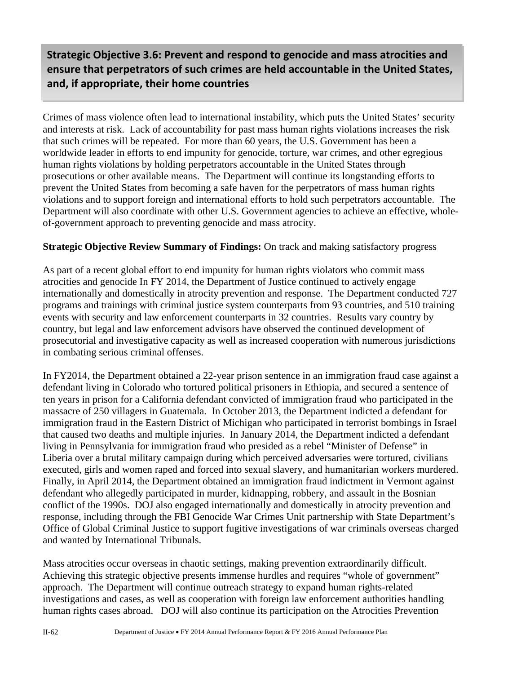ensure that perpetrators of such crimes are held accountable in the United States, capacity of foreign law enforcement, prosecutors, and judicial systems **and, if appropriate, their home countriesStrategic Objective 3.6: Prevent and respond to genocide and mass atrocities and**

Crimes of mass violence often lead to international instability, which puts the United States' security and interests at risk. Lack of accountability for past mass human rights violations increases the risk that such crimes will be repeated. For more than 60 years, the U.S. Government has been a worldwide leader in efforts to end impunity for genocide, torture, war crimes, and other egregious human rights violations by holding perpetrators accountable in the United States through prosecutions or other available means. The Department will continue its longstanding efforts to prevent the United States from becoming a safe haven for the perpetrators of mass human rights violations and to support foreign and international efforts to hold such perpetrators accountable. The Department will also coordinate with other U.S. Government agencies to achieve an effective, wholeof-government approach to preventing genocide and mass atrocity.

#### **Strategic Objective Review Summary of Findings:** On track and making satisfactory progress

As part of a recent global effort to end impunity for human rights violators who commit mass atrocities and genocide In FY 2014, the Department of Justice continued to actively engage internationally and domestically in atrocity prevention and response. The Department conducted 727 programs and trainings with criminal justice system counterparts from 93 countries, and 510 training events with security and law enforcement counterparts in 32 countries. Results vary country by country, but legal and law enforcement advisors have observed the continued development of prosecutorial and investigative capacity as well as increased cooperation with numerous jurisdictions in combating serious criminal offenses.

In FY2014, the Department obtained a 22-year prison sentence in an immigration fraud case against a defendant living in Colorado who tortured political prisoners in Ethiopia, and secured a sentence of ten years in prison for a California defendant convicted of immigration fraud who participated in the massacre of 250 villagers in Guatemala. In October 2013, the Department indicted a defendant for immigration fraud in the Eastern District of Michigan who participated in terrorist bombings in Israel that caused two deaths and multiple injuries. In January 2014, the Department indicted a defendant living in Pennsylvania for immigration fraud who presided as a rebel "Minister of Defense" in Liberia over a brutal military campaign during which perceived adversaries were tortured, civilians executed, girls and women raped and forced into sexual slavery, and humanitarian workers murdered. Finally, in April 2014, the Department obtained an immigration fraud indictment in Vermont against defendant who allegedly participated in murder, kidnapping, robbery, and assault in the Bosnian conflict of the 1990s. DOJ also engaged internationally and domestically in atrocity prevention and response, including through the FBI Genocide War Crimes Unit partnership with State Department's Office of Global Criminal Justice to support fugitive investigations of war criminals overseas charged and wanted by International Tribunals.

Mass atrocities occur overseas in chaotic settings, making prevention extraordinarily difficult. Achieving this strategic objective presents immense hurdles and requires "whole of government" approach. The Department will continue outreach strategy to expand human rights-related investigations and cases, as well as cooperation with foreign law enforcement authorities handling human rights cases abroad. DOJ will also continue its participation on the Atrocities Prevention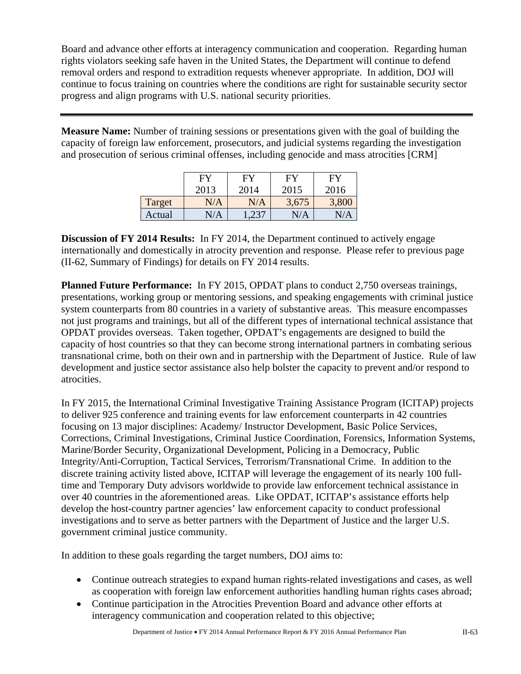Board and advance other efforts at interagency communication and cooperation. Regarding human rights violators seeking safe haven in the United States, the Department will continue to defend removal orders and respond to extradition requests whenever appropriate. In addition, DOJ will continue to focus training on countries where the conditions are right for sustainable security sector progress and align programs with U.S. national security priorities.

**Measure Name:** Number of training sessions or presentations given with the goal of building the capacity of foreign law enforcement, prosecutors, and judicial systems regarding the investigation and prosecution of serious criminal offenses, including genocide and mass atrocities [CRM]

|        | FY        | FY    | <b>FY</b> | <b>FY</b> |
|--------|-----------|-------|-----------|-----------|
|        | 2013      | 2014  | 2015      | 2016      |
| Target | N/A       | N/A   | 3,675     | 3,800     |
| Actual | $\rm N/A$ | 1,237 | N/A       | N/A       |

**Discussion of FY 2014 Results:** In FY 2014, the Department continued to actively engage internationally and domestically in atrocity prevention and response. Please refer to previous page (II-62, Summary of Findings) for details on FY 2014 results.

**Planned Future Performance:** In FY 2015, OPDAT plans to conduct 2,750 overseas trainings, presentations, working group or mentoring sessions, and speaking engagements with criminal justice system counterparts from 80 countries in a variety of substantive areas. This measure encompasses not just programs and trainings, but all of the different types of international technical assistance that OPDAT provides overseas. Taken together, OPDAT's engagements are designed to build the capacity of host countries so that they can become strong international partners in combating serious transnational crime, both on their own and in partnership with the Department of Justice. Rule of law development and justice sector assistance also help bolster the capacity to prevent and/or respond to atrocities.

In FY 2015, the International Criminal Investigative Training Assistance Program (ICITAP) projects to deliver 925 conference and training events for law enforcement counterparts in 42 countries focusing on 13 major disciplines: Academy/ Instructor Development, Basic Police Services, Corrections, Criminal Investigations, Criminal Justice Coordination, Forensics, Information Systems, Marine/Border Security, Organizational Development, Policing in a Democracy, Public Integrity/Anti-Corruption, Tactical Services, Terrorism/Transnational Crime. In addition to the discrete training activity listed above, ICITAP will leverage the engagement of its nearly 100 fulltime and Temporary Duty advisors worldwide to provide law enforcement technical assistance in over 40 countries in the aforementioned areas. Like OPDAT, ICITAP's assistance efforts help develop the host-country partner agencies' law enforcement capacity to conduct professional investigations and to serve as better partners with the Department of Justice and the larger U.S. government criminal justice community.

In addition to these goals regarding the target numbers, DOJ aims to:

- Continue outreach strategies to expand human rights-related investigations and cases, as well as cooperation with foreign law enforcement authorities handling human rights cases abroad;
- Continue participation in the Atrocities Prevention Board and advance other efforts at interagency communication and cooperation related to this objective;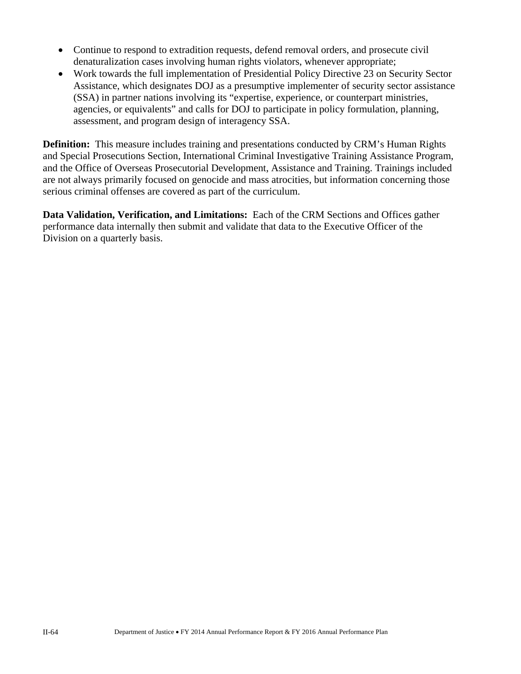- Continue to respond to extradition requests, defend removal orders, and prosecute civil denaturalization cases involving human rights violators, whenever appropriate;
- Work towards the full implementation of Presidential Policy Directive 23 on Security Sector Assistance, which designates DOJ as a presumptive implementer of security sector assistance (SSA) in partner nations involving its "expertise, experience, or counterpart ministries, agencies, or equivalents" and calls for DOJ to participate in policy formulation, planning, assessment, and program design of interagency SSA.

**Definition:** This measure includes training and presentations conducted by CRM's Human Rights and Special Prosecutions Section, International Criminal Investigative Training Assistance Program, and the Office of Overseas Prosecutorial Development, Assistance and Training. Trainings included are not always primarily focused on genocide and mass atrocities, but information concerning those serious criminal offenses are covered as part of the curriculum.

**Data Validation, Verification, and Limitations:** Each of the CRM Sections and Offices gather performance data internally then submit and validate that data to the Executive Officer of the Division on a quarterly basis.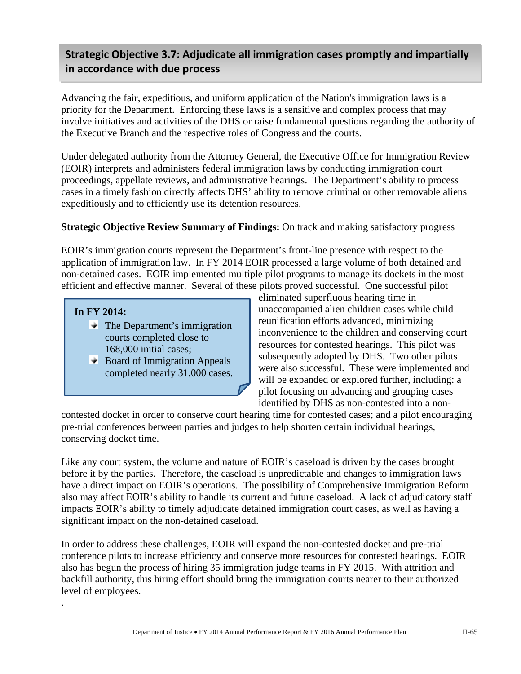## **Strategic Objective 3.7: Adjudicate all immigration cases promptly and impartially in accordance with due process**

Advancing the fair, expeditious, and uniform application of the Nation's immigration laws is a priority for the Department. Enforcing these laws is a sensitive and complex process that may involve initiatives and activities of the DHS or raise fundamental questions regarding the authority of the Executive Branch and the respective roles of Congress and the courts.

Under delegated authority from the Attorney General, the Executive Office for Immigration Review (EOIR) interprets and administers federal immigration laws by conducting immigration court proceedings, appellate reviews, and administrative hearings. The Department's ability to process cases in a timely fashion directly affects DHS' ability to remove criminal or other removable aliens expeditiously and to efficiently use its detention resources.

#### **Strategic Objective Review Summary of Findings:** On track and making satisfactory progress

EOIR's immigration courts represent the Department's front-line presence with respect to the application of immigration law. In FY 2014 EOIR processed a large volume of both detained and non-detained cases. EOIR implemented multiple pilot programs to manage its dockets in the most efficient and effective manner. Several of these pilots proved successful. One successful pilot

#### **In FY 2014:**

.

- $\blacktriangleright$  The Department's immigration courts completed close to 168,000 initial cases;
- $\rightarrow$  Board of Immigration Appeals completed nearly 31,000 cases.

eliminated superfluous hearing time in unaccompanied alien children cases while child reunification efforts advanced, minimizing inconvenience to the children and conserving court resources for contested hearings. This pilot was subsequently adopted by DHS. Two other pilots were also successful. These were implemented and will be expanded or explored further, including: a pilot focusing on advancing and grouping cases identified by DHS as non-contested into a non-

contested docket in order to conserve court hearing time for contested cases; and a pilot encouraging pre-trial conferences between parties and judges to help shorten certain individual hearings, conserving docket time.

Like any court system, the volume and nature of EOIR's caseload is driven by the cases brought before it by the parties. Therefore, the caseload is unpredictable and changes to immigration laws have a direct impact on EOIR's operations. The possibility of Comprehensive Immigration Reform also may affect EOIR's ability to handle its current and future caseload. A lack of adjudicatory staff impacts EOIR's ability to timely adjudicate detained immigration court cases, as well as having a significant impact on the non-detained caseload.

In order to address these challenges, EOIR will expand the non-contested docket and pre-trial conference pilots to increase efficiency and conserve more resources for contested hearings. EOIR also has begun the process of hiring 35 immigration judge teams in FY 2015. With attrition and backfill authority, this hiring effort should bring the immigration courts nearer to their authorized level of employees.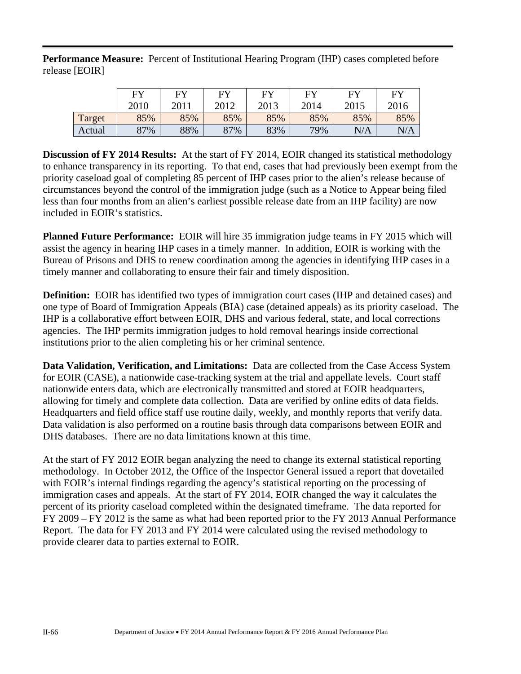**Performance Measure:** Percent of Institutional Hearing Program (IHP) cases completed before release [EOIR]

|        | F <sub>N</sub> | EV   | <b>EV</b> | FV   | ${\rm F}{\rm V}$ | FV   | <b>FY</b> |
|--------|----------------|------|-----------|------|------------------|------|-----------|
|        | 2010           | 2011 | 2012      | 2013 | 2014             | 2015 | 2016      |
| Target | 85%            | 85%  | 85%       | 85%  | 85%              | 85%  | 85%       |
| Actual | 87%            | 88%  | 87%       | 83%  | 79%              | N/A  |           |

**Discussion of FY 2014 Results:** At the start of FY 2014, EOIR changed its statistical methodology to enhance transparency in its reporting. To that end, cases that had previously been exempt from the priority caseload goal of completing 85 percent of IHP cases prior to the alien's release because of circumstances beyond the control of the immigration judge (such as a Notice to Appear being filed less than four months from an alien's earliest possible release date from an IHP facility) are now included in EOIR's statistics.

**Planned Future Performance:** EOIR will hire 35 immigration judge teams in FY 2015 which will assist the agency in hearing IHP cases in a timely manner. In addition, EOIR is working with the Bureau of Prisons and DHS to renew coordination among the agencies in identifying IHP cases in a timely manner and collaborating to ensure their fair and timely disposition.

**Definition:** EOIR has identified two types of immigration court cases (IHP and detained cases) and one type of Board of Immigration Appeals (BIA) case (detained appeals) as its priority caseload. The IHP is a collaborative effort between EOIR, DHS and various federal, state, and local corrections agencies. The IHP permits immigration judges to hold removal hearings inside correctional institutions prior to the alien completing his or her criminal sentence.

**Data Validation, Verification, and Limitations:** Data are collected from the Case Access System for EOIR (CASE), a nationwide case-tracking system at the trial and appellate levels. Court staff nationwide enters data, which are electronically transmitted and stored at EOIR headquarters, allowing for timely and complete data collection. Data are verified by online edits of data fields. Headquarters and field office staff use routine daily, weekly, and monthly reports that verify data. Data validation is also performed on a routine basis through data comparisons between EOIR and DHS databases. There are no data limitations known at this time.

At the start of FY 2012 EOIR began analyzing the need to change its external statistical reporting methodology. In October 2012, the Office of the Inspector General issued a report that dovetailed with EOIR's internal findings regarding the agency's statistical reporting on the processing of immigration cases and appeals. At the start of FY 2014, EOIR changed the way it calculates the percent of its priority caseload completed within the designated timeframe. The data reported for FY 2009 – FY 2012 is the same as what had been reported prior to the FY 2013 Annual Performance Report. The data for FY 2013 and FY 2014 were calculated using the revised methodology to provide clearer data to parties external to EOIR.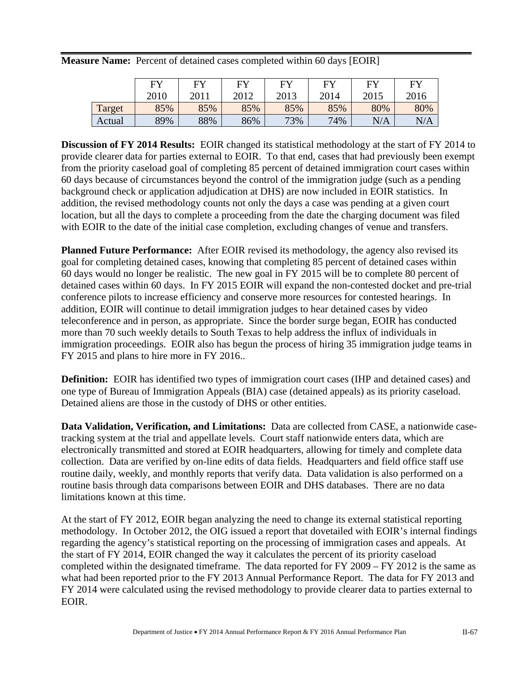**Measure Name:** Percent of detained cases completed within 60 days [EOIR]

|        | <b>EV</b> | <b>EV</b> | <b>EV</b> | EV   | EV   | FV   | FY   |
|--------|-----------|-----------|-----------|------|------|------|------|
|        | 2010      | 2011      | 2012      | 2013 | 2014 | 2015 | 2016 |
| Target | 85%       | 85%       | 85%       | 85%  | 85%  | 80%  | 80%  |
| Actual | 89%       | 88%       | 86%       | 73%  | 74%  | N/A  | N/A  |

**Discussion of FY 2014 Results:** EOIR changed its statistical methodology at the start of FY 2014 to provide clearer data for parties external to EOIR. To that end, cases that had previously been exempt from the priority caseload goal of completing 85 percent of detained immigration court cases within 60 days because of circumstances beyond the control of the immigration judge (such as a pending background check or application adjudication at DHS) are now included in EOIR statistics. In addition, the revised methodology counts not only the days a case was pending at a given court location, but all the days to complete a proceeding from the date the charging document was filed with EOIR to the date of the initial case completion, excluding changes of venue and transfers.

**Planned Future Performance:** After EOIR revised its methodology, the agency also revised its goal for completing detained cases, knowing that completing 85 percent of detained cases within 60 days would no longer be realistic. The new goal in FY 2015 will be to complete 80 percent of detained cases within 60 days. In FY 2015 EOIR will expand the non-contested docket and pre-trial conference pilots to increase efficiency and conserve more resources for contested hearings. In addition, EOIR will continue to detail immigration judges to hear detained cases by video teleconference and in person, as appropriate. Since the border surge began, EOIR has conducted more than 70 such weekly details to South Texas to help address the influx of individuals in immigration proceedings. EOIR also has begun the process of hiring 35 immigration judge teams in FY 2015 and plans to hire more in FY 2016..

**Definition:** EOIR has identified two types of immigration court cases (IHP and detained cases) and one type of Bureau of Immigration Appeals (BIA) case (detained appeals) as its priority caseload. Detained aliens are those in the custody of DHS or other entities.

**Data Validation, Verification, and Limitations:** Data are collected from CASE, a nationwide casetracking system at the trial and appellate levels. Court staff nationwide enters data, which are electronically transmitted and stored at EOIR headquarters, allowing for timely and complete data collection. Data are verified by on-line edits of data fields. Headquarters and field office staff use routine daily, weekly, and monthly reports that verify data. Data validation is also performed on a routine basis through data comparisons between EOIR and DHS databases. There are no data limitations known at this time.

At the start of FY 2012, EOIR began analyzing the need to change its external statistical reporting methodology. In October 2012, the OIG issued a report that dovetailed with EOIR's internal findings regarding the agency's statistical reporting on the processing of immigration cases and appeals. At the start of FY 2014, EOIR changed the way it calculates the percent of its priority caseload completed within the designated timeframe. The data reported for FY 2009 – FY 2012 is the same as what had been reported prior to the FY 2013 Annual Performance Report. The data for FY 2013 and FY 2014 were calculated using the revised methodology to provide clearer data to parties external to EOIR.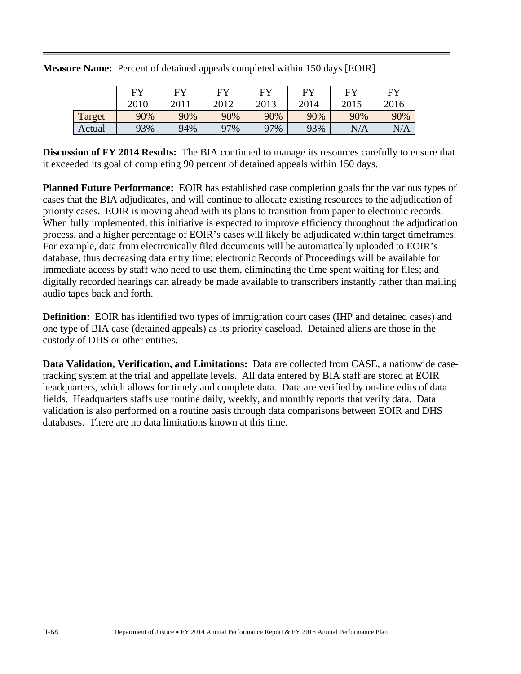|        | $E$ V | EV   | FV   | FУ   | EV   | FV   | FY   |
|--------|-------|------|------|------|------|------|------|
|        | 2010  | 2011 | 2012 | 2013 | 2014 | 2015 | 2016 |
| Target | 90%   | 90%  | 90%  | 90%  | 90%  | 90%  | 90%  |
| Actual | 93%   | 94%  | 97%  | 97%  | 93%  | N/A  | N/A  |

**Measure Name:** Percent of detained appeals completed within 150 days [EOIR]

**Discussion of FY 2014 Results:** The BIA continued to manage its resources carefully to ensure that it exceeded its goal of completing 90 percent of detained appeals within 150 days.

**Planned Future Performance:** EOIR has established case completion goals for the various types of cases that the BIA adjudicates, and will continue to allocate existing resources to the adjudication of priority cases. EOIR is moving ahead with its plans to transition from paper to electronic records. When fully implemented, this initiative is expected to improve efficiency throughout the adjudication process, and a higher percentage of EOIR's cases will likely be adjudicated within target timeframes. For example, data from electronically filed documents will be automatically uploaded to EOIR's database, thus decreasing data entry time; electronic Records of Proceedings will be available for immediate access by staff who need to use them, eliminating the time spent waiting for files; and digitally recorded hearings can already be made available to transcribers instantly rather than mailing audio tapes back and forth.

**Definition:** EOIR has identified two types of immigration court cases (IHP and detained cases) and one type of BIA case (detained appeals) as its priority caseload. Detained aliens are those in the custody of DHS or other entities.

**Data Validation, Verification, and Limitations:** Data are collected from CASE, a nationwide casetracking system at the trial and appellate levels. All data entered by BIA staff are stored at EOIR headquarters, which allows for timely and complete data. Data are verified by on-line edits of data fields. Headquarters staffs use routine daily, weekly, and monthly reports that verify data. Data validation is also performed on a routine basis through data comparisons between EOIR and DHS databases. There are no data limitations known at this time.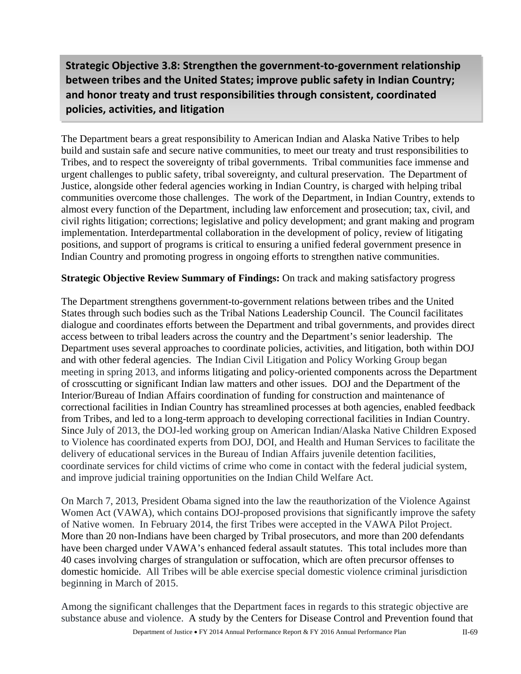## **Strategic Objective 3.8: Strengthen the government‐to‐government relationship between tribes and the United States; improve public safety in Indian Country; and honor treaty and trust responsibilities through consistent, coordinated policies, activities, and litigation**

The Department bears a great responsibility to American Indian and Alaska Native Tribes to help build and sustain safe and secure native communities, to meet our treaty and trust responsibilities to Tribes, and to respect the sovereignty of tribal governments. Tribal communities face immense and urgent challenges to public safety, tribal sovereignty, and cultural preservation. The Department of Justice, alongside other federal agencies working in Indian Country, is charged with helping tribal communities overcome those challenges. The work of the Department, in Indian Country, extends to almost every function of the Department, including law enforcement and prosecution; tax, civil, and civil rights litigation; corrections; legislative and policy development; and grant making and program implementation. Interdepartmental collaboration in the development of policy, review of litigating positions, and support of programs is critical to ensuring a unified federal government presence in Indian Country and promoting progress in ongoing efforts to strengthen native communities.

#### **Strategic Objective Review Summary of Findings:** On track and making satisfactory progress

The Department strengthens government-to-government relations between tribes and the United States through such bodies such as the Tribal Nations Leadership Council. The Council facilitates dialogue and coordinates efforts between the Department and tribal governments, and provides direct access between to tribal leaders across the country and the Department's senior leadership. The Department uses several approaches to coordinate policies, activities, and litigation, both within DOJ and with other federal agencies. The Indian Civil Litigation and Policy Working Group began meeting in spring 2013, and informs litigating and policy-oriented components across the Department of crosscutting or significant Indian law matters and other issues. DOJ and the Department of the Interior/Bureau of Indian Affairs coordination of funding for construction and maintenance of correctional facilities in Indian Country has streamlined processes at both agencies, enabled feedback from Tribes, and led to a long-term approach to developing correctional facilities in Indian Country. Since July of 2013, the DOJ-led working group on American Indian/Alaska Native Children Exposed to Violence has coordinated experts from DOJ, DOI, and Health and Human Services to facilitate the delivery of educational services in the Bureau of Indian Affairs juvenile detention facilities, coordinate services for child victims of crime who come in contact with the federal judicial system, and improve judicial training opportunities on the Indian Child Welfare Act.

On March 7, 2013, President Obama signed into the law the reauthorization of the Violence Against Women Act (VAWA), which contains DOJ-proposed provisions that significantly improve the safety of Native women. In February 2014, the first Tribes were accepted in the VAWA Pilot Project. More than 20 non-Indians have been charged by Tribal prosecutors, and more than 200 defendants have been charged under VAWA's enhanced federal assault statutes. This total includes more than 40 cases involving charges of strangulation or suffocation, which are often precursor offenses to domestic homicide. All Tribes will be able exercise special domestic violence criminal jurisdiction beginning in March of 2015.

Among the significant challenges that the Department faces in regards to this strategic objective are substance abuse and violence. A study by the Centers for Disease Control and Prevention found that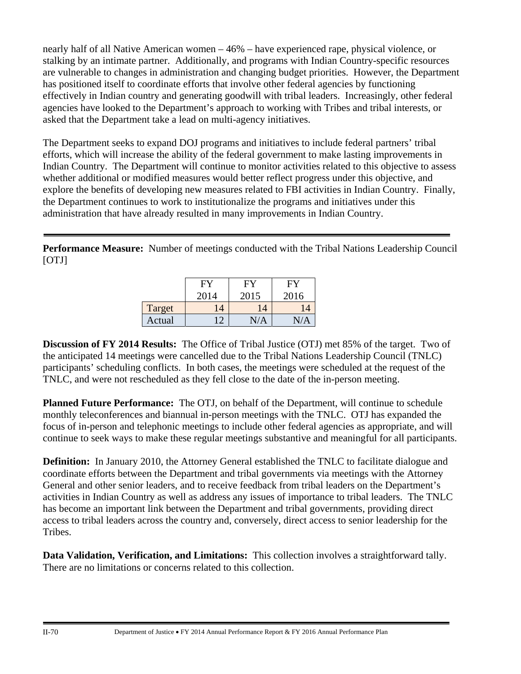nearly half of all Native American women – 46% – have experienced rape, physical violence, or stalking by an intimate partner. Additionally, and programs with Indian Country-specific resources are vulnerable to changes in administration and changing budget priorities. However, the Department has positioned itself to coordinate efforts that involve other federal agencies by functioning effectively in Indian country and generating goodwill with tribal leaders. Increasingly, other federal agencies have looked to the Department's approach to working with Tribes and tribal interests, or asked that the Department take a lead on multi-agency initiatives.

The Department seeks to expand DOJ programs and initiatives to include federal partners' tribal efforts, which will increase the ability of the federal government to make lasting improvements in Indian Country. The Department will continue to monitor activities related to this objective to assess whether additional or modified measures would better reflect progress under this objective, and explore the benefits of developing new measures related to FBI activities in Indian Country. Finally, the Department continues to work to institutionalize the programs and initiatives under this administration that have already resulted in many improvements in Indian Country.

**Performance Measure:** Number of meetings conducted with the Tribal Nations Leadership Council [OTJ]

|        | н.             | H.   | H    |
|--------|----------------|------|------|
|        | 2014           | 2015 | 2016 |
| Target | $\overline{A}$ | 14   |      |
| Actual |                |      |      |

**Discussion of FY 2014 Results:** The Office of Tribal Justice (OTJ) met 85% of the target. Two of the anticipated 14 meetings were cancelled due to the Tribal Nations Leadership Council (TNLC) participants' scheduling conflicts. In both cases, the meetings were scheduled at the request of the TNLC, and were not rescheduled as they fell close to the date of the in-person meeting.

**Planned Future Performance:** The OTJ, on behalf of the Department, will continue to schedule monthly teleconferences and biannual in-person meetings with the TNLC. OTJ has expanded the focus of in-person and telephonic meetings to include other federal agencies as appropriate, and will continue to seek ways to make these regular meetings substantive and meaningful for all participants.

**Definition:** In January 2010, the Attorney General established the TNLC to facilitate dialogue and coordinate efforts between the Department and tribal governments via meetings with the Attorney General and other senior leaders, and to receive feedback from tribal leaders on the Department's activities in Indian Country as well as address any issues of importance to tribal leaders. The TNLC has become an important link between the Department and tribal governments, providing direct access to tribal leaders across the country and, conversely, direct access to senior leadership for the Tribes.

**Data Validation, Verification, and Limitations:** This collection involves a straightforward tally. There are no limitations or concerns related to this collection.